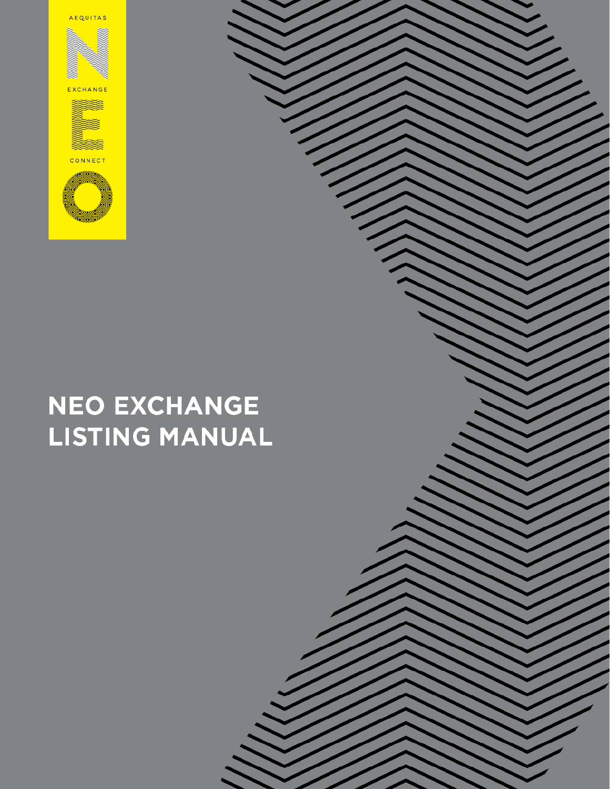**AEQUITAS** 

X

**EXCHANGE** 



# CONNEC





**NEO EXCHANGE** 

**LISTING MANUAL**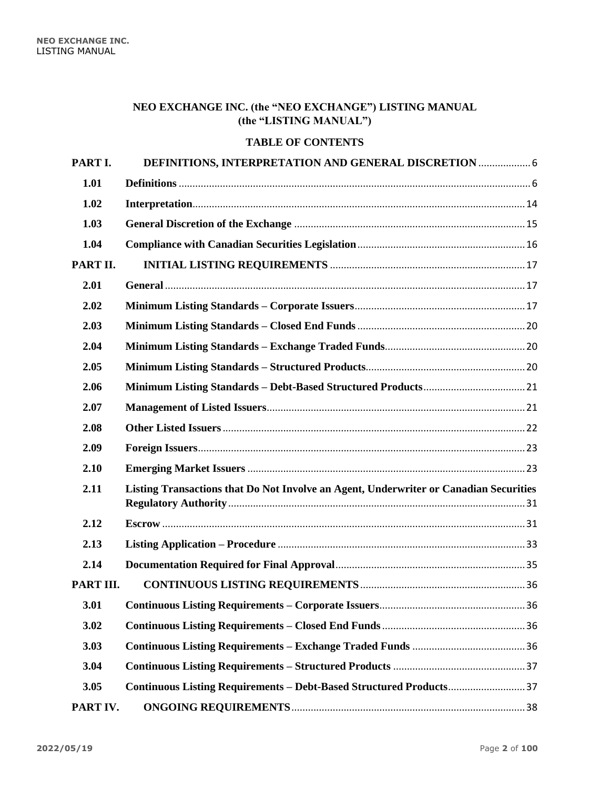# **NEO EXCHANGE INC. (the "NEO EXCHANGE") LISTING MANUAL (the "LISTING MANUAL")**

# **TABLE OF CONTENTS**

| PART I.   | DEFINITIONS, INTERPRETATION AND GENERAL DISCRETION  6                                 |  |
|-----------|---------------------------------------------------------------------------------------|--|
| 1.01      |                                                                                       |  |
| 1.02      |                                                                                       |  |
| 1.03      |                                                                                       |  |
| 1.04      |                                                                                       |  |
| PART II.  |                                                                                       |  |
| 2.01      |                                                                                       |  |
| 2.02      |                                                                                       |  |
| 2.03      |                                                                                       |  |
| 2.04      |                                                                                       |  |
| 2.05      |                                                                                       |  |
| 2.06      |                                                                                       |  |
| 2.07      |                                                                                       |  |
| 2.08      |                                                                                       |  |
| 2.09      |                                                                                       |  |
| 2.10      |                                                                                       |  |
| 2.11      | Listing Transactions that Do Not Involve an Agent, Underwriter or Canadian Securities |  |
| 2.12      |                                                                                       |  |
| 2.13      |                                                                                       |  |
| 2.14      |                                                                                       |  |
| PART III. |                                                                                       |  |
| 3.01      |                                                                                       |  |
| 3.02      |                                                                                       |  |
| 3.03      |                                                                                       |  |
| 3.04      |                                                                                       |  |
| 3.05      | Continuous Listing Requirements - Debt-Based Structured Products37                    |  |
| PART IV.  |                                                                                       |  |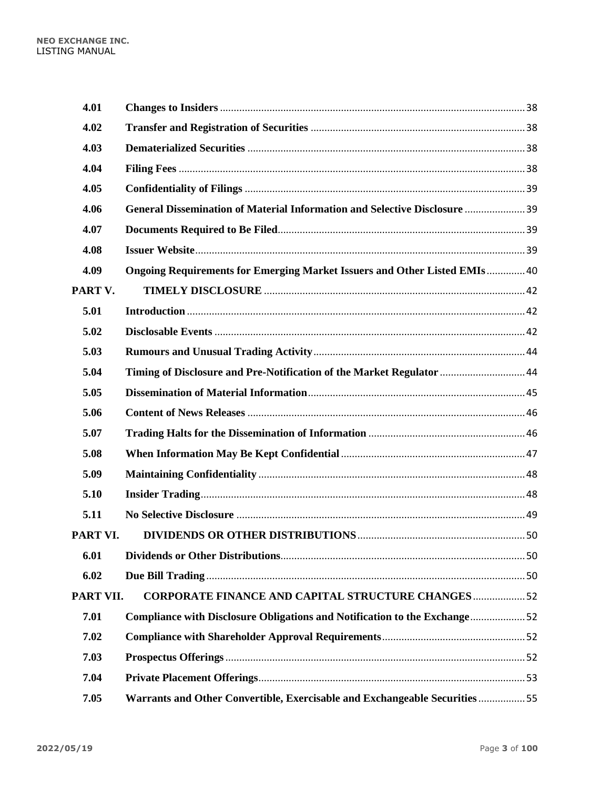| 4.01      |                                                                             |  |
|-----------|-----------------------------------------------------------------------------|--|
| 4.02      |                                                                             |  |
| 4.03      |                                                                             |  |
| 4.04      |                                                                             |  |
| 4.05      |                                                                             |  |
| 4.06      | General Dissemination of Material Information and Selective Disclosure  39  |  |
| 4.07      |                                                                             |  |
| 4.08      |                                                                             |  |
| 4.09      | Ongoing Requirements for Emerging Market Issuers and Other Listed EMIs 40   |  |
| PART V.   |                                                                             |  |
| 5.01      |                                                                             |  |
| 5.02      |                                                                             |  |
| 5.03      |                                                                             |  |
| 5.04      | Timing of Disclosure and Pre-Notification of the Market Regulator  44       |  |
| 5.05      |                                                                             |  |
| 5.06      |                                                                             |  |
| 5.07      |                                                                             |  |
| 5.08      |                                                                             |  |
| 5.09      |                                                                             |  |
| 5.10      |                                                                             |  |
| 5.11      |                                                                             |  |
| PART VI.  |                                                                             |  |
| 6.01      |                                                                             |  |
| 6.02      |                                                                             |  |
| PART VII. | <b>CORPORATE FINANCE AND CAPITAL STRUCTURE CHANGES 52</b>                   |  |
| 7.01      | Compliance with Disclosure Obligations and Notification to the Exchange52   |  |
| 7.02      |                                                                             |  |
| 7.03      |                                                                             |  |
| 7.04      |                                                                             |  |
| 7.05      | Warrants and Other Convertible, Exercisable and Exchangeable Securities  55 |  |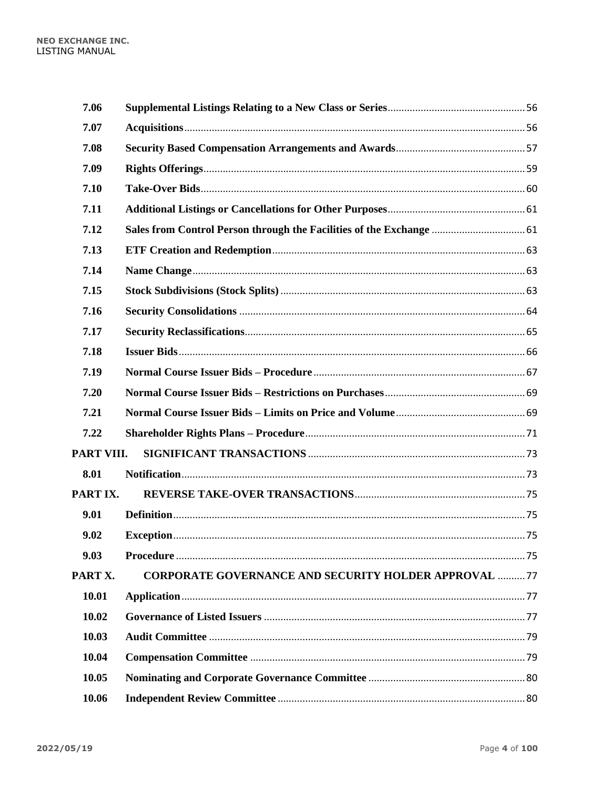| 7.06       |                                                                      |  |
|------------|----------------------------------------------------------------------|--|
| 7.07       |                                                                      |  |
| 7.08       |                                                                      |  |
| 7.09       |                                                                      |  |
| 7.10       |                                                                      |  |
| 7.11       |                                                                      |  |
| 7.12       | Sales from Control Person through the Facilities of the Exchange  61 |  |
| 7.13       |                                                                      |  |
| 7.14       |                                                                      |  |
| 7.15       |                                                                      |  |
| 7.16       |                                                                      |  |
| 7.17       |                                                                      |  |
| 7.18       |                                                                      |  |
| 7.19       |                                                                      |  |
| 7.20       |                                                                      |  |
| 7.21       |                                                                      |  |
| 7.22       |                                                                      |  |
| PART VIII. |                                                                      |  |
| 8.01       |                                                                      |  |
| PART IX.   |                                                                      |  |
| 9.01       |                                                                      |  |
| 9.02       |                                                                      |  |
| 9.03       |                                                                      |  |
| PART X.    | <b>CORPORATE GOVERNANCE AND SECURITY HOLDER APPROVAL 77</b>          |  |
| 10.01      |                                                                      |  |
| 10.02      |                                                                      |  |
| 10.03      |                                                                      |  |
| 10.04      |                                                                      |  |
| 10.05      |                                                                      |  |
| 10.06      |                                                                      |  |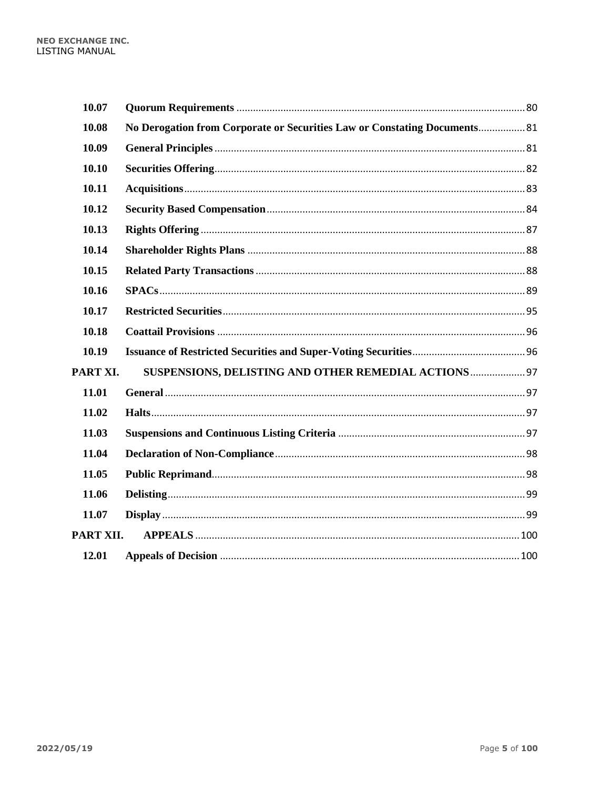| 10.07     |                                                                           |  |
|-----------|---------------------------------------------------------------------------|--|
| 10.08     | No Derogation from Corporate or Securities Law or Constating Documents 81 |  |
| 10.09     |                                                                           |  |
| 10.10     |                                                                           |  |
| 10.11     |                                                                           |  |
| 10.12     |                                                                           |  |
| 10.13     |                                                                           |  |
| 10.14     |                                                                           |  |
| 10.15     |                                                                           |  |
| 10.16     |                                                                           |  |
| 10.17     |                                                                           |  |
| 10.18     |                                                                           |  |
| 10.19     |                                                                           |  |
| PART XI.  | SUSPENSIONS, DELISTING AND OTHER REMEDIAL ACTIONS 97                      |  |
| 11.01     |                                                                           |  |
| 11.02     |                                                                           |  |
| 11.03     |                                                                           |  |
| 11.04     |                                                                           |  |
| 11.05     |                                                                           |  |
| 11.06     |                                                                           |  |
| 11.07     |                                                                           |  |
| PART XII. |                                                                           |  |
| 12.01     |                                                                           |  |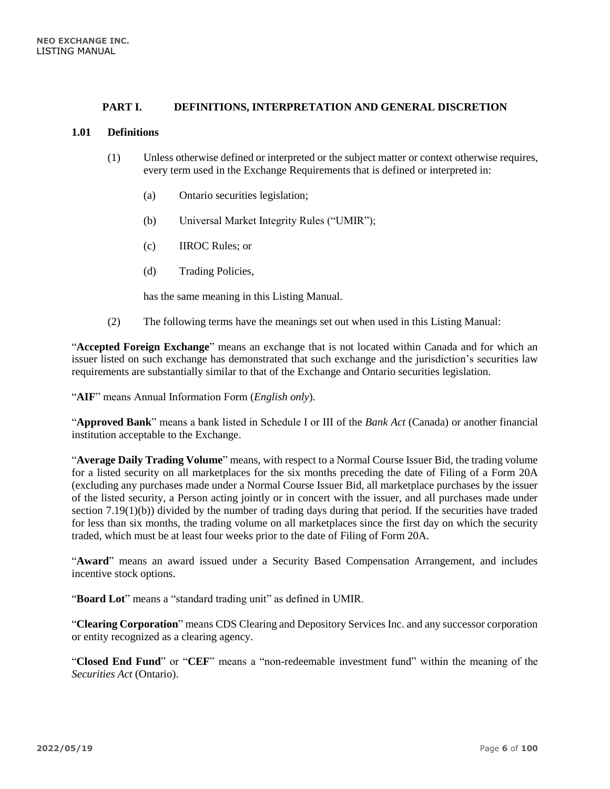# **PART I. DEFINITIONS, INTERPRETATION AND GENERAL DISCRETION**

#### <span id="page-5-1"></span><span id="page-5-0"></span>**1.01 Definitions**

- (1) Unless otherwise defined or interpreted or the subject matter or context otherwise requires, every term used in the Exchange Requirements that is defined or interpreted in:
	- (a) Ontario securities legislation;
	- (b) Universal Market Integrity Rules ("UMIR");
	- (c) IIROC Rules; or
	- (d) Trading Policies,

has the same meaning in this Listing Manual.

(2) The following terms have the meanings set out when used in this Listing Manual:

"**Accepted Foreign Exchange**" means an exchange that is not located within Canada and for which an issuer listed on such exchange has demonstrated that such exchange and the jurisdiction's securities law requirements are substantially similar to that of the Exchange and Ontario securities legislation.

"**AIF**" means Annual Information Form (*English only*).

"**Approved Bank**" means a bank listed in Schedule I or III of the *Bank Act* (Canada) or another financial institution acceptable to the Exchange.

"**Average Daily Trading Volume**" means, with respect to a Normal Course Issuer Bid, the trading volume for a listed security on all marketplaces for the six months preceding the date of Filing of a Form 20A (excluding any purchases made under a Normal Course Issuer Bid, all marketplace purchases by the issuer of the listed security, a Person acting jointly or in concert with the issuer, and all purchases made under section 7.19(1)(b)) divided by the number of trading days during that period. If the securities have traded for less than six months, the trading volume on all marketplaces since the first day on which the security traded, which must be at least four weeks prior to the date of Filing of Form 20A.

"**Award**" means an award issued under a Security Based Compensation Arrangement, and includes incentive stock options.

"**Board Lot**" means a "standard trading unit" as defined in UMIR.

"**Clearing Corporation**" means CDS Clearing and Depository Services Inc. and any successor corporation or entity recognized as a clearing agency.

"**Closed End Fund**" or "**CEF**" means a "non-redeemable investment fund" within the meaning of the *Securities Act* (Ontario).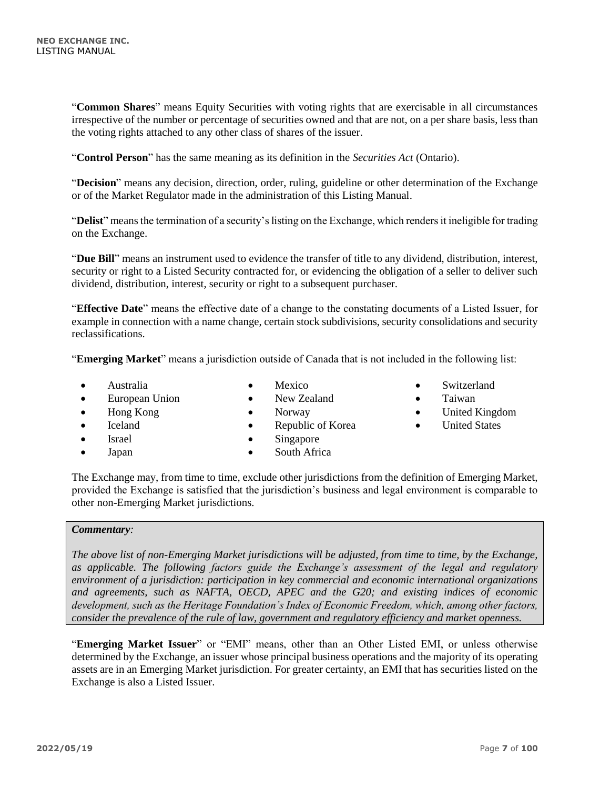"**Common Shares**" means Equity Securities with voting rights that are exercisable in all circumstances irrespective of the number or percentage of securities owned and that are not, on a per share basis, less than the voting rights attached to any other class of shares of the issuer.

"**Control Person**" has the same meaning as its definition in the *Securities Act* (Ontario).

"**Decision**" means any decision, direction, order, ruling, guideline or other determination of the Exchange or of the Market Regulator made in the administration of this Listing Manual.

"**Delist**" means the termination of a security's listing on the Exchange, which renders it ineligible for trading on the Exchange.

"**Due Bill**" means an instrument used to evidence the transfer of title to any dividend, distribution, interest, security or right to a Listed Security contracted for, or evidencing the obligation of a seller to deliver such dividend, distribution, interest, security or right to a subsequent purchaser.

"**Effective Date**" means the effective date of a change to the constating documents of a Listed Issuer, for example in connection with a name change, certain stock subdivisions, security consolidations and security reclassifications.

"**Emerging Market**" means a jurisdiction outside of Canada that is not included in the following list:

• Australia

• Mexico • New Zealand

• Norway

- European Union
- Hong Kong
- Iceland
- Israel
- Japan
- Republic of Korea • Singapore
- South Africa

• Taiwan

• Switzerland

- United Kingdom
- United States

The Exchange may, from time to time, exclude other jurisdictions from the definition of Emerging Market, provided the Exchange is satisfied that the jurisdiction's business and legal environment is comparable to other non-Emerging Market jurisdictions.

# *Commentary:*

*The above list of non-Emerging Market jurisdictions will be adjusted, from time to time, by the Exchange, as applicable. The following factors guide the Exchange's assessment of the legal and regulatory environment of a jurisdiction: participation in key commercial and economic international organizations and agreements, such as NAFTA, OECD, APEC and the G20; and existing indices of economic development, such as the Heritage Foundation's Index of Economic Freedom, which, among other factors, consider the prevalence of the rule of law, government and regulatory efficiency and market openness.* 

"**Emerging Market Issuer**" or "EMI" means, other than an Other Listed EMI, or unless otherwise determined by the Exchange, an issuer whose principal business operations and the majority of its operating assets are in an Emerging Market jurisdiction. For greater certainty, an EMI that has securities listed on the Exchange is also a Listed Issuer.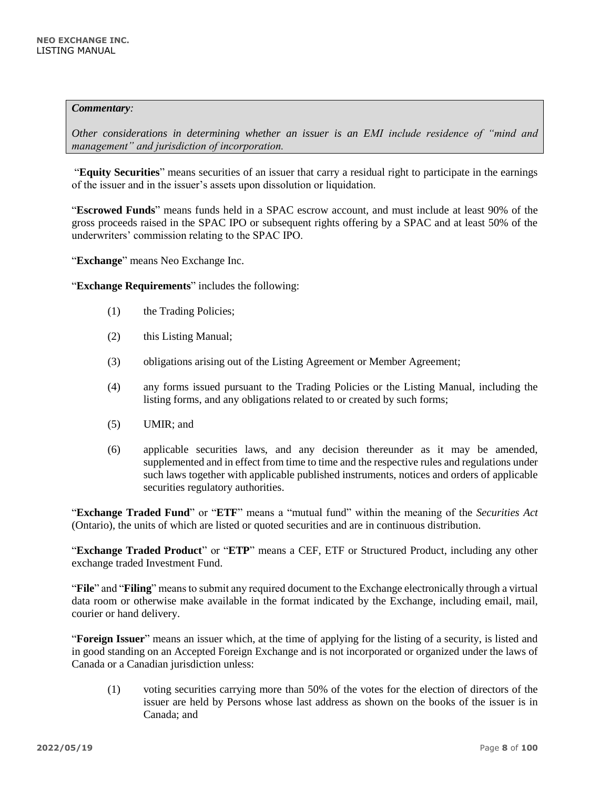#### *Commentary:*

*Other considerations in determining whether an issuer is an EMI include residence of "mind and management" and jurisdiction of incorporation.*

"**Equity Securities**" means securities of an issuer that carry a residual right to participate in the earnings of the issuer and in the issuer's assets upon dissolution or liquidation.

"**Escrowed Funds**" means funds held in a SPAC escrow account, and must include at least 90% of the gross proceeds raised in the SPAC IPO or subsequent rights offering by a SPAC and at least 50% of the underwriters' commission relating to the SPAC IPO.

"**Exchange**" means Neo Exchange Inc.

"**Exchange Requirements**" includes the following:

- (1) the Trading Policies;
- (2) this Listing Manual;
- (3) obligations arising out of the Listing Agreement or Member Agreement;
- (4) any forms issued pursuant to the Trading Policies or the Listing Manual, including the listing forms, and any obligations related to or created by such forms;
- (5) UMIR; and
- (6) applicable securities laws, and any decision thereunder as it may be amended, supplemented and in effect from time to time and the respective rules and regulations under such laws together with applicable published instruments, notices and orders of applicable securities regulatory authorities.

"**Exchange Traded Fund**" or "**ETF**" means a "mutual fund" within the meaning of the *Securities Act* (Ontario), the units of which are listed or quoted securities and are in continuous distribution.

"**Exchange Traded Product**" or "**ETP**" means a CEF, ETF or Structured Product, including any other exchange traded Investment Fund.

"**File**" and "**Filing**" means to submit any required document to the Exchange electronically through a virtual data room or otherwise make available in the format indicated by the Exchange, including email, mail, courier or hand delivery.

"**Foreign Issuer**" means an issuer which, at the time of applying for the listing of a security, is listed and in good standing on an Accepted Foreign Exchange and is not incorporated or organized under the laws of Canada or a Canadian jurisdiction unless:

(1) voting securities carrying more than 50% of the votes for the election of directors of the issuer are held by Persons whose last address as shown on the books of the issuer is in Canada; and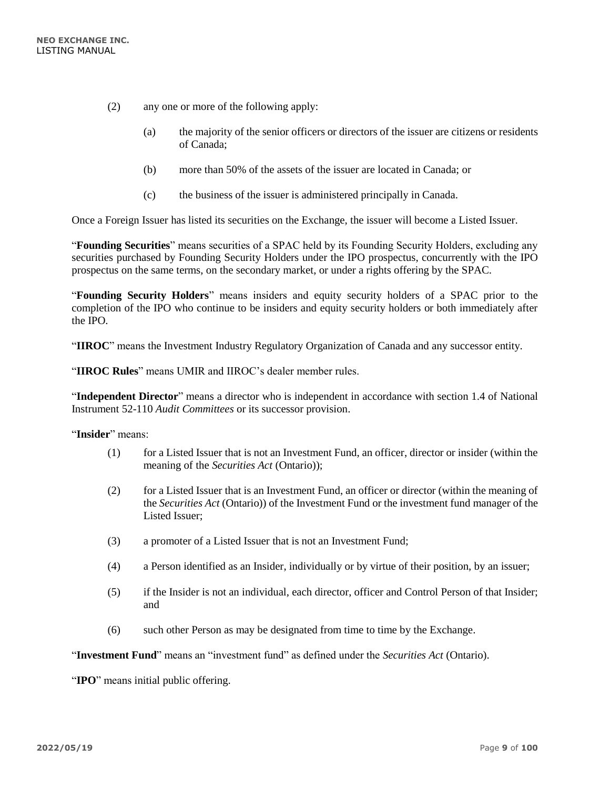- (2) any one or more of the following apply:
	- (a) the majority of the senior officers or directors of the issuer are citizens or residents of Canada;
	- (b) more than 50% of the assets of the issuer are located in Canada; or
	- (c) the business of the issuer is administered principally in Canada.

Once a Foreign Issuer has listed its securities on the Exchange, the issuer will become a Listed Issuer.

"**Founding Securities**" means securities of a SPAC held by its Founding Security Holders, excluding any securities purchased by Founding Security Holders under the IPO prospectus, concurrently with the IPO prospectus on the same terms, on the secondary market, or under a rights offering by the SPAC.

"**Founding Security Holders**" means insiders and equity security holders of a SPAC prior to the completion of the IPO who continue to be insiders and equity security holders or both immediately after the IPO.

"**IIROC**" means the Investment Industry Regulatory Organization of Canada and any successor entity.

"**IIROC Rules**" means UMIR and IIROC's dealer member rules.

"**Independent Director**" means a director who is independent in accordance with section 1.4 of National Instrument 52-110 *Audit Committees* or its successor provision.

#### "**Insider**" means:

- (1) for a Listed Issuer that is not an Investment Fund, an officer, director or insider (within the meaning of the *Securities Act* (Ontario));
- (2) for a Listed Issuer that is an Investment Fund, an officer or director (within the meaning of the *Securities Act* (Ontario)) of the Investment Fund or the investment fund manager of the Listed Issuer;
- (3) a promoter of a Listed Issuer that is not an Investment Fund;
- (4) a Person identified as an Insider, individually or by virtue of their position, by an issuer;
- (5) if the Insider is not an individual, each director, officer and Control Person of that Insider; and
- (6) such other Person as may be designated from time to time by the Exchange.

"**Investment Fund**" means an "investment fund" as defined under the *Securities Act* (Ontario).

"**IPO**" means initial public offering.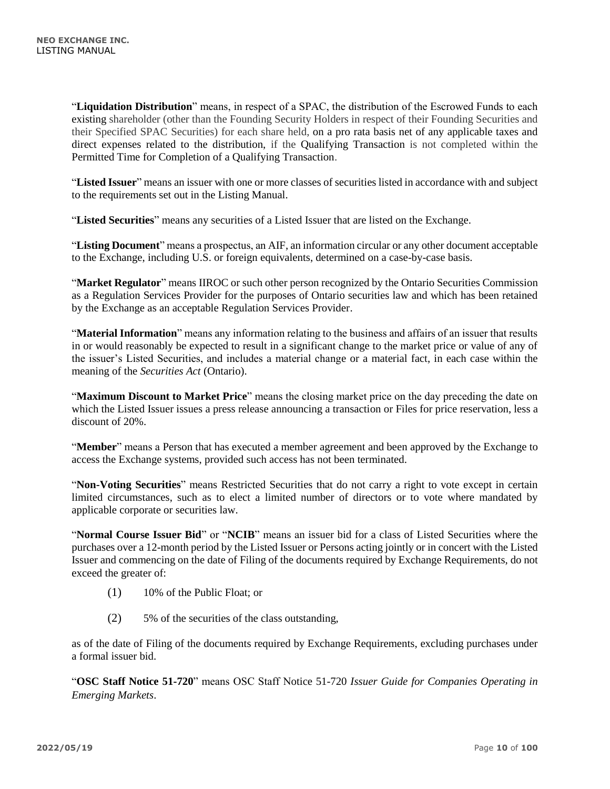"**Liquidation Distribution**" means, in respect of a SPAC, the distribution of the Escrowed Funds to each existing shareholder (other than the Founding Security Holders in respect of their Founding Securities and their Specified SPAC Securities) for each share held, on a pro rata basis net of any applicable taxes and direct expenses related to the distribution, if the Qualifying Transaction is not completed within the Permitted Time for Completion of a Qualifying Transaction.

"**Listed Issuer**" means an issuer with one or more classes of securities listed in accordance with and subject to the requirements set out in the Listing Manual.

"**Listed Securities**" means any securities of a Listed Issuer that are listed on the Exchange.

"**Listing Document**" means a prospectus, an AIF, an information circular or any other document acceptable to the Exchange, including U.S. or foreign equivalents, determined on a case-by-case basis.

"**Market Regulator**" means IIROC or such other person recognized by the Ontario Securities Commission as a Regulation Services Provider for the purposes of Ontario securities law and which has been retained by the Exchange as an acceptable Regulation Services Provider.

"**Material Information**" means any information relating to the business and affairs of an issuer that results in or would reasonably be expected to result in a significant change to the market price or value of any of the issuer's Listed Securities, and includes a material change or a material fact, in each case within the meaning of the *Securities Act* (Ontario).

"**Maximum Discount to Market Price**" means the closing market price on the day preceding the date on which the Listed Issuer issues a press release announcing a transaction or Files for price reservation, less a discount of 20%.

"**Member**" means a Person that has executed a member agreement and been approved by the Exchange to access the Exchange systems, provided such access has not been terminated.

"**Non-Voting Securities**" means Restricted Securities that do not carry a right to vote except in certain limited circumstances, such as to elect a limited number of directors or to vote where mandated by applicable corporate or securities law.

"**Normal Course Issuer Bid**" or "**NCIB**" means an issuer bid for a class of Listed Securities where the purchases over a 12-month period by the Listed Issuer or Persons acting jointly or in concert with the Listed Issuer and commencing on the date of Filing of the documents required by Exchange Requirements, do not exceed the greater of:

- (1) 10% of the Public Float; or
- (2) 5% of the securities of the class outstanding,

as of the date of Filing of the documents required by Exchange Requirements, excluding purchases under a formal issuer bid.

"**OSC Staff Notice 51-720**" means OSC Staff Notice 51-720 *Issuer Guide for Companies Operating in Emerging Markets*.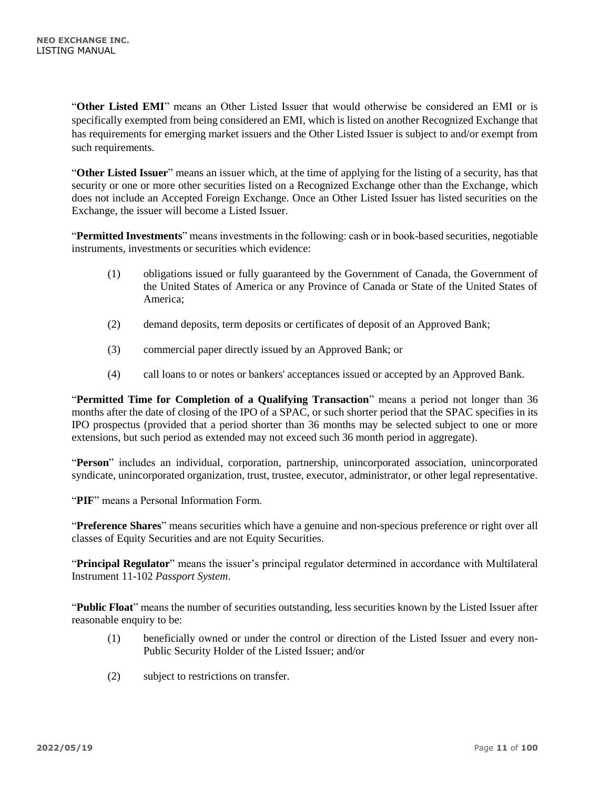"**Other Listed EMI**" means an Other Listed Issuer that would otherwise be considered an EMI or is specifically exempted from being considered an EMI, which is listed on another Recognized Exchange that has requirements for emerging market issuers and the Other Listed Issuer is subject to and/or exempt from such requirements.

"**Other Listed Issuer**" means an issuer which, at the time of applying for the listing of a security, has that security or one or more other securities listed on a Recognized Exchange other than the Exchange, which does not include an Accepted Foreign Exchange. Once an Other Listed Issuer has listed securities on the Exchange, the issuer will become a Listed Issuer.

"**Permitted Investments**" means investments in the following: cash or in book-based securities, negotiable instruments, investments or securities which evidence:

- (1) obligations issued or fully guaranteed by the Government of Canada, the Government of the United States of America or any Province of Canada or State of the United States of America;
- (2) demand deposits, term deposits or certificates of deposit of an Approved Bank;
- (3) commercial paper directly issued by an Approved Bank; or
- (4) call loans to or notes or bankers' acceptances issued or accepted by an Approved Bank.

"**Permitted Time for Completion of a Qualifying Transaction**" means a period not longer than 36 months after the date of closing of the IPO of a SPAC, or such shorter period that the SPAC specifies in its IPO prospectus (provided that a period shorter than 36 months may be selected subject to one or more extensions, but such period as extended may not exceed such 36 month period in aggregate).

"**Person**" includes an individual, corporation, partnership, unincorporated association, unincorporated syndicate, unincorporated organization, trust, trustee, executor, administrator, or other legal representative.

"**PIF**" means a Personal Information Form.

"**Preference Shares**" means securities which have a genuine and non-specious preference or right over all classes of Equity Securities and are not Equity Securities.

"**Principal Regulator**" means the issuer's principal regulator determined in accordance with Multilateral Instrument 11-102 *Passport System*.

"**Public Float**" means the number of securities outstanding, less securities known by the Listed Issuer after reasonable enquiry to be:

- (1) beneficially owned or under the control or direction of the Listed Issuer and every non-Public Security Holder of the Listed Issuer; and/or
- (2) subject to restrictions on transfer.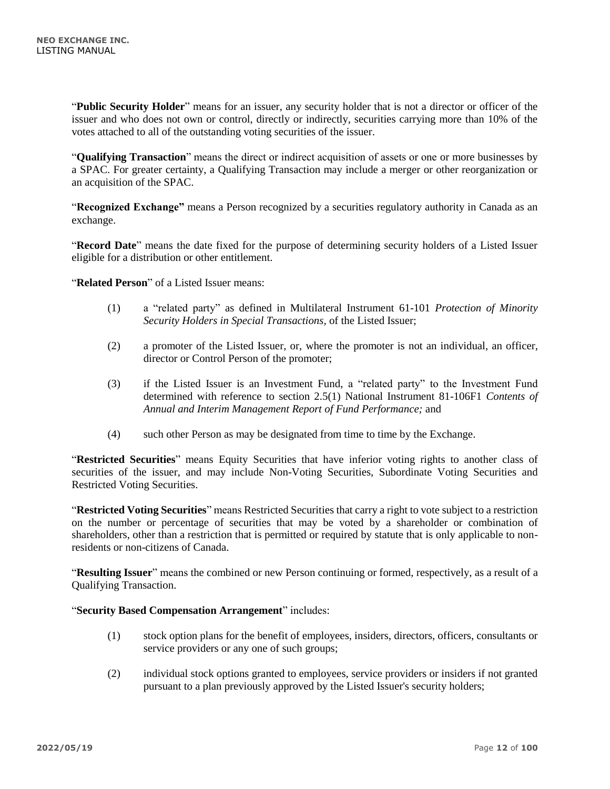"**Public Security Holder**" means for an issuer, any security holder that is not a director or officer of the issuer and who does not own or control, directly or indirectly, securities carrying more than 10% of the votes attached to all of the outstanding voting securities of the issuer.

"**Qualifying Transaction**" means the direct or indirect acquisition of assets or one or more businesses by a SPAC. For greater certainty, a Qualifying Transaction may include a merger or other reorganization or an acquisition of the SPAC.

"**Recognized Exchange"** means a Person recognized by a securities regulatory authority in Canada as an exchange.

"**Record Date**" means the date fixed for the purpose of determining security holders of a Listed Issuer eligible for a distribution or other entitlement.

"**Related Person**" of a Listed Issuer means:

- (1) a "related party" as defined in Multilateral Instrument 61-101 *Protection of Minority Security Holders in Special Transactions,* of the Listed Issuer;
- (2) a promoter of the Listed Issuer, or, where the promoter is not an individual, an officer, director or Control Person of the promoter;
- (3) if the Listed Issuer is an Investment Fund, a "related party" to the Investment Fund determined with reference to section 2.5(1) National Instrument 81-106F1 *Contents of Annual and Interim Management Report of Fund Performance;* and
- (4) such other Person as may be designated from time to time by the Exchange.

"**Restricted Securities**" means Equity Securities that have inferior voting rights to another class of securities of the issuer, and may include Non-Voting Securities, Subordinate Voting Securities and Restricted Voting Securities.

"**Restricted Voting Securities**" means Restricted Securities that carry a right to vote subject to a restriction on the number or percentage of securities that may be voted by a shareholder or combination of shareholders, other than a restriction that is permitted or required by statute that is only applicable to nonresidents or non-citizens of Canada.

"**Resulting Issuer**" means the combined or new Person continuing or formed, respectively, as a result of a Qualifying Transaction.

#### "**Security Based Compensation Arrangement**" includes:

- (1) stock option plans for the benefit of employees, insiders, directors, officers, consultants or service providers or any one of such groups;
- (2) individual stock options granted to employees, service providers or insiders if not granted pursuant to a plan previously approved by the Listed Issuer's security holders;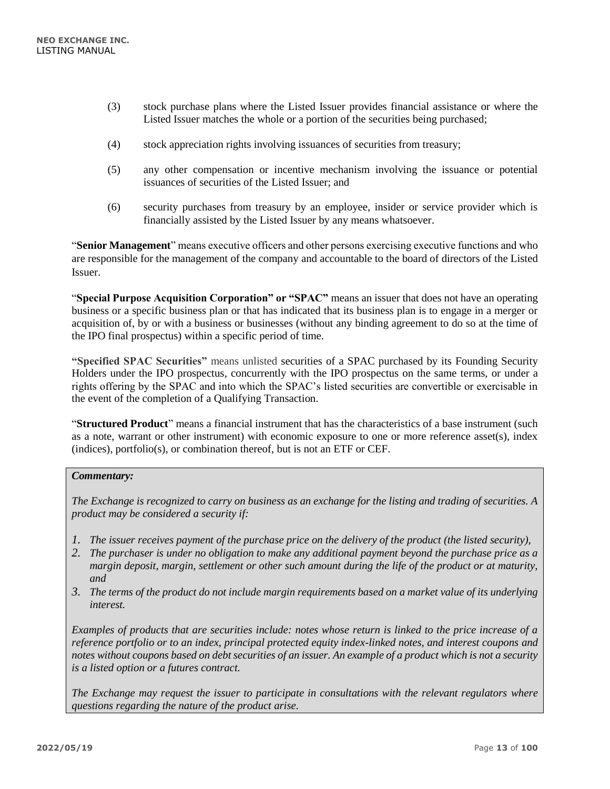- (3) stock purchase plans where the Listed Issuer provides financial assistance or where the Listed Issuer matches the whole or a portion of the securities being purchased;
- (4) stock appreciation rights involving issuances of securities from treasury;
- (5) any other compensation or incentive mechanism involving the issuance or potential issuances of securities of the Listed Issuer; and
- (6) security purchases from treasury by an employee, insider or service provider which is financially assisted by the Listed Issuer by any means whatsoever.

"**Senior Management**" means executive officers and other persons exercising executive functions and who are responsible for the management of the company and accountable to the board of directors of the Listed Issuer.

"**Special Purpose Acquisition Corporation" or "SPAC"** means an issuer that does not have an operating business or a specific business plan or that has indicated that its business plan is to engage in a merger or acquisition of, by or with a business or businesses (without any binding agreement to do so at the time of the IPO final prospectus) within a specific period of time.

**"Specified SPAC Securities"** means unlisted securities of a SPAC purchased by its Founding Security Holders under the IPO prospectus, concurrently with the IPO prospectus on the same terms, or under a rights offering by the SPAC and into which the SPAC's listed securities are convertible or exercisable in the event of the completion of a Qualifying Transaction.

"**Structured Product**" means a financial instrument that has the characteristics of a base instrument (such as a note, warrant or other instrument) with economic exposure to one or more reference asset(s), index (indices), portfolio(s), or combination thereof, but is not an ETF or CEF.

#### *Commentary:*

*The Exchange is recognized to carry on business as an exchange for the listing and trading of securities. A product may be considered a security if:*

- *1. The issuer receives payment of the purchase price on the delivery of the product (the listed security),*
- *2. The purchaser is under no obligation to make any additional payment beyond the purchase price as a margin deposit, margin, settlement or other such amount during the life of the product or at maturity, and*
- *3. The terms of the product do not include margin requirements based on a market value of its underlying interest.*

*Examples of products that are securities include: notes whose return is linked to the price increase of a reference portfolio or to an index, principal protected equity index-linked notes, and interest coupons and notes without coupons based on debt securities of an issuer. An example of a product which is not a security is a listed option or a futures contract.*

*The Exchange may request the issuer to participate in consultations with the relevant regulators where questions regarding the nature of the product arise.*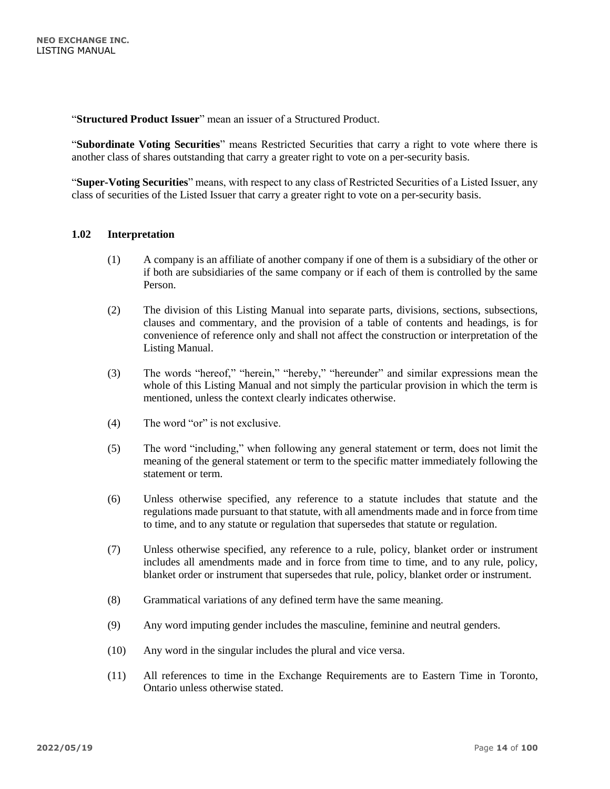"**Structured Product Issuer**" mean an issuer of a Structured Product.

"**Subordinate Voting Securities**" means Restricted Securities that carry a right to vote where there is another class of shares outstanding that carry a greater right to vote on a per-security basis.

"**Super-Voting Securities**" means, with respect to any class of Restricted Securities of a Listed Issuer, any class of securities of the Listed Issuer that carry a greater right to vote on a per-security basis.

#### <span id="page-13-0"></span>**1.02 Interpretation**

- (1) A company is an affiliate of another company if one of them is a subsidiary of the other or if both are subsidiaries of the same company or if each of them is controlled by the same Person.
- (2) The division of this Listing Manual into separate parts, divisions, sections, subsections, clauses and commentary, and the provision of a table of contents and headings, is for convenience of reference only and shall not affect the construction or interpretation of the Listing Manual.
- (3) The words "hereof," "herein," "hereby," "hereunder" and similar expressions mean the whole of this Listing Manual and not simply the particular provision in which the term is mentioned, unless the context clearly indicates otherwise.
- (4) The word "or" is not exclusive.
- (5) The word "including," when following any general statement or term, does not limit the meaning of the general statement or term to the specific matter immediately following the statement or term.
- (6) Unless otherwise specified, any reference to a statute includes that statute and the regulations made pursuant to that statute, with all amendments made and in force from time to time, and to any statute or regulation that supersedes that statute or regulation.
- (7) Unless otherwise specified, any reference to a rule, policy, blanket order or instrument includes all amendments made and in force from time to time, and to any rule, policy, blanket order or instrument that supersedes that rule, policy, blanket order or instrument.
- (8) Grammatical variations of any defined term have the same meaning.
- (9) Any word imputing gender includes the masculine, feminine and neutral genders.
- (10) Any word in the singular includes the plural and vice versa.
- (11) All references to time in the Exchange Requirements are to Eastern Time in Toronto, Ontario unless otherwise stated.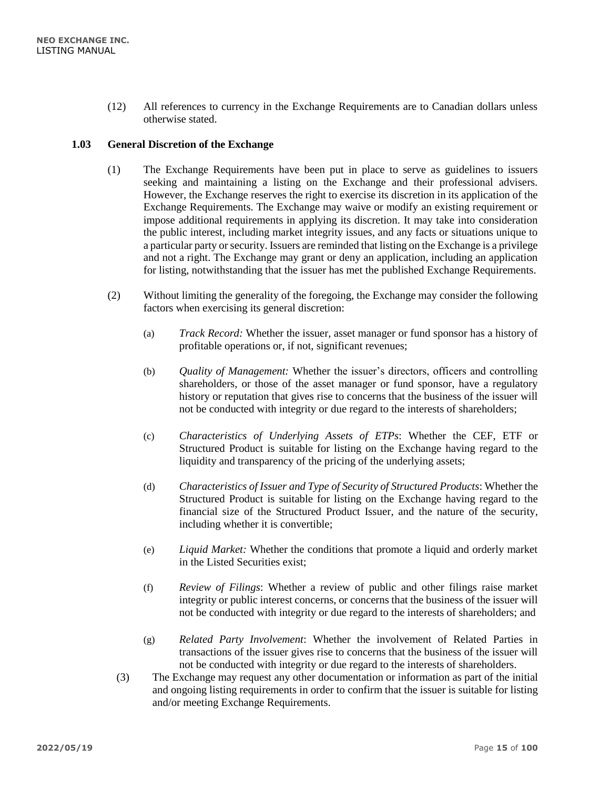(12) All references to currency in the Exchange Requirements are to Canadian dollars unless otherwise stated.

# <span id="page-14-0"></span>**1.03 General Discretion of the Exchange**

- (1) The Exchange Requirements have been put in place to serve as guidelines to issuers seeking and maintaining a listing on the Exchange and their professional advisers. However, the Exchange reserves the right to exercise its discretion in its application of the Exchange Requirements. The Exchange may waive or modify an existing requirement or impose additional requirements in applying its discretion. It may take into consideration the public interest, including market integrity issues, and any facts or situations unique to a particular party or security. Issuers are reminded that listing on the Exchange is a privilege and not a right. The Exchange may grant or deny an application, including an application for listing, notwithstanding that the issuer has met the published Exchange Requirements.
- (2) Without limiting the generality of the foregoing, the Exchange may consider the following factors when exercising its general discretion:
	- (a) *Track Record:* Whether the issuer, asset manager or fund sponsor has a history of profitable operations or, if not, significant revenues;
	- (b) *Quality of Management:* Whether the issuer's directors, officers and controlling shareholders, or those of the asset manager or fund sponsor, have a regulatory history or reputation that gives rise to concerns that the business of the issuer will not be conducted with integrity or due regard to the interests of shareholders;
	- (c) *Characteristics of Underlying Assets of ETPs*: Whether the CEF, ETF or Structured Product is suitable for listing on the Exchange having regard to the liquidity and transparency of the pricing of the underlying assets;
	- (d) *Characteristics of Issuer and Type of Security of Structured Products*: Whether the Structured Product is suitable for listing on the Exchange having regard to the financial size of the Structured Product Issuer, and the nature of the security, including whether it is convertible;
	- (e) *Liquid Market:* Whether the conditions that promote a liquid and orderly market in the Listed Securities exist;
	- (f) *Review of Filings*: Whether a review of public and other filings raise market integrity or public interest concerns, or concerns that the business of the issuer will not be conducted with integrity or due regard to the interests of shareholders; and
	- (g) *Related Party Involvement*: Whether the involvement of Related Parties in transactions of the issuer gives rise to concerns that the business of the issuer will not be conducted with integrity or due regard to the interests of shareholders.
	- (3) The Exchange may request any other documentation or information as part of the initial and ongoing listing requirements in order to confirm that the issuer is suitable for listing and/or meeting Exchange Requirements.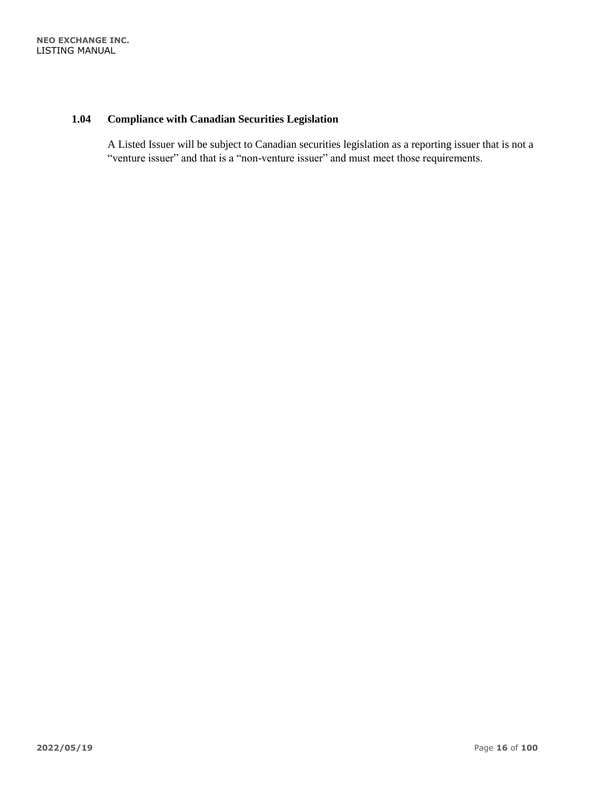# <span id="page-15-0"></span>**1.04 Compliance with Canadian Securities Legislation**

A Listed Issuer will be subject to Canadian securities legislation as a reporting issuer that is not a "venture issuer" and that is a "non-venture issuer" and must meet those requirements.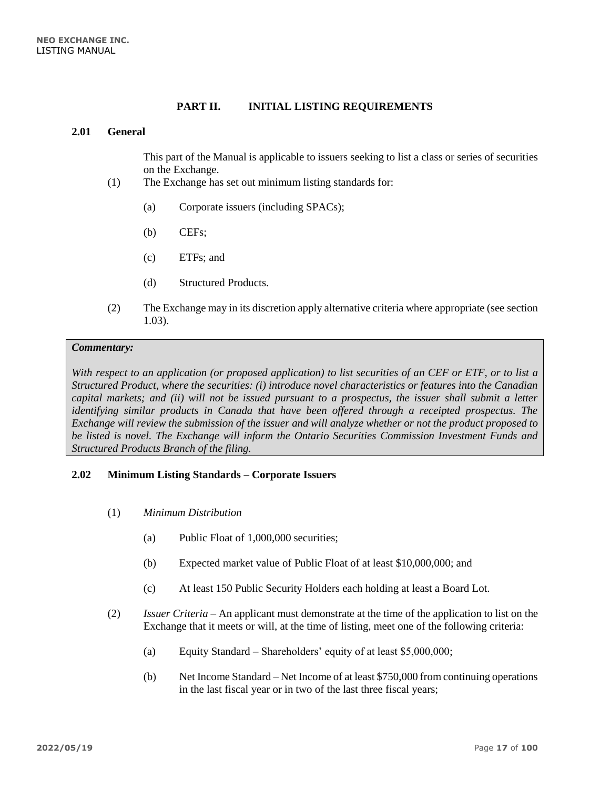#### **PART II. INITIAL LISTING REQUIREMENTS**

#### <span id="page-16-1"></span><span id="page-16-0"></span>**2.01 General**

This part of the Manual is applicable to issuers seeking to list a class or series of securities on the Exchange.

- (1) The Exchange has set out minimum listing standards for:
	- (a) Corporate issuers (including SPACs);
	- (b) CEFs;
	- (c) ETFs; and
	- (d) Structured Products.
- (2) The Exchange may in its discretion apply alternative criteria where appropriate (see section 1.03).

#### *Commentary:*

*With respect to an application (or proposed application) to list securities of an CEF or ETF, or to list a Structured Product, where the securities: (i) introduce novel characteristics or features into the Canadian capital markets; and (ii) will not be issued pursuant to a prospectus, the issuer shall submit a letter identifying similar products in Canada that have been offered through a receipted prospectus. The Exchange will review the submission of the issuer and will analyze whether or not the product proposed to be listed is novel. The Exchange will inform the Ontario Securities Commission Investment Funds and Structured Products Branch of the filing.*

#### <span id="page-16-2"></span>**2.02 Minimum Listing Standards – Corporate Issuers**

- (1) *Minimum Distribution* 
	- (a) Public Float of 1,000,000 securities;
	- (b) Expected market value of Public Float of at least \$10,000,000; and
	- (c) At least 150 Public Security Holders each holding at least a Board Lot.
- (2) *Issuer Criteria* An applicant must demonstrate at the time of the application to list on the Exchange that it meets or will, at the time of listing, meet one of the following criteria:
	- (a) Equity Standard Shareholders' equity of at least \$5,000,000;
	- (b) Net Income Standard Net Income of at least \$750,000 from continuing operations in the last fiscal year or in two of the last three fiscal years;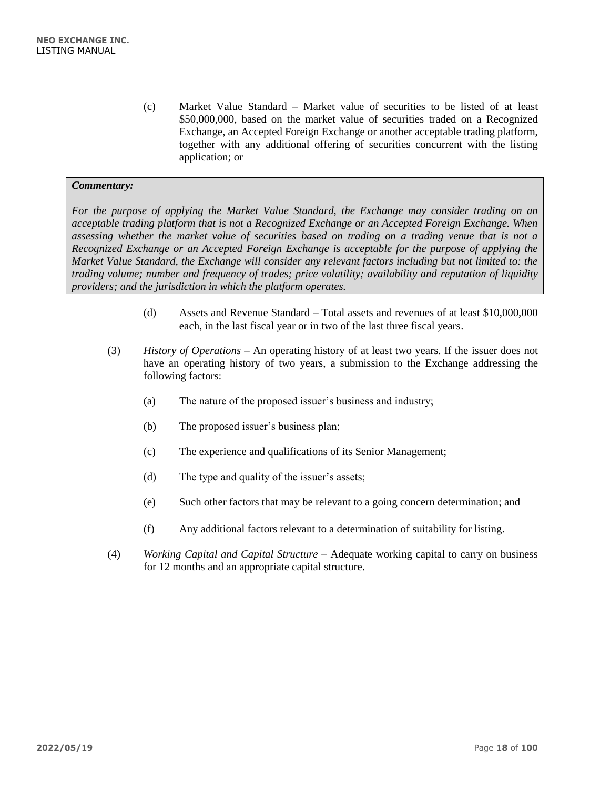(c) Market Value Standard – Market value of securities to be listed of at least \$50,000,000, based on the market value of securities traded on a Recognized Exchange, an Accepted Foreign Exchange or another acceptable trading platform, together with any additional offering of securities concurrent with the listing application; or

#### *Commentary:*

*For the purpose of applying the Market Value Standard, the Exchange may consider trading on an acceptable trading platform that is not a Recognized Exchange or an Accepted Foreign Exchange. When assessing whether the market value of securities based on trading on a trading venue that is not a Recognized Exchange or an Accepted Foreign Exchange is acceptable for the purpose of applying the Market Value Standard, the Exchange will consider any relevant factors including but not limited to: the trading volume; number and frequency of trades; price volatility; availability and reputation of liquidity providers; and the jurisdiction in which the platform operates.*

- (d) Assets and Revenue Standard Total assets and revenues of at least \$10,000,000 each, in the last fiscal year or in two of the last three fiscal years.
- (3) *History of Operations –* An operating history of at least two years. If the issuer does not have an operating history of two years, a submission to the Exchange addressing the following factors:
	- (a) The nature of the proposed issuer's business and industry;
	- (b) The proposed issuer's business plan;
	- (c) The experience and qualifications of its Senior Management;
	- (d) The type and quality of the issuer's assets;
	- (e) Such other factors that may be relevant to a going concern determination; and
	- (f) Any additional factors relevant to a determination of suitability for listing.
- (4) *Working Capital and Capital Structure*  Adequate working capital to carry on business for 12 months and an appropriate capital structure.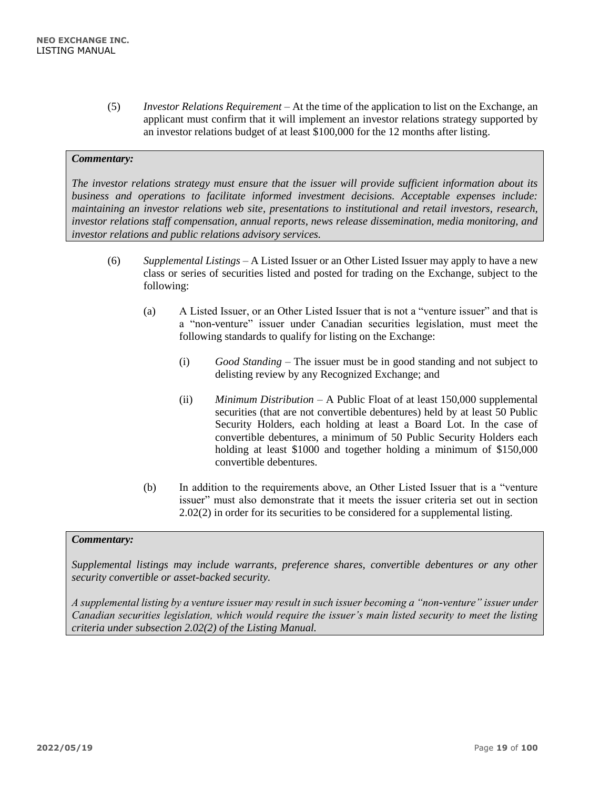(5) *Investor Relations Requirement –* At the time of the application to list on the Exchange, an applicant must confirm that it will implement an investor relations strategy supported by an investor relations budget of at least \$100,000 for the 12 months after listing.

# *Commentary:*

*The investor relations strategy must ensure that the issuer will provide sufficient information about its business and operations to facilitate informed investment decisions. Acceptable expenses include: maintaining an investor relations web site, presentations to institutional and retail investors, research, investor relations staff compensation, annual reports, news release dissemination, media monitoring, and investor relations and public relations advisory services.* 

- (6) *Supplemental Listings –* A Listed Issuer or an Other Listed Issuer may apply to have a new class or series of securities listed and posted for trading on the Exchange, subject to the following:
	- (a) A Listed Issuer, or an Other Listed Issuer that is not a "venture issuer" and that is a "non-venture" issuer under Canadian securities legislation, must meet the following standards to qualify for listing on the Exchange:
		- (i) *Good Standing* The issuer must be in good standing and not subject to delisting review by any Recognized Exchange; and
		- (ii) *Minimum Distribution*  A Public Float of at least 150,000 supplemental securities (that are not convertible debentures) held by at least 50 Public Security Holders, each holding at least a Board Lot. In the case of convertible debentures, a minimum of 50 Public Security Holders each holding at least \$1000 and together holding a minimum of \$150,000 convertible debentures.
	- (b) In addition to the requirements above, an Other Listed Issuer that is a "venture issuer" must also demonstrate that it meets the issuer criteria set out in section 2.02(2) in order for its securities to be considered for a supplemental listing.

#### *Commentary:*

*Supplemental listings may include warrants, preference shares, convertible debentures or any other security convertible or asset-backed security.*

*A supplemental listing by a venture issuer may result in such issuer becoming a "non-venture" issuer under Canadian securities legislation, which would require the issuer's main listed security to meet the listing criteria under subsection 2.02(2) of the Listing Manual.*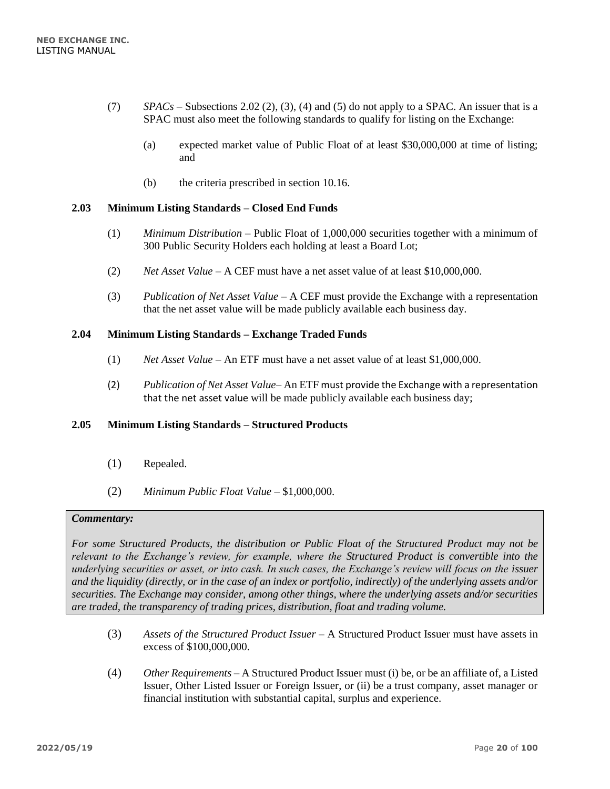- (7) *SPACs* Subsections 2.02 (2), (3), (4) and (5) do not apply to a SPAC. An issuer that is a SPAC must also meet the following standards to qualify for listing on the Exchange:
	- (a) expected market value of Public Float of at least \$30,000,000 at time of listing; and
	- (b) the criteria prescribed in section 10.16.

# <span id="page-19-0"></span>**2.03 Minimum Listing Standards – Closed End Funds**

- (1) *Minimum Distribution*  Public Float of 1,000,000 securities together with a minimum of 300 Public Security Holders each holding at least a Board Lot;
- (2) *Net Asset Value*  A CEF must have a net asset value of at least \$10,000,000.
- (3) *Publication of Net Asset Value*  A CEF must provide the Exchange with a representation that the net asset value will be made publicly available each business day.

# <span id="page-19-1"></span>**2.04 Minimum Listing Standards – Exchange Traded Funds**

- (1) *Net Asset Value*  An ETF must have a net asset value of at least \$1,000,000.
- (2) *Publication of Net Asset Value* An ETF must provide the Exchange with a representation that the net asset value will be made publicly available each business day;

#### <span id="page-19-2"></span>**2.05 Minimum Listing Standards – Structured Products**

- (1) Repealed.
- (2) *Minimum Public Float Value*  \$1,000,000.

#### *Commentary:*

*For some Structured Products, the distribution or Public Float of the Structured Product may not be relevant to the Exchange's review, for example, where the Structured Product is convertible into the underlying securities or asset, or into cash. In such cases, the Exchange's review will focus on the issuer and the liquidity (directly, or in the case of an index or portfolio, indirectly) of the underlying assets and/or securities. The Exchange may consider, among other things, where the underlying assets and/or securities are traded, the transparency of trading prices, distribution, float and trading volume.*

- (3) *Assets of the Structured Product Issuer* A Structured Product Issuer must have assets in excess of \$100,000,000.
- (4) *Other Requirements* A Structured Product Issuer must (i) be, or be an affiliate of, a Listed Issuer, Other Listed Issuer or Foreign Issuer, or (ii) be a trust company, asset manager or financial institution with substantial capital, surplus and experience.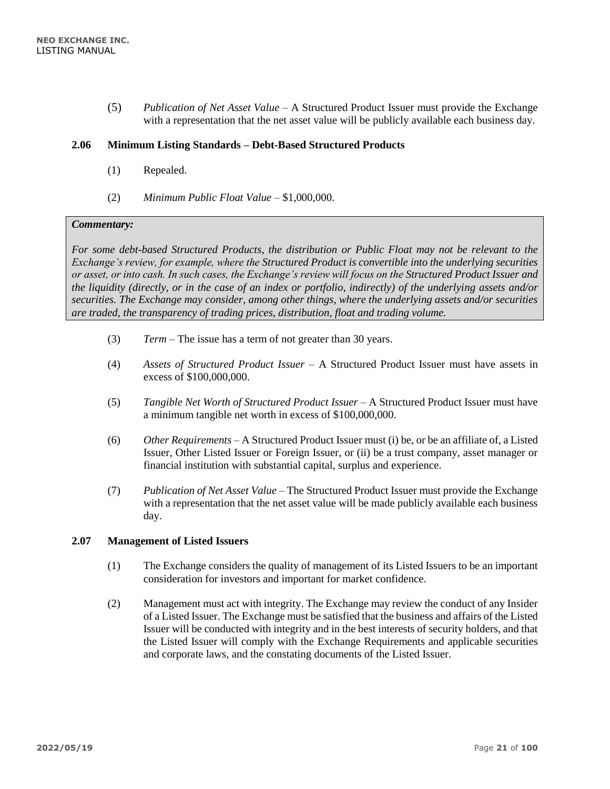(5) *Publication of Net Asset Value* – A Structured Product Issuer must provide the Exchange with a representation that the net asset value will be publicly available each business day.

#### <span id="page-20-0"></span>**2.06 Minimum Listing Standards – Debt-Based Structured Products**

- (1) Repealed.
- (2) *Minimum Public Float Value*  \$1,000,000.

#### *Commentary:*

*For some debt-based Structured Products, the distribution or Public Float may not be relevant to the Exchange's review, for example, where the Structured Product is convertible into the underlying securities or asset, or into cash. In such cases, the Exchange's review will focus on the Structured Product Issuer and the liquidity (directly, or in the case of an index or portfolio, indirectly) of the underlying assets and/or securities. The Exchange may consider, among other things, where the underlying assets and/or securities are traded, the transparency of trading prices, distribution, float and trading volume.*

- (3) *Term* The issue has a term of not greater than 30 years.
- (4) *Assets of Structured Product Issuer* A Structured Product Issuer must have assets in excess of \$100,000,000.
- (5) *Tangible Net Worth of Structured Product Issuer* A Structured Product Issuer must have a minimum tangible net worth in excess of \$100,000,000.
- (6) *Other Requirements* A Structured Product Issuer must (i) be, or be an affiliate of, a Listed Issuer, Other Listed Issuer or Foreign Issuer, or (ii) be a trust company, asset manager or financial institution with substantial capital, surplus and experience.
- (7) *Publication of Net Asset Value*  The Structured Product Issuer must provide the Exchange with a representation that the net asset value will be made publicly available each business day.

#### <span id="page-20-1"></span>**2.07 Management of Listed Issuers**

- (1) The Exchange considers the quality of management of its Listed Issuers to be an important consideration for investors and important for market confidence.
- (2) Management must act with integrity. The Exchange may review the conduct of any Insider of a Listed Issuer. The Exchange must be satisfied that the business and affairs of the Listed Issuer will be conducted with integrity and in the best interests of security holders, and that the Listed Issuer will comply with the Exchange Requirements and applicable securities and corporate laws, and the constating documents of the Listed Issuer.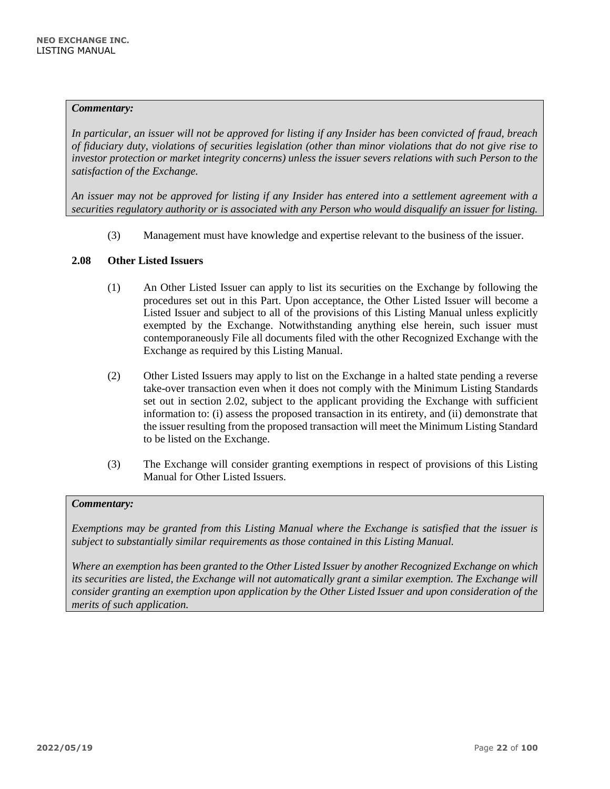#### *Commentary:*

*In particular, an issuer will not be approved for listing if any Insider has been convicted of fraud, breach of fiduciary duty, violations of securities legislation (other than minor violations that do not give rise to investor protection or market integrity concerns) unless the issuer severs relations with such Person to the satisfaction of the Exchange.*

*An issuer may not be approved for listing if any Insider has entered into a settlement agreement with a securities regulatory authority or is associated with any Person who would disqualify an issuer for listing.*

(3) Management must have knowledge and expertise relevant to the business of the issuer.

# <span id="page-21-0"></span>**2.08 Other Listed Issuers**

- (1) An Other Listed Issuer can apply to list its securities on the Exchange by following the procedures set out in this Part. Upon acceptance, the Other Listed Issuer will become a Listed Issuer and subject to all of the provisions of this Listing Manual unless explicitly exempted by the Exchange. Notwithstanding anything else herein, such issuer must contemporaneously File all documents filed with the other Recognized Exchange with the Exchange as required by this Listing Manual.
- (2) Other Listed Issuers may apply to list on the Exchange in a halted state pending a reverse take-over transaction even when it does not comply with the Minimum Listing Standards set out in section 2.02, subject to the applicant providing the Exchange with sufficient information to: (i) assess the proposed transaction in its entirety, and (ii) demonstrate that the issuer resulting from the proposed transaction will meet the Minimum Listing Standard to be listed on the Exchange.
- (3) The Exchange will consider granting exemptions in respect of provisions of this Listing Manual for Other Listed Issuers.

#### *Commentary:*

*Exemptions may be granted from this Listing Manual where the Exchange is satisfied that the issuer is subject to substantially similar requirements as those contained in this Listing Manual.*

*Where an exemption has been granted to the Other Listed Issuer by another Recognized Exchange on which its securities are listed, the Exchange will not automatically grant a similar exemption. The Exchange will consider granting an exemption upon application by the Other Listed Issuer and upon consideration of the merits of such application.*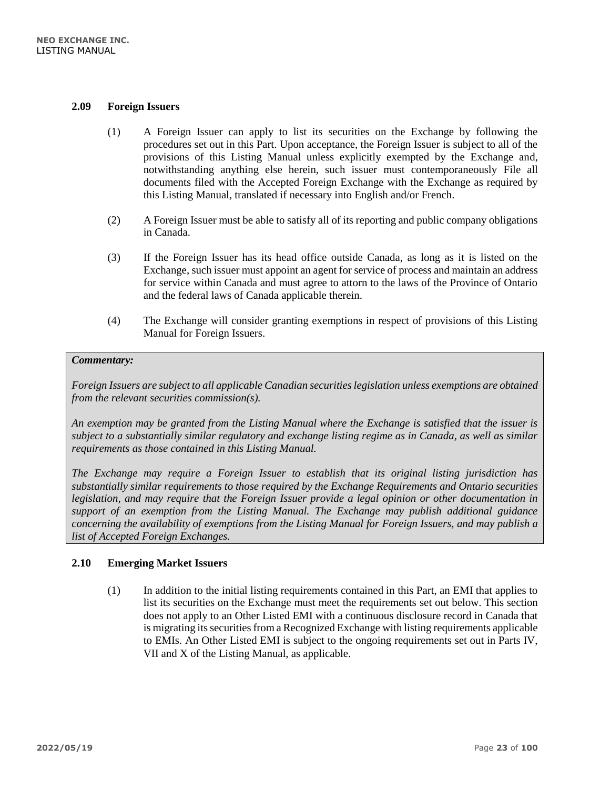#### <span id="page-22-0"></span>**2.09 Foreign Issuers**

- (1) A Foreign Issuer can apply to list its securities on the Exchange by following the procedures set out in this Part. Upon acceptance, the Foreign Issuer is subject to all of the provisions of this Listing Manual unless explicitly exempted by the Exchange and, notwithstanding anything else herein, such issuer must contemporaneously File all documents filed with the Accepted Foreign Exchange with the Exchange as required by this Listing Manual, translated if necessary into English and/or French.
- (2) A Foreign Issuer must be able to satisfy all of its reporting and public company obligations in Canada.
- (3) If the Foreign Issuer has its head office outside Canada, as long as it is listed on the Exchange, such issuer must appoint an agent for service of process and maintain an address for service within Canada and must agree to attorn to the laws of the Province of Ontario and the federal laws of Canada applicable therein.
- (4) The Exchange will consider granting exemptions in respect of provisions of this Listing Manual for Foreign Issuers.

#### *Commentary:*

*Foreign Issuers are subject to all applicable Canadian securities legislation unless exemptions are obtained from the relevant securities commission(s).* 

*An exemption may be granted from the Listing Manual where the Exchange is satisfied that the issuer is subject to a substantially similar regulatory and exchange listing regime as in Canada, as well as similar requirements as those contained in this Listing Manual.* 

*The Exchange may require a Foreign Issuer to establish that its original listing jurisdiction has substantially similar requirements to those required by the Exchange Requirements and Ontario securities legislation, and may require that the Foreign Issuer provide a legal opinion or other documentation in support of an exemption from the Listing Manual. The Exchange may publish additional guidance concerning the availability of exemptions from the Listing Manual for Foreign Issuers, and may publish a list of Accepted Foreign Exchanges.* 

#### <span id="page-22-1"></span>**2.10 Emerging Market Issuers**

(1) In addition to the initial listing requirements contained in this Part, an EMI that applies to list its securities on the Exchange must meet the requirements set out below. This section does not apply to an Other Listed EMI with a continuous disclosure record in Canada that is migrating its securities from a Recognized Exchange with listing requirements applicable to EMIs. An Other Listed EMI is subject to the ongoing requirements set out in Parts IV, VII and X of the Listing Manual, as applicable.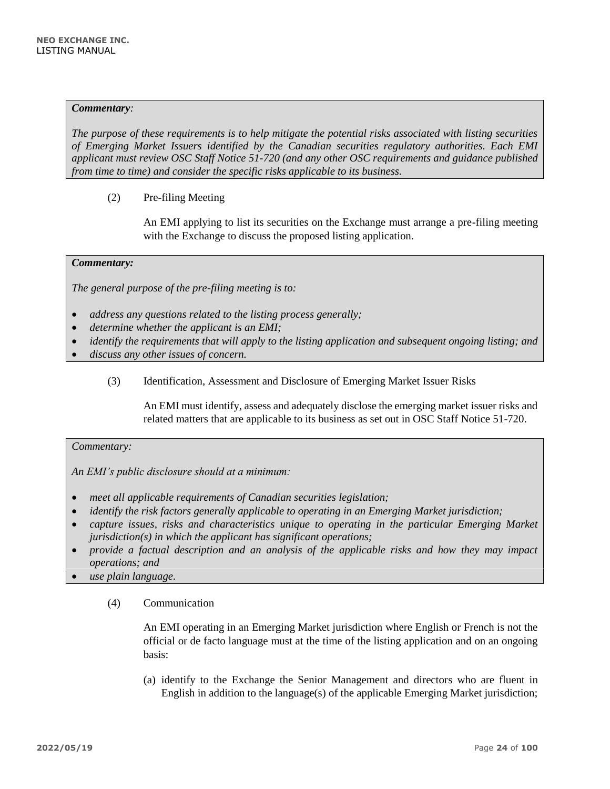#### *Commentary:*

*The purpose of these requirements is to help mitigate the potential risks associated with listing securities of Emerging Market Issuers identified by the Canadian securities regulatory authorities. Each EMI applicant must review OSC Staff Notice 51-720 (and any other OSC requirements and guidance published from time to time) and consider the specific risks applicable to its business.* 

(2) Pre-filing Meeting

An EMI applying to list its securities on the Exchange must arrange a pre-filing meeting with the Exchange to discuss the proposed listing application.

#### *Commentary:*

*The general purpose of the pre-filing meeting is to:*

- *address any questions related to the listing process generally;*
- *determine whether the applicant is an EMI;*
- *identify the requirements that will apply to the listing application and subsequent ongoing listing; and*
- *discuss any other issues of concern.*
	- (3) Identification, Assessment and Disclosure of Emerging Market Issuer Risks

An EMI must identify, assess and adequately disclose the emerging market issuer risks and related matters that are applicable to its business as set out in OSC Staff Notice 51-720.

#### *Commentary:*

*An EMI's public disclosure should at a minimum:*

- *meet all applicable requirements of Canadian securities legislation;*
- *identify the risk factors generally applicable to operating in an Emerging Market jurisdiction;*
- *capture issues, risks and characteristics unique to operating in the particular Emerging Market jurisdiction(s) in which the applicant has significant operations;*
- *provide a factual description and an analysis of the applicable risks and how they may impact operations; and*
- *use plain language.*
	- (4) Communication

An EMI operating in an Emerging Market jurisdiction where English or French is not the official or de facto language must at the time of the listing application and on an ongoing basis:

(a) identify to the Exchange the Senior Management and directors who are fluent in English in addition to the language(s) of the applicable Emerging Market jurisdiction;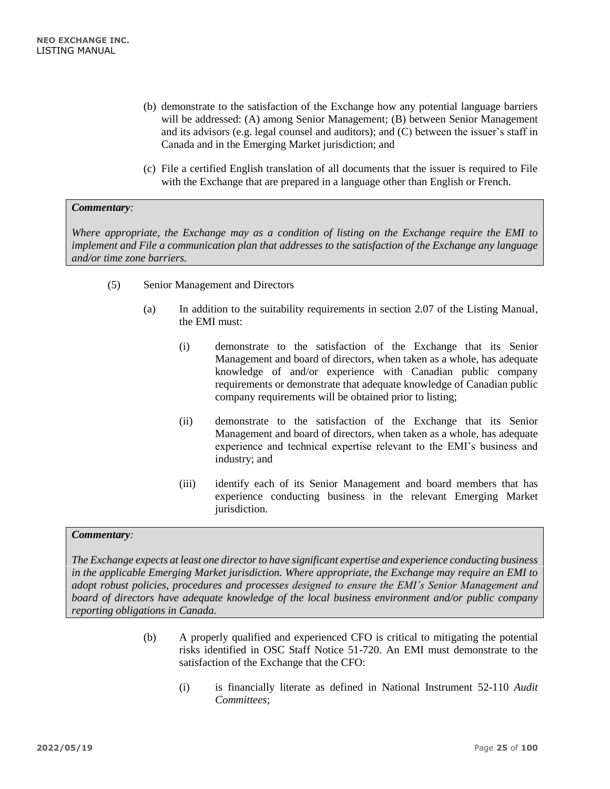- (b) demonstrate to the satisfaction of the Exchange how any potential language barriers will be addressed: (A) among Senior Management; (B) between Senior Management and its advisors (e.g. legal counsel and auditors); and (C) between the issuer's staff in Canada and in the Emerging Market jurisdiction; and
- (c) File a certified English translation of all documents that the issuer is required to File with the Exchange that are prepared in a language other than English or French.

# *Commentary:*

*Where appropriate, the Exchange may as a condition of listing on the Exchange require the EMI to implement and File a communication plan that addresses to the satisfaction of the Exchange any language and/or time zone barriers.* 

- (5) Senior Management and Directors
	- (a) In addition to the suitability requirements in section 2.07 of the Listing Manual, the EMI must:
		- (i) demonstrate to the satisfaction of the Exchange that its Senior Management and board of directors, when taken as a whole, has adequate knowledge of and/or experience with Canadian public company requirements or demonstrate that adequate knowledge of Canadian public company requirements will be obtained prior to listing;
		- (ii) demonstrate to the satisfaction of the Exchange that its Senior Management and board of directors, when taken as a whole, has adequate experience and technical expertise relevant to the EMI's business and industry; and
		- (iii) identify each of its Senior Management and board members that has experience conducting business in the relevant Emerging Market jurisdiction.

#### *Commentary:*

*The Exchange expects at least one director to have significant expertise and experience conducting business in the applicable Emerging Market jurisdiction. Where appropriate, the Exchange may require an EMI to adopt robust policies, procedures and processes designed to ensure the EMI's Senior Management and board of directors have adequate knowledge of the local business environment and/or public company reporting obligations in Canada.* 

- (b) A properly qualified and experienced CFO is critical to mitigating the potential risks identified in OSC Staff Notice 51-720. An EMI must demonstrate to the satisfaction of the Exchange that the CFO:
	- (i) is financially literate as defined in National Instrument 52-110 *Audit Committees*;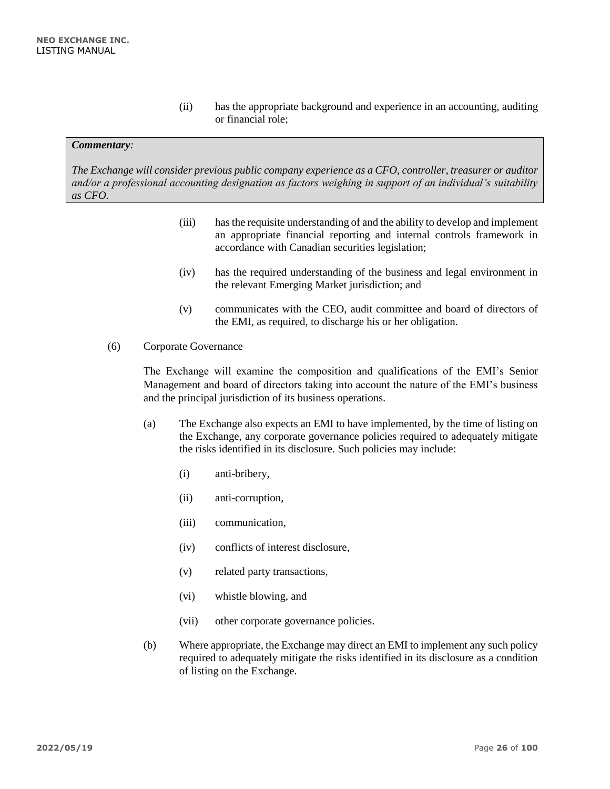(ii) has the appropriate background and experience in an accounting, auditing or financial role;

#### *Commentary:*

*The Exchange will consider previous public company experience as a CFO, controller, treasurer or auditor and/or a professional accounting designation as factors weighing in support of an individual's suitability as CFO.* 

- (iii) has the requisite understanding of and the ability to develop and implement an appropriate financial reporting and internal controls framework in accordance with Canadian securities legislation;
- (iv) has the required understanding of the business and legal environment in the relevant Emerging Market jurisdiction; and
- (v) communicates with the CEO, audit committee and board of directors of the EMI, as required, to discharge his or her obligation.
- (6) Corporate Governance

The Exchange will examine the composition and qualifications of the EMI's Senior Management and board of directors taking into account the nature of the EMI's business and the principal jurisdiction of its business operations.

- (a) The Exchange also expects an EMI to have implemented, by the time of listing on the Exchange, any corporate governance policies required to adequately mitigate the risks identified in its disclosure. Such policies may include:
	- (i) anti-bribery,
	- (ii) anti-corruption,
	- (iii) communication,
	- (iv) conflicts of interest disclosure,
	- (v) related party transactions,
	- (vi) whistle blowing, and
	- (vii) other corporate governance policies.
- (b) Where appropriate, the Exchange may direct an EMI to implement any such policy required to adequately mitigate the risks identified in its disclosure as a condition of listing on the Exchange.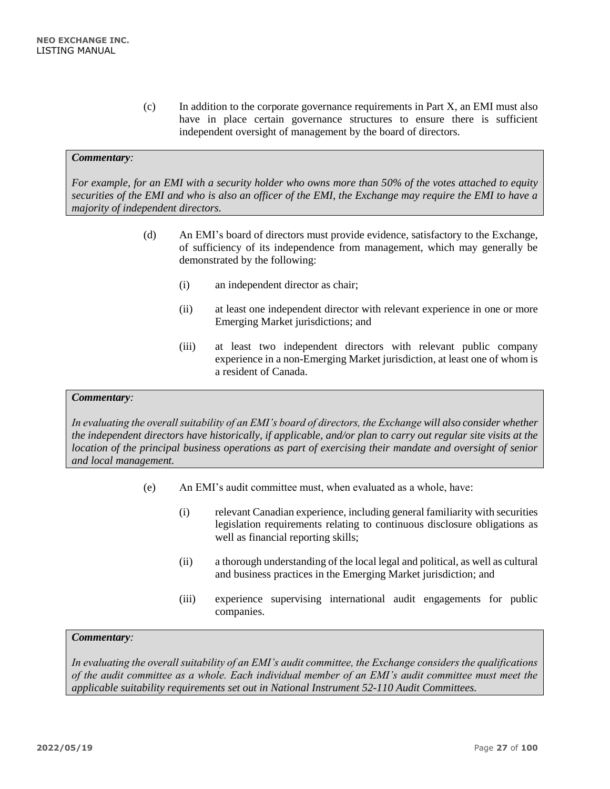(c) In addition to the corporate governance requirements in Part X, an EMI must also have in place certain governance structures to ensure there is sufficient independent oversight of management by the board of directors.

#### *Commentary:*

*For example, for an EMI with a security holder who owns more than 50% of the votes attached to equity securities of the EMI and who is also an officer of the EMI, the Exchange may require the EMI to have a majority of independent directors.* 

- (d) An EMI's board of directors must provide evidence, satisfactory to the Exchange, of sufficiency of its independence from management, which may generally be demonstrated by the following:
	- (i) an independent director as chair;
	- (ii) at least one independent director with relevant experience in one or more Emerging Market jurisdictions; and
	- (iii) at least two independent directors with relevant public company experience in a non-Emerging Market jurisdiction, at least one of whom is a resident of Canada.

#### *Commentary:*

*In evaluating the overall suitability of an EMI's board of directors, the Exchange will also consider whether the independent directors have historically, if applicable, and/or plan to carry out regular site visits at the location of the principal business operations as part of exercising their mandate and oversight of senior and local management.* 

- (e) An EMI's audit committee must, when evaluated as a whole, have:
	- (i) relevant Canadian experience, including general familiarity with securities legislation requirements relating to continuous disclosure obligations as well as financial reporting skills;
	- (ii) a thorough understanding of the local legal and political, as well as cultural and business practices in the Emerging Market jurisdiction; and
	- (iii) experience supervising international audit engagements for public companies.

#### *Commentary:*

*In evaluating the overall suitability of an EMI's audit committee, the Exchange considers the qualifications of the audit committee as a whole. Each individual member of an EMI's audit committee must meet the applicable suitability requirements set out in National Instrument 52-110 Audit Committees.*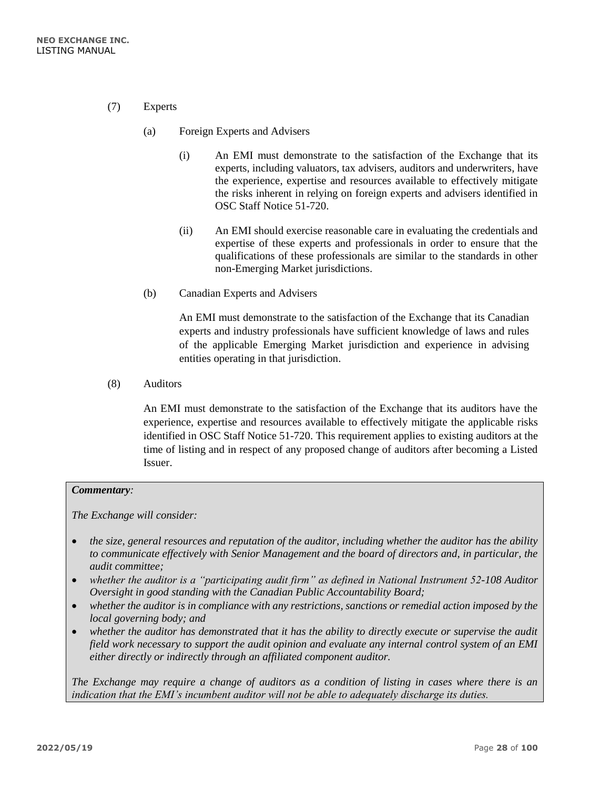- (7) Experts
	- (a) Foreign Experts and Advisers
		- (i) An EMI must demonstrate to the satisfaction of the Exchange that its experts, including valuators, tax advisers, auditors and underwriters, have the experience, expertise and resources available to effectively mitigate the risks inherent in relying on foreign experts and advisers identified in OSC Staff Notice 51-720.
		- (ii) An EMI should exercise reasonable care in evaluating the credentials and expertise of these experts and professionals in order to ensure that the qualifications of these professionals are similar to the standards in other non-Emerging Market jurisdictions.
	- (b) Canadian Experts and Advisers

An EMI must demonstrate to the satisfaction of the Exchange that its Canadian experts and industry professionals have sufficient knowledge of laws and rules of the applicable Emerging Market jurisdiction and experience in advising entities operating in that jurisdiction.

(8) Auditors

An EMI must demonstrate to the satisfaction of the Exchange that its auditors have the experience, expertise and resources available to effectively mitigate the applicable risks identified in OSC Staff Notice 51-720. This requirement applies to existing auditors at the time of listing and in respect of any proposed change of auditors after becoming a Listed Issuer.

#### *Commentary:*

*The Exchange will consider:*

- *the size, general resources and reputation of the auditor, including whether the auditor has the ability to communicate effectively with Senior Management and the board of directors and, in particular, the audit committee;*
- *whether the auditor is a "participating audit firm" as defined in National Instrument 52-108 Auditor Oversight in good standing with the Canadian Public Accountability Board;*
- *whether the auditor is in compliance with any restrictions, sanctions or remedial action imposed by the local governing body; and*
- *whether the auditor has demonstrated that it has the ability to directly execute or supervise the audit field work necessary to support the audit opinion and evaluate any internal control system of an EMI either directly or indirectly through an affiliated component auditor.*

*The Exchange may require a change of auditors as a condition of listing in cases where there is an indication that the EMI's incumbent auditor will not be able to adequately discharge its duties.*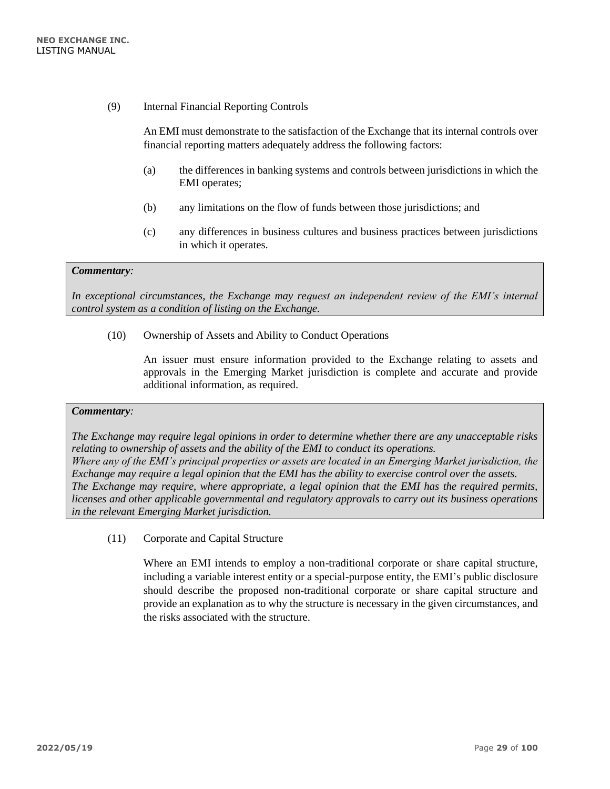(9) Internal Financial Reporting Controls

An EMI must demonstrate to the satisfaction of the Exchange that its internal controls over financial reporting matters adequately address the following factors:

- (a) the differences in banking systems and controls between jurisdictions in which the EMI operates;
- (b) any limitations on the flow of funds between those jurisdictions; and
- (c) any differences in business cultures and business practices between jurisdictions in which it operates.

#### *Commentary:*

*In exceptional circumstances, the Exchange may request an independent review of the EMI's internal control system as a condition of listing on the Exchange.* 

(10) Ownership of Assets and Ability to Conduct Operations

An issuer must ensure information provided to the Exchange relating to assets and approvals in the Emerging Market jurisdiction is complete and accurate and provide additional information, as required.

#### *Commentary:*

*The Exchange may require legal opinions in order to determine whether there are any unacceptable risks relating to ownership of assets and the ability of the EMI to conduct its operations. Where any of the EMI's principal properties or assets are located in an Emerging Market jurisdiction, the Exchange may require a legal opinion that the EMI has the ability to exercise control over the assets. The Exchange may require, where appropriate, a legal opinion that the EMI has the required permits, licenses and other applicable governmental and regulatory approvals to carry out its business operations in the relevant Emerging Market jurisdiction.*

(11) Corporate and Capital Structure

Where an EMI intends to employ a non-traditional corporate or share capital structure, including a variable interest entity or a special-purpose entity, the EMI's public disclosure should describe the proposed non-traditional corporate or share capital structure and provide an explanation as to why the structure is necessary in the given circumstances, and the risks associated with the structure.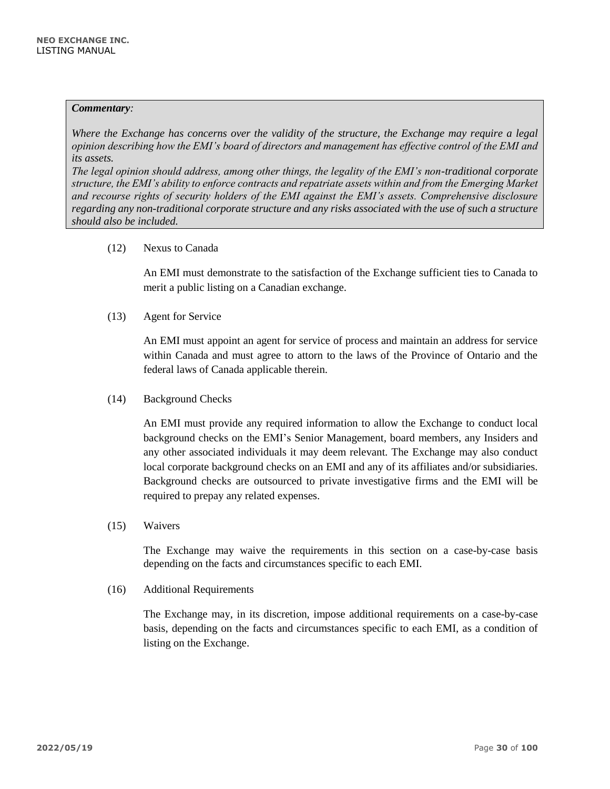#### *Commentary:*

*Where the Exchange has concerns over the validity of the structure, the Exchange may require a legal opinion describing how the EMI's board of directors and management has effective control of the EMI and its assets.*

*The legal opinion should address, among other things, the legality of the EMI's non-traditional corporate structure, the EMI's ability to enforce contracts and repatriate assets within and from the Emerging Market and recourse rights of security holders of the EMI against the EMI's assets. Comprehensive disclosure regarding any non-traditional corporate structure and any risks associated with the use of such a structure should also be included.*

# (12) Nexus to Canada

An EMI must demonstrate to the satisfaction of the Exchange sufficient ties to Canada to merit a public listing on a Canadian exchange.

# (13) Agent for Service

An EMI must appoint an agent for service of process and maintain an address for service within Canada and must agree to attorn to the laws of the Province of Ontario and the federal laws of Canada applicable therein.

(14) Background Checks

An EMI must provide any required information to allow the Exchange to conduct local background checks on the EMI's Senior Management, board members, any Insiders and any other associated individuals it may deem relevant. The Exchange may also conduct local corporate background checks on an EMI and any of its affiliates and/or subsidiaries. Background checks are outsourced to private investigative firms and the EMI will be required to prepay any related expenses.

(15) Waivers

The Exchange may waive the requirements in this section on a case-by-case basis depending on the facts and circumstances specific to each EMI.

(16) Additional Requirements

The Exchange may, in its discretion, impose additional requirements on a case-by-case basis, depending on the facts and circumstances specific to each EMI, as a condition of listing on the Exchange.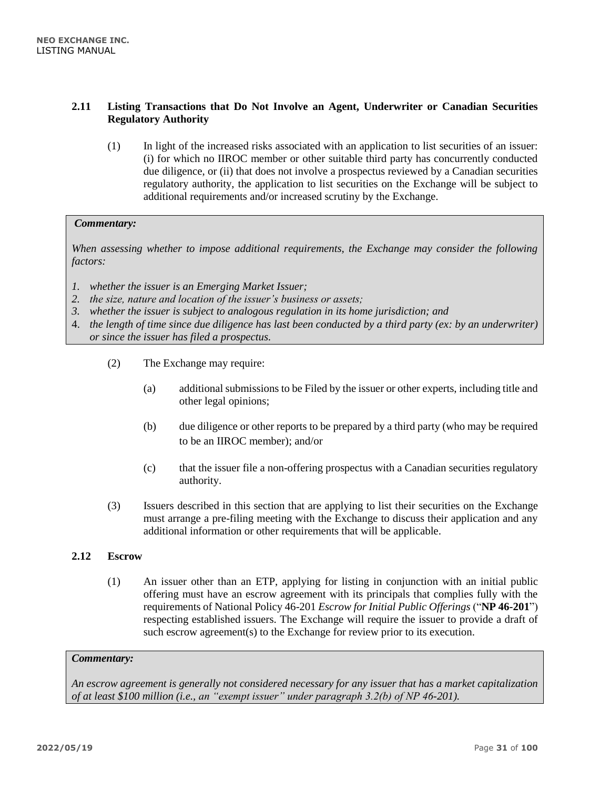# <span id="page-30-0"></span>**2.11 Listing Transactions that Do Not Involve an Agent, Underwriter or Canadian Securities Regulatory Authority**

(1) In light of the increased risks associated with an application to list securities of an issuer: (i) for which no IIROC member or other suitable third party has concurrently conducted due diligence, or (ii) that does not involve a prospectus reviewed by a Canadian securities regulatory authority, the application to list securities on the Exchange will be subject to additional requirements and/or increased scrutiny by the Exchange.

#### *Commentary:*

*When assessing whether to impose additional requirements, the Exchange may consider the following factors:*

- *1. whether the issuer is an Emerging Market Issuer;*
- *2. the size, nature and location of the issuer's business or assets;*
- *3. whether the issuer is subject to analogous regulation in its home jurisdiction; and*
- 4. *the length of time since due diligence has last been conducted by a third party (ex: by an underwriter) or since the issuer has filed a prospectus.*
	- (2) The Exchange may require:
		- (a) additional submissions to be Filed by the issuer or other experts, including title and other legal opinions;
		- (b) due diligence or other reports to be prepared by a third party (who may be required to be an IIROC member); and/or
		- (c) that the issuer file a non-offering prospectus with a Canadian securities regulatory authority.
	- (3) Issuers described in this section that are applying to list their securities on the Exchange must arrange a pre-filing meeting with the Exchange to discuss their application and any additional information or other requirements that will be applicable.

# <span id="page-30-1"></span>**2.12 Escrow**

(1) An issuer other than an ETP, applying for listing in conjunction with an initial public offering must have an escrow agreement with its principals that complies fully with the requirements of National Policy 46-201 *Escrow for Initial Public Offerings* ("**NP 46-201**") respecting established issuers*.* The Exchange will require the issuer to provide a draft of such escrow agreement(s) to the Exchange for review prior to its execution.

# *Commentary:*

*An escrow agreement is generally not considered necessary for any issuer that has a market capitalization of at least \$100 million (i.e., an "exempt issuer" under paragraph 3.2(b) of NP 46-201).*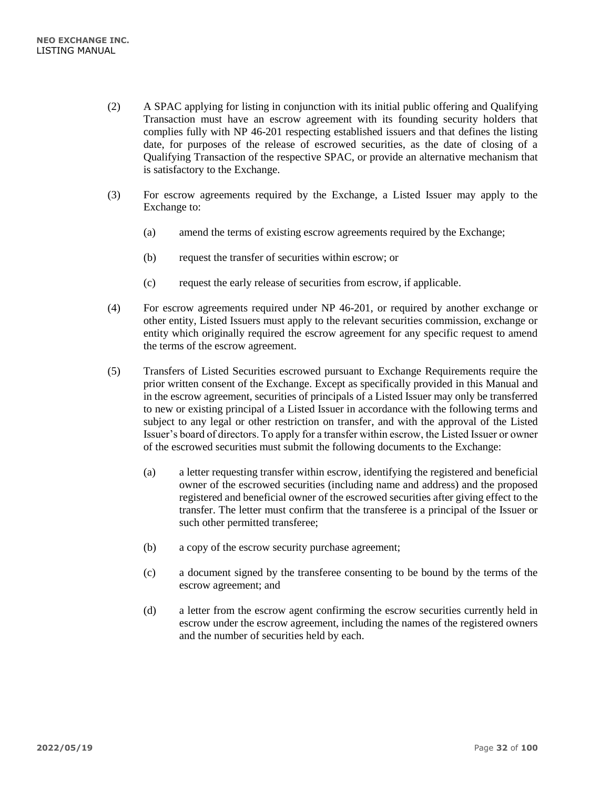- (2) A SPAC applying for listing in conjunction with its initial public offering and Qualifying Transaction must have an escrow agreement with its founding security holders that complies fully with NP 46-201 respecting established issuers and that defines the listing date, for purposes of the release of escrowed securities, as the date of closing of a Qualifying Transaction of the respective SPAC, or provide an alternative mechanism that is satisfactory to the Exchange.
- (3) For escrow agreements required by the Exchange, a Listed Issuer may apply to the Exchange to:
	- (a) amend the terms of existing escrow agreements required by the Exchange;
	- (b) request the transfer of securities within escrow; or
	- (c) request the early release of securities from escrow, if applicable.
- (4) For escrow agreements required under NP 46-201, or required by another exchange or other entity, Listed Issuers must apply to the relevant securities commission, exchange or entity which originally required the escrow agreement for any specific request to amend the terms of the escrow agreement.
- (5) Transfers of Listed Securities escrowed pursuant to Exchange Requirements require the prior written consent of the Exchange. Except as specifically provided in this Manual and in the escrow agreement, securities of principals of a Listed Issuer may only be transferred to new or existing principal of a Listed Issuer in accordance with the following terms and subject to any legal or other restriction on transfer, and with the approval of the Listed Issuer's board of directors. To apply for a transfer within escrow, the Listed Issuer or owner of the escrowed securities must submit the following documents to the Exchange:
	- (a) a letter requesting transfer within escrow, identifying the registered and beneficial owner of the escrowed securities (including name and address) and the proposed registered and beneficial owner of the escrowed securities after giving effect to the transfer. The letter must confirm that the transferee is a principal of the Issuer or such other permitted transferee;
	- (b) a copy of the escrow security purchase agreement;
	- (c) a document signed by the transferee consenting to be bound by the terms of the escrow agreement; and
	- (d) a letter from the escrow agent confirming the escrow securities currently held in escrow under the escrow agreement, including the names of the registered owners and the number of securities held by each.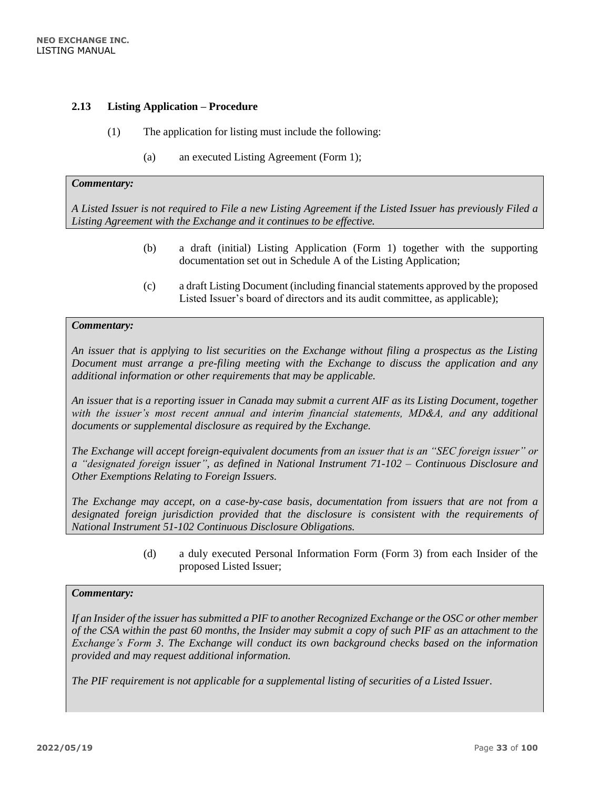#### <span id="page-32-0"></span>**2.13 Listing Application – Procedure**

- (1) The application for listing must include the following:
	- (a) an executed Listing Agreement (Form 1);

#### *Commentary:*

*A Listed Issuer is not required to File a new Listing Agreement if the Listed Issuer has previously Filed a Listing Agreement with the Exchange and it continues to be effective.*

- (b) a draft (initial) Listing Application (Form 1) together with the supporting documentation set out in Schedule A of the Listing Application;
- (c) a draft Listing Document (including financial statements approved by the proposed Listed Issuer's board of directors and its audit committee, as applicable);

#### *Commentary:*

*An issuer that is applying to list securities on the Exchange without filing a prospectus as the Listing Document must arrange a pre-filing meeting with the Exchange to discuss the application and any additional information or other requirements that may be applicable.*

*An issuer that is a reporting issuer in Canada may submit a current AIF as its Listing Document, together with the issuer's most recent annual and interim financial statements, MD&A, and any additional documents or supplemental disclosure as required by the Exchange.*

*The Exchange will accept foreign-equivalent documents from an issuer that is an "SEC foreign issuer" or a "designated foreign issuer", as defined in National Instrument 71-102 – Continuous Disclosure and Other Exemptions Relating to Foreign Issuers.* 

*The Exchange may accept, on a case-by-case basis, documentation from issuers that are not from a designated foreign jurisdiction provided that the disclosure is consistent with the requirements of National Instrument 51-102 Continuous Disclosure Obligations.*

> (d) a duly executed Personal Information Form (Form 3) from each Insider of the proposed Listed Issuer;

#### *Commentary:*

*If an Insider of the issuer has submitted a PIF to another Recognized Exchange or the OSC or other member of the CSA within the past 60 months, the Insider may submit a copy of such PIF as an attachment to the Exchange's Form 3. The Exchange will conduct its own background checks based on the information provided and may request additional information.*

*The PIF requirement is not applicable for a supplemental listing of securities of a Listed Issuer.*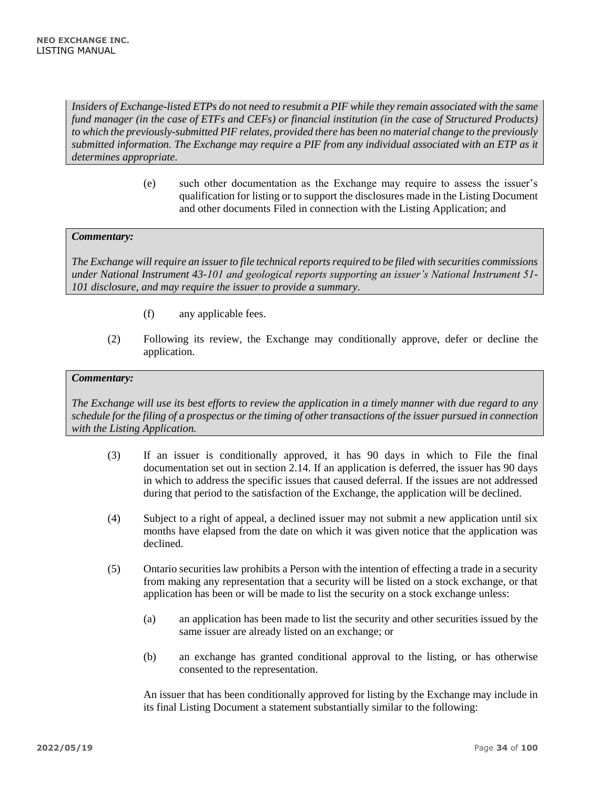*Insiders of Exchange-listed ETPs do not need to resubmit a PIF while they remain associated with the same fund manager (in the case of ETFs and CEFs) or financial institution (in the case of Structured Products) to which the previously-submitted PIF relates, provided there has been no material change to the previously submitted information. The Exchange may require a PIF from any individual associated with an ETP as it determines appropriate.* 

> (e) such other documentation as the Exchange may require to assess the issuer's qualification for listing or to support the disclosures made in the Listing Document and other documents Filed in connection with the Listing Application; and

# *Commentary:*

*The Exchange will require an issuer to file technical reports required to be filed with securities commissions under National Instrument 43-101 and geological reports supporting an issuer's National Instrument 51- 101 disclosure, and may require the issuer to provide a summary.*

- (f) any applicable fees.
- (2) Following its review, the Exchange may conditionally approve, defer or decline the application.

## *Commentary:*

*The Exchange will use its best efforts to review the application in a timely manner with due regard to any schedule for the filing of a prospectus or the timing of other transactions of the issuer pursued in connection with the Listing Application.*

- (3) If an issuer is conditionally approved, it has 90 days in which to File the final documentation set out in section 2.14. If an application is deferred, the issuer has 90 days in which to address the specific issues that caused deferral. If the issues are not addressed during that period to the satisfaction of the Exchange, the application will be declined.
- (4) Subject to a right of appeal, a declined issuer may not submit a new application until six months have elapsed from the date on which it was given notice that the application was declined.
- (5) Ontario securities law prohibits a Person with the intention of effecting a trade in a security from making any representation that a security will be listed on a stock exchange, or that application has been or will be made to list the security on a stock exchange unless:
	- (a) an application has been made to list the security and other securities issued by the same issuer are already listed on an exchange; or
	- (b) an exchange has granted conditional approval to the listing, or has otherwise consented to the representation.

An issuer that has been conditionally approved for listing by the Exchange may include in its final Listing Document a statement substantially similar to the following: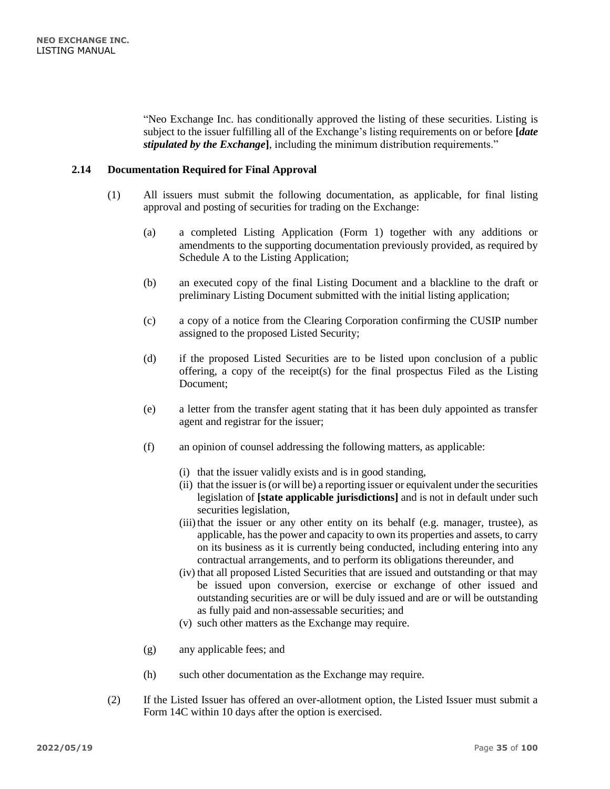"Neo Exchange Inc. has conditionally approved the listing of these securities. Listing is subject to the issuer fulfilling all of the Exchange's listing requirements on or before **[***date stipulated by the Exchange***]**, including the minimum distribution requirements."

# <span id="page-34-0"></span>**2.14 Documentation Required for Final Approval**

- (1) All issuers must submit the following documentation, as applicable, for final listing approval and posting of securities for trading on the Exchange:
	- (a) a completed Listing Application (Form 1) together with any additions or amendments to the supporting documentation previously provided, as required by Schedule A to the Listing Application;
	- (b) an executed copy of the final Listing Document and a blackline to the draft or preliminary Listing Document submitted with the initial listing application;
	- (c) a copy of a notice from the Clearing Corporation confirming the CUSIP number assigned to the proposed Listed Security;
	- (d) if the proposed Listed Securities are to be listed upon conclusion of a public offering, a copy of the receipt(s) for the final prospectus Filed as the Listing Document;
	- (e) a letter from the transfer agent stating that it has been duly appointed as transfer agent and registrar for the issuer;
	- (f) an opinion of counsel addressing the following matters, as applicable:
		- (i) that the issuer validly exists and is in good standing,
		- (ii) that the issuer is (or will be) a reporting issuer or equivalent under the securities legislation of **[state applicable jurisdictions]** and is not in default under such securities legislation,
		- $(iii)$  that the issuer or any other entity on its behalf (e.g. manager, trustee), as applicable, has the power and capacity to own its properties and assets, to carry on its business as it is currently being conducted, including entering into any contractual arrangements, and to perform its obligations thereunder, and
		- (iv) that all proposed Listed Securities that are issued and outstanding or that may be issued upon conversion, exercise or exchange of other issued and outstanding securities are or will be duly issued and are or will be outstanding as fully paid and non-assessable securities; and
		- (v) such other matters as the Exchange may require.
	- (g) any applicable fees; and
	- (h) such other documentation as the Exchange may require.
- (2) If the Listed Issuer has offered an over-allotment option, the Listed Issuer must submit a Form 14C within 10 days after the option is exercised.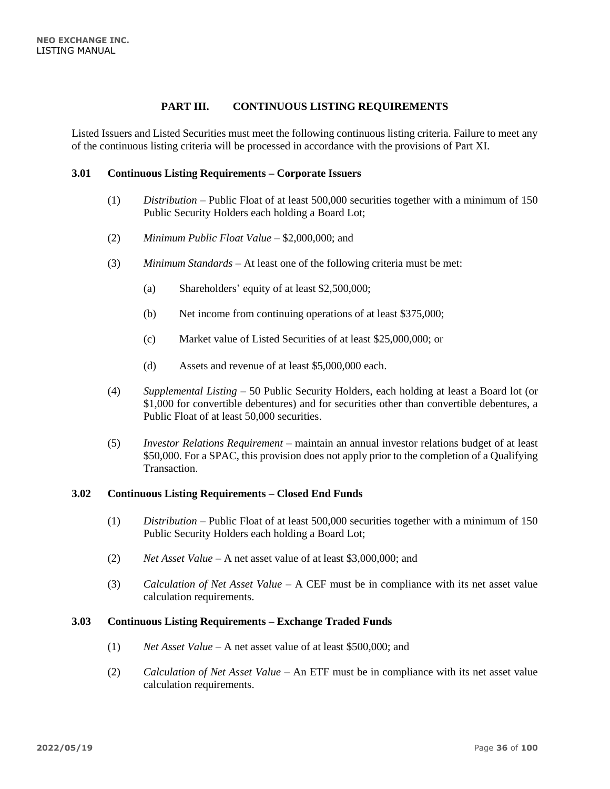# **PART III. CONTINUOUS LISTING REQUIREMENTS**

<span id="page-35-0"></span>Listed Issuers and Listed Securities must meet the following continuous listing criteria. Failure to meet any of the continuous listing criteria will be processed in accordance with the provisions of Part XI.

#### <span id="page-35-1"></span>**3.01 Continuous Listing Requirements – Corporate Issuers**

- (1) *Distribution* Public Float of at least 500,000 securities together with a minimum of 150 Public Security Holders each holding a Board Lot;
- (2) *Minimum Public Float Value* \$2,000,000; and
- (3) *Minimum Standards* At least one of the following criteria must be met:
	- (a) Shareholders' equity of at least \$2,500,000;
	- (b) Net income from continuing operations of at least \$375,000;
	- (c) Market value of Listed Securities of at least \$25,000,000; or
	- (d) Assets and revenue of at least \$5,000,000 each.
- (4) *Supplemental Listing* 50 Public Security Holders, each holding at least a Board lot (or \$1,000 for convertible debentures) and for securities other than convertible debentures, a Public Float of at least 50,000 securities.
- (5) *Investor Relations Requirement –* maintain an annual investor relations budget of at least \$50,000. For a SPAC, this provision does not apply prior to the completion of a Qualifying Transaction.

#### <span id="page-35-2"></span>**3.02 Continuous Listing Requirements – Closed End Funds**

- (1) *Distribution* Public Float of at least 500,000 securities together with a minimum of 150 Public Security Holders each holding a Board Lot;
- (2) *Net Asset Value*  A net asset value of at least \$3,000,000; and
- (3) *Calculation of Net Asset Value* A CEF must be in compliance with its net asset value calculation requirements.

#### <span id="page-35-3"></span>**3.03 Continuous Listing Requirements – Exchange Traded Funds**

- (1) *Net Asset Value* A net asset value of at least \$500,000; and
- (2) *Calculation of Net Asset Value* An ETF must be in compliance with its net asset value calculation requirements.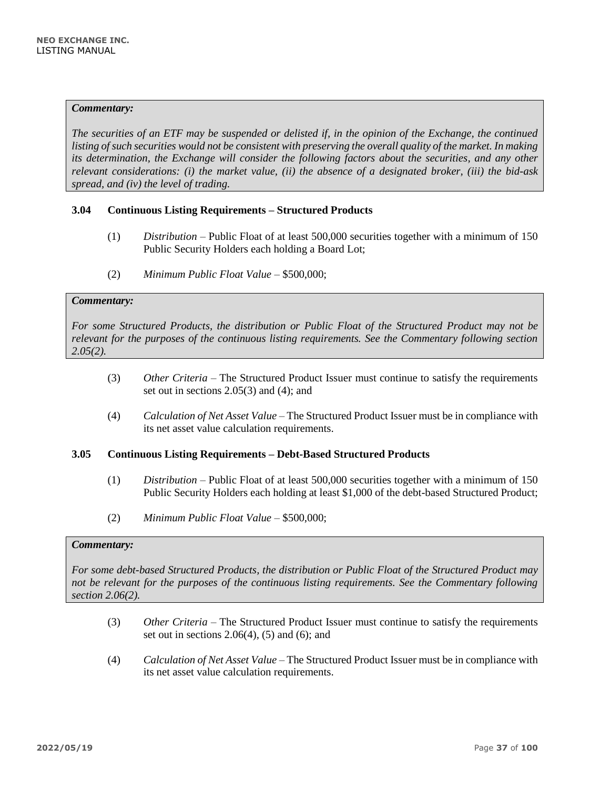*The securities of an ETF may be suspended or delisted if, in the opinion of the Exchange, the continued listing of such securities would not be consistent with preserving the overall quality of the market. In making its determination, the Exchange will consider the following factors about the securities, and any other relevant considerations: (i) the market value, (ii) the absence of a designated broker, (iii) the bid-ask spread, and (iv) the level of trading.*

# **3.04 Continuous Listing Requirements – Structured Products**

- (1) *Distribution* Public Float of at least 500,000 securities together with a minimum of 150 Public Security Holders each holding a Board Lot;
- (2) *Minimum Public Float Value*  \$500,000;

## *Commentary:*

*For some Structured Products, the distribution or Public Float of the Structured Product may not be relevant for the purposes of the continuous listing requirements. See the Commentary following section 2.05(2).* 

- (3) *Other Criteria* The Structured Product Issuer must continue to satisfy the requirements set out in sections 2.05(3) and (4); and
- (4) *Calculation of Net Asset Value* The Structured Product Issuer must be in compliance with its net asset value calculation requirements.

#### **3.05 Continuous Listing Requirements – Debt-Based Structured Products**

- (1) *Distribution* Public Float of at least 500,000 securities together with a minimum of 150 Public Security Holders each holding at least \$1,000 of the debt-based Structured Product;
- (2) *Minimum Public Float Value –* \$500,000;

#### *Commentary:*

*For some debt-based Structured Products, the distribution or Public Float of the Structured Product may not be relevant for the purposes of the continuous listing requirements. See the Commentary following section 2.06(2).* 

- (3) *Other Criteria* The Structured Product Issuer must continue to satisfy the requirements set out in sections  $2.06(4)$ ,  $(5)$  and  $(6)$ ; and
- (4) *Calculation of Net Asset Value* The Structured Product Issuer must be in compliance with its net asset value calculation requirements.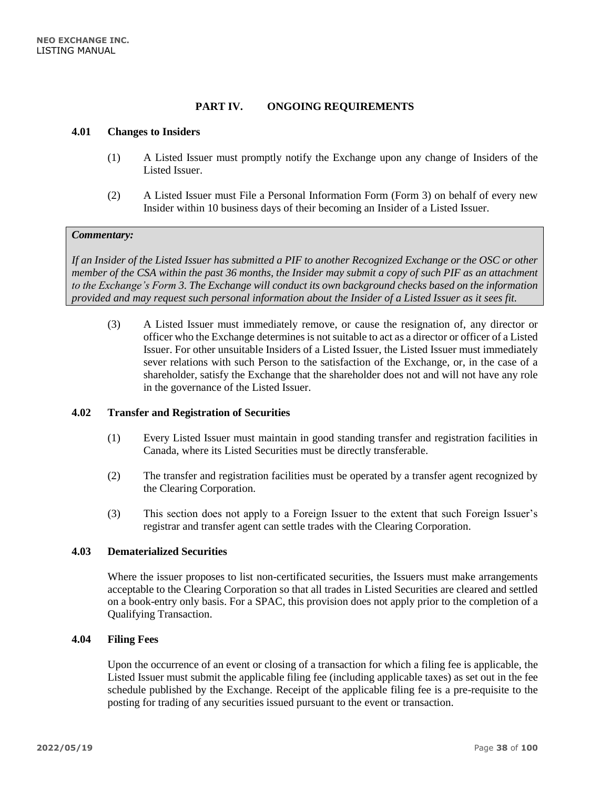## **PART IV. ONGOING REQUIREMENTS**

### **4.01 Changes to Insiders**

- (1) A Listed Issuer must promptly notify the Exchange upon any change of Insiders of the Listed Issuer.
- (2) A Listed Issuer must File a Personal Information Form (Form 3) on behalf of every new Insider within 10 business days of their becoming an Insider of a Listed Issuer.

#### *Commentary:*

*If an Insider of the Listed Issuer has submitted a PIF to another Recognized Exchange or the OSC or other member of the CSA within the past 36 months, the Insider may submit a copy of such PIF as an attachment to the Exchange's Form 3. The Exchange will conduct its own background checks based on the information provided and may request such personal information about the Insider of a Listed Issuer as it sees fit.*

(3) A Listed Issuer must immediately remove, or cause the resignation of, any director or officer who the Exchange determines is not suitable to act as a director or officer of a Listed Issuer. For other unsuitable Insiders of a Listed Issuer, the Listed Issuer must immediately sever relations with such Person to the satisfaction of the Exchange, or, in the case of a shareholder, satisfy the Exchange that the shareholder does not and will not have any role in the governance of the Listed Issuer.

#### **4.02 Transfer and Registration of Securities**

- (1) Every Listed Issuer must maintain in good standing transfer and registration facilities in Canada, where its Listed Securities must be directly transferable.
- (2) The transfer and registration facilities must be operated by a transfer agent recognized by the Clearing Corporation.
- (3) This section does not apply to a Foreign Issuer to the extent that such Foreign Issuer's registrar and transfer agent can settle trades with the Clearing Corporation.

## **4.03 Dematerialized Securities**

Where the issuer proposes to list non-certificated securities, the Issuers must make arrangements acceptable to the Clearing Corporation so that all trades in Listed Securities are cleared and settled on a book-entry only basis. For a SPAC, this provision does not apply prior to the completion of a Qualifying Transaction.

#### **4.04 Filing Fees**

Upon the occurrence of an event or closing of a transaction for which a filing fee is applicable, the Listed Issuer must submit the applicable filing fee (including applicable taxes) as set out in the fee schedule published by the Exchange. Receipt of the applicable filing fee is a pre-requisite to the posting for trading of any securities issued pursuant to the event or transaction.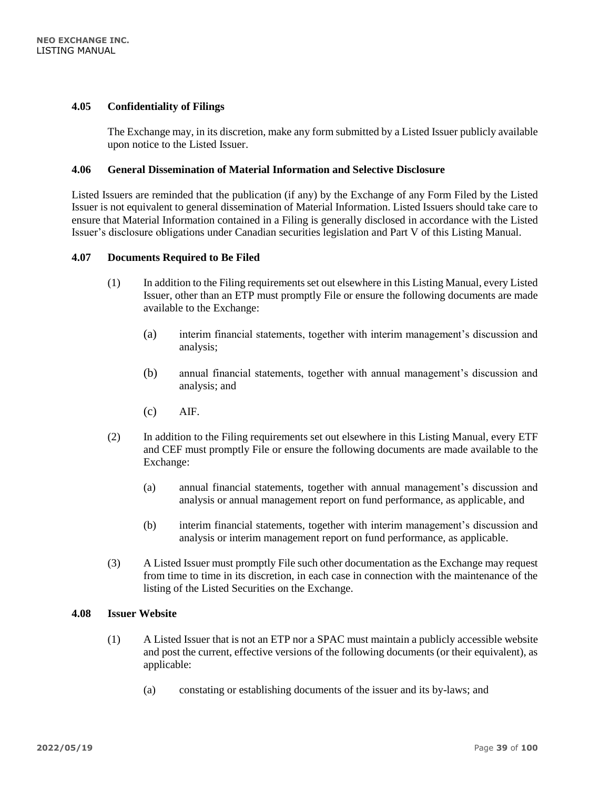### **4.05 Confidentiality of Filings**

The Exchange may, in its discretion, make any form submitted by a Listed Issuer publicly available upon notice to the Listed Issuer.

# **4.06 General Dissemination of Material Information and Selective Disclosure**

Listed Issuers are reminded that the publication (if any) by the Exchange of any Form Filed by the Listed Issuer is not equivalent to general dissemination of Material Information. Listed Issuers should take care to ensure that Material Information contained in a Filing is generally disclosed in accordance with the Listed Issuer's disclosure obligations under Canadian securities legislation and Part V of this Listing Manual.

#### **4.07 Documents Required to Be Filed**

- (1) In addition to the Filing requirements set out elsewhere in this Listing Manual, every Listed Issuer, other than an ETP must promptly File or ensure the following documents are made available to the Exchange:
	- (a) interim financial statements, together with interim management's discussion and analysis;
	- (b) annual financial statements, together with annual management's discussion and analysis; and
	- (c) AIF.
- (2) In addition to the Filing requirements set out elsewhere in this Listing Manual, every ETF and CEF must promptly File or ensure the following documents are made available to the Exchange:
	- (a) annual financial statements, together with annual management's discussion and analysis or annual management report on fund performance, as applicable, and
	- (b) interim financial statements, together with interim management's discussion and analysis or interim management report on fund performance, as applicable.
- (3) A Listed Issuer must promptly File such other documentation as the Exchange may request from time to time in its discretion, in each case in connection with the maintenance of the listing of the Listed Securities on the Exchange.

### **4.08 Issuer Website**

- (1) A Listed Issuer that is not an ETP nor a SPAC must maintain a publicly accessible website and post the current, effective versions of the following documents (or their equivalent), as applicable:
	- (a) constating or establishing documents of the issuer and its by-laws; and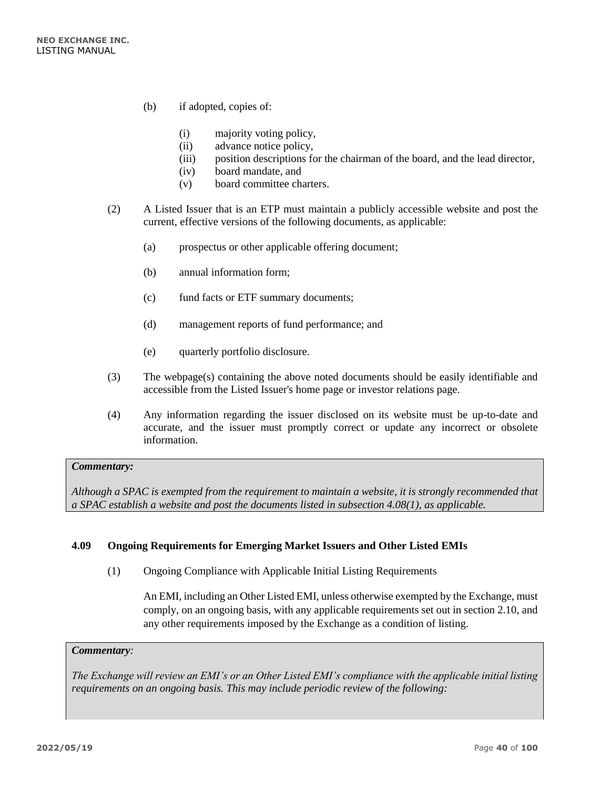- (b) if adopted, copies of:
	- (i) majority voting policy,
	- (ii) advance notice policy,
	- (iii) position descriptions for the chairman of the board, and the lead director,
	- (iv) board mandate, and
	- (v) board committee charters.
- (2) A Listed Issuer that is an ETP must maintain a publicly accessible website and post the current, effective versions of the following documents, as applicable:
	- (a) prospectus or other applicable offering document;
	- (b) annual information form;
	- (c) fund facts or ETF summary documents;
	- (d) management reports of fund performance; and
	- (e) quarterly portfolio disclosure.
- (3) The webpage(s) containing the above noted documents should be easily identifiable and accessible from the Listed Issuer's home page or investor relations page.
- (4) Any information regarding the issuer disclosed on its website must be up-to-date and accurate, and the issuer must promptly correct or update any incorrect or obsolete information.

*Although a SPAC is exempted from the requirement to maintain a website, it is strongly recommended that a SPAC establish a website and post the documents listed in subsection 4.08(1), as applicable.*

# **4.09 Ongoing Requirements for Emerging Market Issuers and Other Listed EMIs**

(1) Ongoing Compliance with Applicable Initial Listing Requirements

An EMI, including an Other Listed EMI, unless otherwise exempted by the Exchange, must comply, on an ongoing basis, with any applicable requirements set out in section 2.10, and any other requirements imposed by the Exchange as a condition of listing.

### *Commentary:*

*The Exchange will review an EMI's or an Other Listed EMI's compliance with the applicable initial listing requirements on an ongoing basis. This may include periodic review of the following:*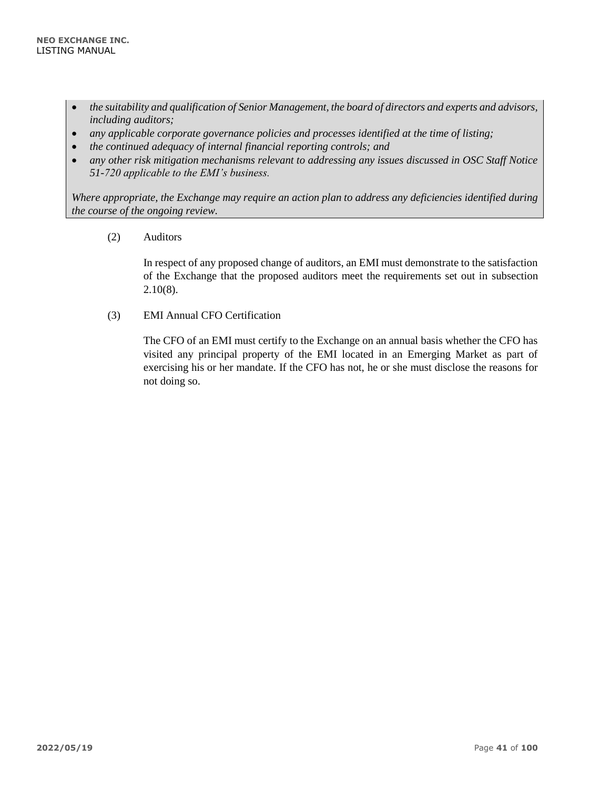- *the suitability and qualification of Senior Management, the board of directors and experts and advisors, including auditors;*
- *any applicable corporate governance policies and processes identified at the time of listing;*
- *the continued adequacy of internal financial reporting controls; and*
- *any other risk mitigation mechanisms relevant to addressing any issues discussed in OSC Staff Notice 51-720 applicable to the EMI's business.*

*Where appropriate, the Exchange may require an action plan to address any deficiencies identified during the course of the ongoing review.* 

(2) Auditors

In respect of any proposed change of auditors, an EMI must demonstrate to the satisfaction of the Exchange that the proposed auditors meet the requirements set out in subsection 2.10(8).

(3) EMI Annual CFO Certification

The CFO of an EMI must certify to the Exchange on an annual basis whether the CFO has visited any principal property of the EMI located in an Emerging Market as part of exercising his or her mandate. If the CFO has not, he or she must disclose the reasons for not doing so.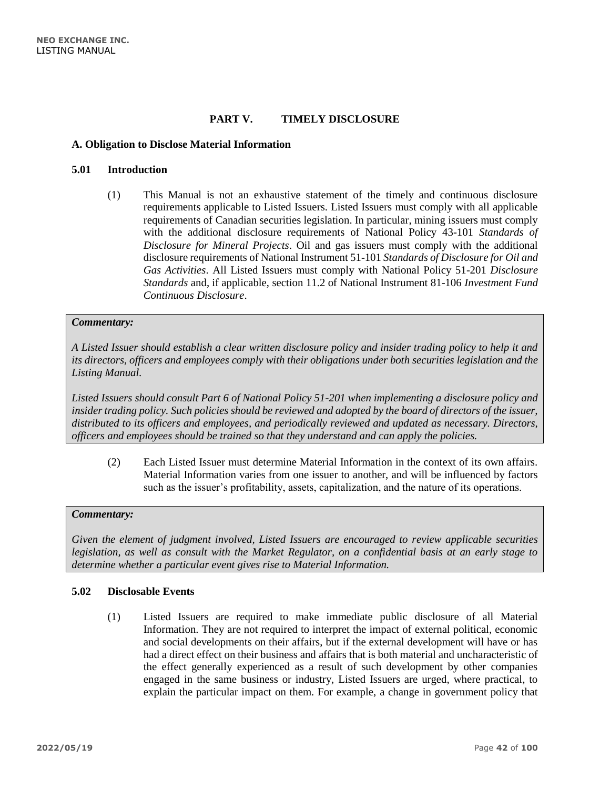# **PART V. TIMELY DISCLOSURE**

#### **A. Obligation to Disclose Material Information**

#### **5.01 Introduction**

(1) This Manual is not an exhaustive statement of the timely and continuous disclosure requirements applicable to Listed Issuers. Listed Issuers must comply with all applicable requirements of Canadian securities legislation. In particular, mining issuers must comply with the additional disclosure requirements of National Policy 43-101 *Standards of Disclosure for Mineral Projects*. Oil and gas issuers must comply with the additional disclosure requirements of National Instrument 51-101 *Standards of Disclosure for Oil and Gas Activities*. All Listed Issuers must comply with National Policy 51-201 *Disclosure Standards* and, if applicable, section 11.2 of National Instrument 81-106 *Investment Fund Continuous Disclosure*.

#### *Commentary:*

*A Listed Issuer should establish a clear written disclosure policy and insider trading policy to help it and its directors, officers and employees comply with their obligations under both securities legislation and the Listing Manual.*

*Listed Issuers should consult Part 6 of National Policy 51-201 when implementing a disclosure policy and insider trading policy. Such policies should be reviewed and adopted by the board of directors of the issuer, distributed to its officers and employees, and periodically reviewed and updated as necessary. Directors, officers and employees should be trained so that they understand and can apply the policies.*

(2) Each Listed Issuer must determine Material Information in the context of its own affairs. Material Information varies from one issuer to another, and will be influenced by factors such as the issuer's profitability, assets, capitalization, and the nature of its operations.

#### *Commentary:*

*Given the element of judgment involved, Listed Issuers are encouraged to review applicable securities legislation, as well as consult with the Market Regulator, on a confidential basis at an early stage to determine whether a particular event gives rise to Material Information.*

### **5.02 Disclosable Events**

(1) Listed Issuers are required to make immediate public disclosure of all Material Information. They are not required to interpret the impact of external political, economic and social developments on their affairs, but if the external development will have or has had a direct effect on their business and affairs that is both material and uncharacteristic of the effect generally experienced as a result of such development by other companies engaged in the same business or industry, Listed Issuers are urged, where practical, to explain the particular impact on them. For example, a change in government policy that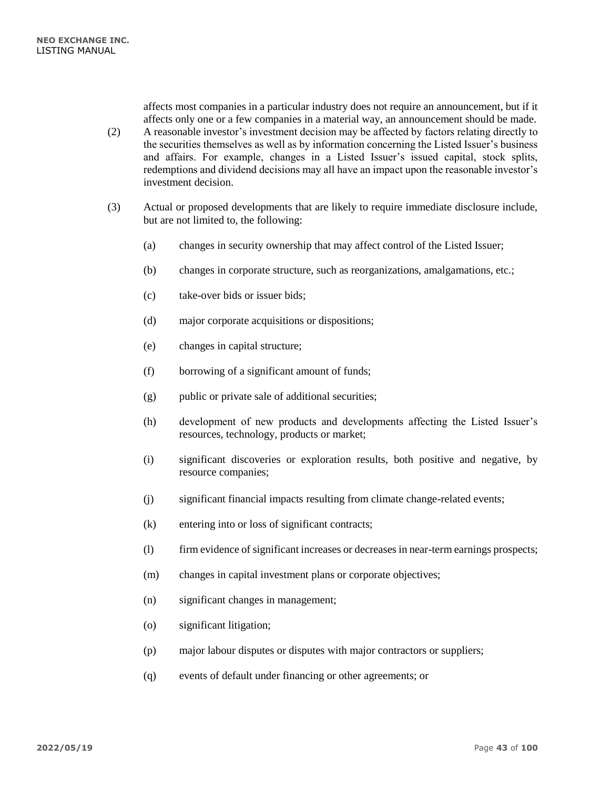affects most companies in a particular industry does not require an announcement, but if it affects only one or a few companies in a material way, an announcement should be made.

- (2) A reasonable investor's investment decision may be affected by factors relating directly to the securities themselves as well as by information concerning the Listed Issuer's business and affairs. For example, changes in a Listed Issuer's issued capital, stock splits, redemptions and dividend decisions may all have an impact upon the reasonable investor's investment decision.
- (3) Actual or proposed developments that are likely to require immediate disclosure include, but are not limited to, the following:
	- (a) changes in security ownership that may affect control of the Listed Issuer;
	- (b) changes in corporate structure, such as reorganizations, amalgamations, etc.;
	- (c) take-over bids or issuer bids;
	- (d) major corporate acquisitions or dispositions;
	- (e) changes in capital structure;
	- (f) borrowing of a significant amount of funds;
	- (g) public or private sale of additional securities;
	- (h) development of new products and developments affecting the Listed Issuer's resources, technology, products or market;
	- (i) significant discoveries or exploration results, both positive and negative, by resource companies;
	- (j) significant financial impacts resulting from climate change-related events;
	- (k) entering into or loss of significant contracts;
	- (l) firm evidence of significant increases or decreases in near-term earnings prospects;
	- (m) changes in capital investment plans or corporate objectives;
	- (n) significant changes in management;
	- (o) significant litigation;
	- (p) major labour disputes or disputes with major contractors or suppliers;
	- (q) events of default under financing or other agreements; or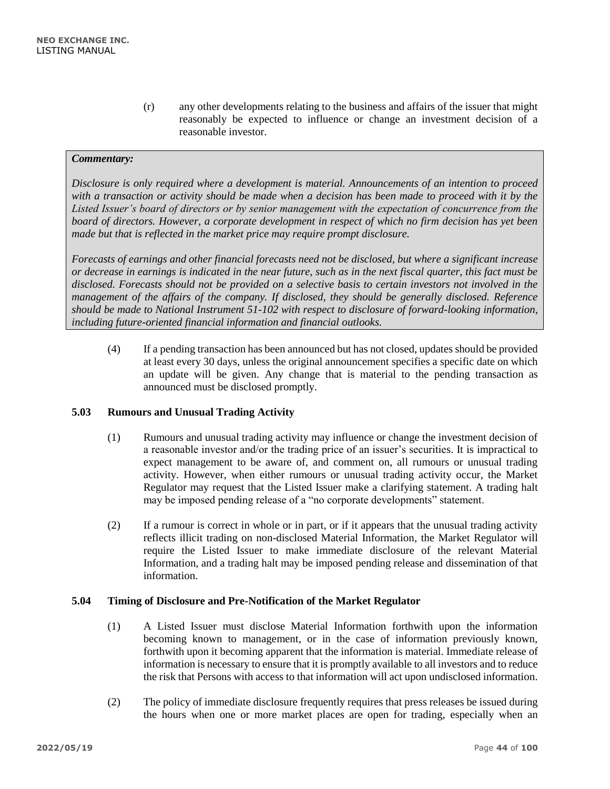(r) any other developments relating to the business and affairs of the issuer that might reasonably be expected to influence or change an investment decision of a reasonable investor.

## *Commentary:*

*Disclosure is only required where a development is material. Announcements of an intention to proceed with a transaction or activity should be made when a decision has been made to proceed with it by the Listed Issuer's board of directors or by senior management with the expectation of concurrence from the board of directors. However, a corporate development in respect of which no firm decision has yet been made but that is reflected in the market price may require prompt disclosure.*

*Forecasts of earnings and other financial forecasts need not be disclosed, but where a significant increase or decrease in earnings is indicated in the near future, such as in the next fiscal quarter, this fact must be disclosed. Forecasts should not be provided on a selective basis to certain investors not involved in the management of the affairs of the company. If disclosed, they should be generally disclosed. Reference should be made to National Instrument 51-102 with respect to disclosure of forward-looking information, including future-oriented financial information and financial outlooks.*

(4) If a pending transaction has been announced but has not closed, updates should be provided at least every 30 days, unless the original announcement specifies a specific date on which an update will be given. Any change that is material to the pending transaction as announced must be disclosed promptly.

# **5.03 Rumours and Unusual Trading Activity**

- (1) Rumours and unusual trading activity may influence or change the investment decision of a reasonable investor and/or the trading price of an issuer's securities. It is impractical to expect management to be aware of, and comment on, all rumours or unusual trading activity. However, when either rumours or unusual trading activity occur, the Market Regulator may request that the Listed Issuer make a clarifying statement. A trading halt may be imposed pending release of a "no corporate developments" statement.
- (2) If a rumour is correct in whole or in part, or if it appears that the unusual trading activity reflects illicit trading on non-disclosed Material Information, the Market Regulator will require the Listed Issuer to make immediate disclosure of the relevant Material Information, and a trading halt may be imposed pending release and dissemination of that information.

#### **5.04 Timing of Disclosure and Pre-Notification of the Market Regulator**

- (1) A Listed Issuer must disclose Material Information forthwith upon the information becoming known to management, or in the case of information previously known, forthwith upon it becoming apparent that the information is material. Immediate release of information is necessary to ensure that it is promptly available to all investors and to reduce the risk that Persons with access to that information will act upon undisclosed information.
- (2) The policy of immediate disclosure frequently requires that press releases be issued during the hours when one or more market places are open for trading, especially when an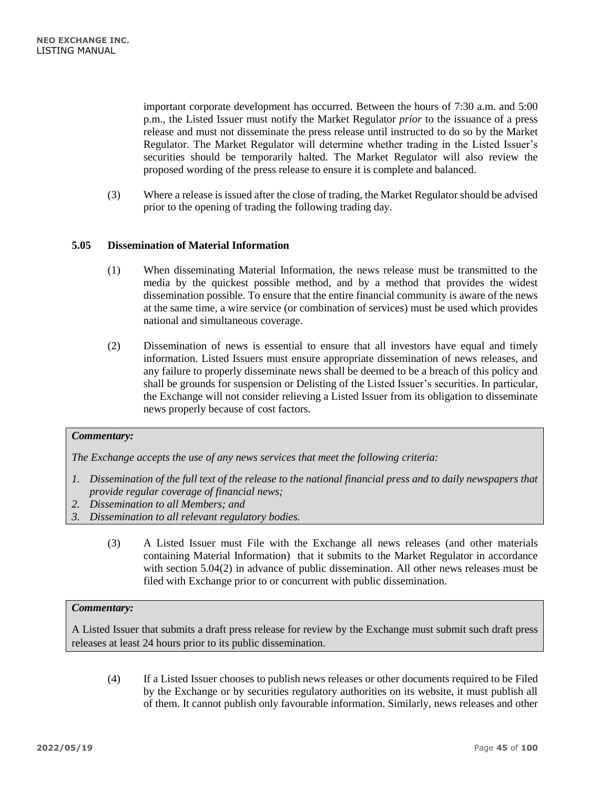important corporate development has occurred. Between the hours of 7:30 a.m. and 5:00 p.m., the Listed Issuer must notify the Market Regulator *prior* to the issuance of a press release and must not disseminate the press release until instructed to do so by the Market Regulator. The Market Regulator will determine whether trading in the Listed Issuer's securities should be temporarily halted. The Market Regulator will also review the proposed wording of the press release to ensure it is complete and balanced.

(3) Where a release is issued after the close of trading, the Market Regulator should be advised prior to the opening of trading the following trading day.

## **5.05 Dissemination of Material Information**

- (1) When disseminating Material Information, the news release must be transmitted to the media by the quickest possible method, and by a method that provides the widest dissemination possible. To ensure that the entire financial community is aware of the news at the same time, a wire service (or combination of services) must be used which provides national and simultaneous coverage.
- (2) Dissemination of news is essential to ensure that all investors have equal and timely information. Listed Issuers must ensure appropriate dissemination of news releases, and any failure to properly disseminate news shall be deemed to be a breach of this policy and shall be grounds for suspension or Delisting of the Listed Issuer's securities. In particular, the Exchange will not consider relieving a Listed Issuer from its obligation to disseminate news properly because of cost factors.

#### *Commentary:*

*The Exchange accepts the use of any news services that meet the following criteria:*

- *1. Dissemination of the full text of the release to the national financial press and to daily newspapers that provide regular coverage of financial news;*
- *2. Dissemination to all Members; and*
- *3. Dissemination to all relevant regulatory bodies.*
	- (3) A Listed Issuer must File with the Exchange all news releases (and other materials containing Material Information) that it submits to the Market Regulator in accordance with section 5.04(2) in advance of public dissemination. All other news releases must be filed with Exchange prior to or concurrent with public dissemination.

#### *Commentary:*

A Listed Issuer that submits a draft press release for review by the Exchange must submit such draft press releases at least 24 hours prior to its public dissemination.

(4) If a Listed Issuer chooses to publish news releases or other documents required to be Filed by the Exchange or by securities regulatory authorities on its website, it must publish all of them. It cannot publish only favourable information. Similarly, news releases and other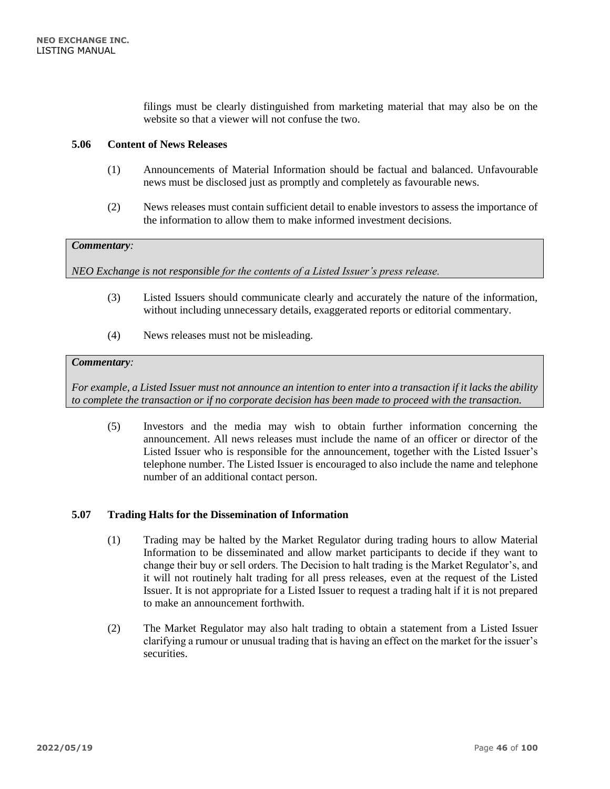filings must be clearly distinguished from marketing material that may also be on the website so that a viewer will not confuse the two.

## **5.06 Content of News Releases**

- (1) Announcements of Material Information should be factual and balanced. Unfavourable news must be disclosed just as promptly and completely as favourable news.
- (2) News releases must contain sufficient detail to enable investors to assess the importance of the information to allow them to make informed investment decisions.

### *Commentary:*

*NEO Exchange is not responsible for the contents of a Listed Issuer's press release.*

- (3) Listed Issuers should communicate clearly and accurately the nature of the information, without including unnecessary details, exaggerated reports or editorial commentary.
- (4) News releases must not be misleading.

#### *Commentary:*

*For example, a Listed Issuer must not announce an intention to enter into a transaction if it lacks the ability to complete the transaction or if no corporate decision has been made to proceed with the transaction.*

(5) Investors and the media may wish to obtain further information concerning the announcement. All news releases must include the name of an officer or director of the Listed Issuer who is responsible for the announcement, together with the Listed Issuer's telephone number. The Listed Issuer is encouraged to also include the name and telephone number of an additional contact person.

### **5.07 Trading Halts for the Dissemination of Information**

- (1) Trading may be halted by the Market Regulator during trading hours to allow Material Information to be disseminated and allow market participants to decide if they want to change their buy or sell orders. The Decision to halt trading is the Market Regulator's, and it will not routinely halt trading for all press releases, even at the request of the Listed Issuer. It is not appropriate for a Listed Issuer to request a trading halt if it is not prepared to make an announcement forthwith.
- (2) The Market Regulator may also halt trading to obtain a statement from a Listed Issuer clarifying a rumour or unusual trading that is having an effect on the market for the issuer's securities.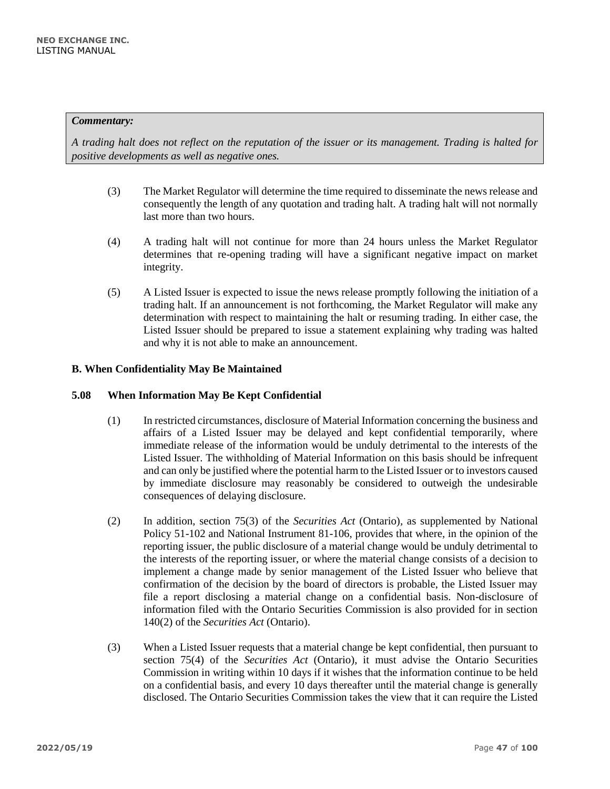*A trading halt does not reflect on the reputation of the issuer or its management. Trading is halted for positive developments as well as negative ones.*

- (3) The Market Regulator will determine the time required to disseminate the news release and consequently the length of any quotation and trading halt. A trading halt will not normally last more than two hours.
- (4) A trading halt will not continue for more than 24 hours unless the Market Regulator determines that re-opening trading will have a significant negative impact on market integrity.
- (5) A Listed Issuer is expected to issue the news release promptly following the initiation of a trading halt. If an announcement is not forthcoming, the Market Regulator will make any determination with respect to maintaining the halt or resuming trading. In either case, the Listed Issuer should be prepared to issue a statement explaining why trading was halted and why it is not able to make an announcement.

# **B. When Confidentiality May Be Maintained**

### **5.08 When Information May Be Kept Confidential**

- (1) In restricted circumstances, disclosure of Material Information concerning the business and affairs of a Listed Issuer may be delayed and kept confidential temporarily, where immediate release of the information would be unduly detrimental to the interests of the Listed Issuer. The withholding of Material Information on this basis should be infrequent and can only be justified where the potential harm to the Listed Issuer or to investors caused by immediate disclosure may reasonably be considered to outweigh the undesirable consequences of delaying disclosure.
- (2) In addition, section 75(3) of the *Securities Act* (Ontario)*,* as supplemented by National Policy 51-102 and National Instrument 81-106, provides that where, in the opinion of the reporting issuer, the public disclosure of a material change would be unduly detrimental to the interests of the reporting issuer, or where the material change consists of a decision to implement a change made by senior management of the Listed Issuer who believe that confirmation of the decision by the board of directors is probable, the Listed Issuer may file a report disclosing a material change on a confidential basis. Non-disclosure of information filed with the Ontario Securities Commission is also provided for in section 140(2) of the *Securities Act* (Ontario).
- (3) When a Listed Issuer requests that a material change be kept confidential, then pursuant to section 75(4) of the *Securities Act* (Ontario), it must advise the Ontario Securities Commission in writing within 10 days if it wishes that the information continue to be held on a confidential basis, and every 10 days thereafter until the material change is generally disclosed. The Ontario Securities Commission takes the view that it can require the Listed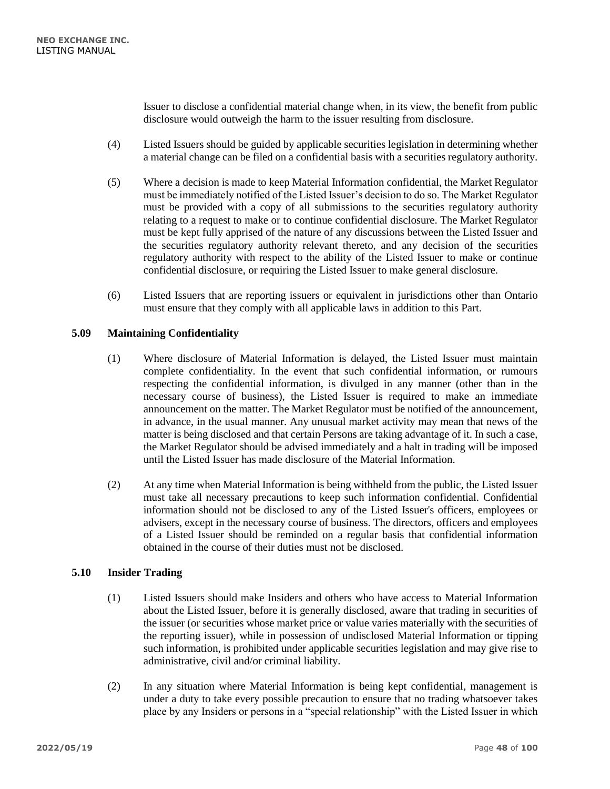Issuer to disclose a confidential material change when, in its view, the benefit from public disclosure would outweigh the harm to the issuer resulting from disclosure.

- (4) Listed Issuers should be guided by applicable securities legislation in determining whether a material change can be filed on a confidential basis with a securities regulatory authority.
- (5) Where a decision is made to keep Material Information confidential, the Market Regulator must be immediately notified of the Listed Issuer's decision to do so. The Market Regulator must be provided with a copy of all submissions to the securities regulatory authority relating to a request to make or to continue confidential disclosure. The Market Regulator must be kept fully apprised of the nature of any discussions between the Listed Issuer and the securities regulatory authority relevant thereto, and any decision of the securities regulatory authority with respect to the ability of the Listed Issuer to make or continue confidential disclosure, or requiring the Listed Issuer to make general disclosure.
- (6) Listed Issuers that are reporting issuers or equivalent in jurisdictions other than Ontario must ensure that they comply with all applicable laws in addition to this Part.

## **5.09 Maintaining Confidentiality**

- (1) Where disclosure of Material Information is delayed, the Listed Issuer must maintain complete confidentiality. In the event that such confidential information, or rumours respecting the confidential information, is divulged in any manner (other than in the necessary course of business), the Listed Issuer is required to make an immediate announcement on the matter. The Market Regulator must be notified of the announcement, in advance, in the usual manner. Any unusual market activity may mean that news of the matter is being disclosed and that certain Persons are taking advantage of it. In such a case, the Market Regulator should be advised immediately and a halt in trading will be imposed until the Listed Issuer has made disclosure of the Material Information.
- (2) At any time when Material Information is being withheld from the public, the Listed Issuer must take all necessary precautions to keep such information confidential. Confidential information should not be disclosed to any of the Listed Issuer's officers, employees or advisers, except in the necessary course of business. The directors, officers and employees of a Listed Issuer should be reminded on a regular basis that confidential information obtained in the course of their duties must not be disclosed.

# **5.10 Insider Trading**

- (1) Listed Issuers should make Insiders and others who have access to Material Information about the Listed Issuer, before it is generally disclosed, aware that trading in securities of the issuer (or securities whose market price or value varies materially with the securities of the reporting issuer), while in possession of undisclosed Material Information or tipping such information, is prohibited under applicable securities legislation and may give rise to administrative, civil and/or criminal liability.
- (2) In any situation where Material Information is being kept confidential, management is under a duty to take every possible precaution to ensure that no trading whatsoever takes place by any Insiders or persons in a "special relationship" with the Listed Issuer in which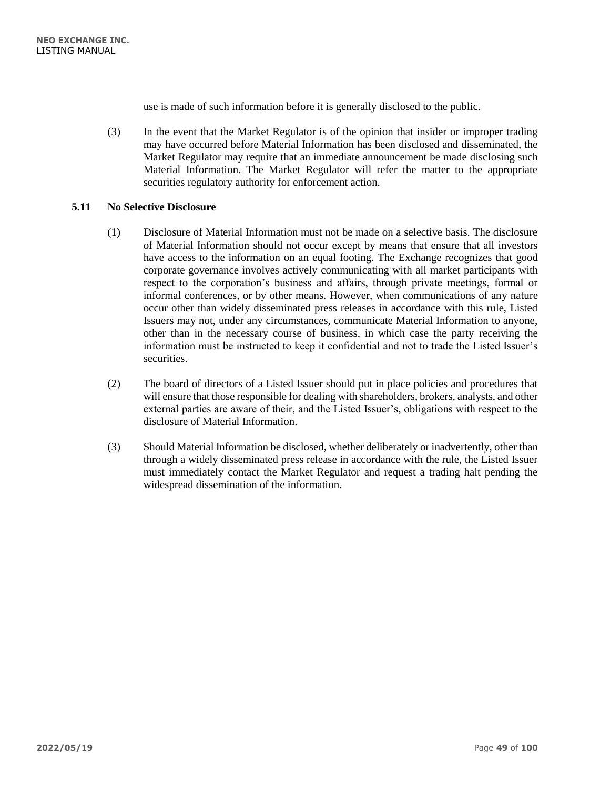use is made of such information before it is generally disclosed to the public.

(3) In the event that the Market Regulator is of the opinion that insider or improper trading may have occurred before Material Information has been disclosed and disseminated, the Market Regulator may require that an immediate announcement be made disclosing such Material Information. The Market Regulator will refer the matter to the appropriate securities regulatory authority for enforcement action.

## **5.11 No Selective Disclosure**

- (1) Disclosure of Material Information must not be made on a selective basis. The disclosure of Material Information should not occur except by means that ensure that all investors have access to the information on an equal footing. The Exchange recognizes that good corporate governance involves actively communicating with all market participants with respect to the corporation's business and affairs, through private meetings, formal or informal conferences, or by other means. However, when communications of any nature occur other than widely disseminated press releases in accordance with this rule, Listed Issuers may not, under any circumstances, communicate Material Information to anyone, other than in the necessary course of business, in which case the party receiving the information must be instructed to keep it confidential and not to trade the Listed Issuer's securities.
- (2) The board of directors of a Listed Issuer should put in place policies and procedures that will ensure that those responsible for dealing with shareholders, brokers, analysts, and other external parties are aware of their, and the Listed Issuer's, obligations with respect to the disclosure of Material Information.
- (3) Should Material Information be disclosed, whether deliberately or inadvertently, other than through a widely disseminated press release in accordance with the rule, the Listed Issuer must immediately contact the Market Regulator and request a trading halt pending the widespread dissemination of the information.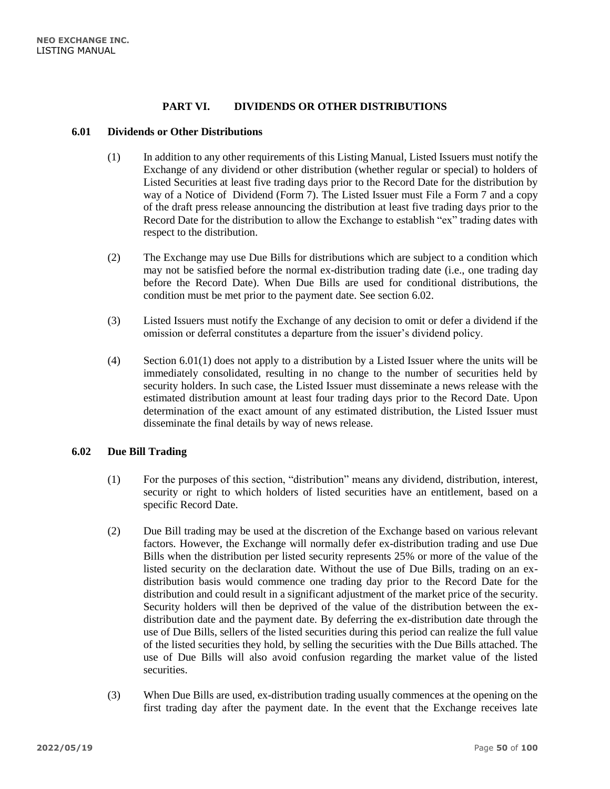# **PART VI. DIVIDENDS OR OTHER DISTRIBUTIONS**

#### **6.01 Dividends or Other Distributions**

- (1) In addition to any other requirements of this Listing Manual, Listed Issuers must notify the Exchange of any dividend or other distribution (whether regular or special) to holders of Listed Securities at least five trading days prior to the Record Date for the distribution by way of a Notice of Dividend (Form 7). The Listed Issuer must File a Form 7 and a copy of the draft press release announcing the distribution at least five trading days prior to the Record Date for the distribution to allow the Exchange to establish "ex" trading dates with respect to the distribution.
- (2) The Exchange may use Due Bills for distributions which are subject to a condition which may not be satisfied before the normal ex-distribution trading date (i.e., one trading day before the Record Date). When Due Bills are used for conditional distributions, the condition must be met prior to the payment date. See section [6.02.](#page-49-0)
- (3) Listed Issuers must notify the Exchange of any decision to omit or defer a dividend if the omission or deferral constitutes a departure from the issuer's dividend policy.
- (4) Section 6.01(1) does not apply to a distribution by a Listed Issuer where the units will be immediately consolidated, resulting in no change to the number of securities held by security holders. In such case, the Listed Issuer must disseminate a news release with the estimated distribution amount at least four trading days prior to the Record Date. Upon determination of the exact amount of any estimated distribution, the Listed Issuer must disseminate the final details by way of news release.

## <span id="page-49-0"></span>**6.02 Due Bill Trading**

- (1) For the purposes of this section, "distribution" means any dividend, distribution, interest, security or right to which holders of listed securities have an entitlement, based on a specific Record Date.
- (2) Due Bill trading may be used at the discretion of the Exchange based on various relevant factors. However, the Exchange will normally defer ex-distribution trading and use Due Bills when the distribution per listed security represents 25% or more of the value of the listed security on the declaration date. Without the use of Due Bills, trading on an exdistribution basis would commence one trading day prior to the Record Date for the distribution and could result in a significant adjustment of the market price of the security. Security holders will then be deprived of the value of the distribution between the exdistribution date and the payment date. By deferring the ex-distribution date through the use of Due Bills, sellers of the listed securities during this period can realize the full value of the listed securities they hold, by selling the securities with the Due Bills attached. The use of Due Bills will also avoid confusion regarding the market value of the listed securities.
- (3) When Due Bills are used, ex-distribution trading usually commences at the opening on the first trading day after the payment date. In the event that the Exchange receives late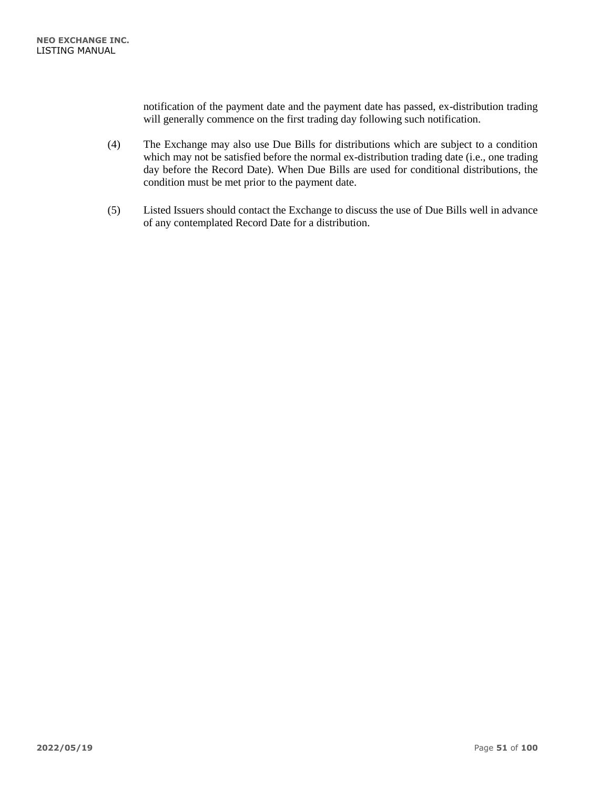notification of the payment date and the payment date has passed, ex-distribution trading will generally commence on the first trading day following such notification.

- (4) The Exchange may also use Due Bills for distributions which are subject to a condition which may not be satisfied before the normal ex-distribution trading date (i.e., one trading day before the Record Date). When Due Bills are used for conditional distributions, the condition must be met prior to the payment date.
- (5) Listed Issuers should contact the Exchange to discuss the use of Due Bills well in advance of any contemplated Record Date for a distribution.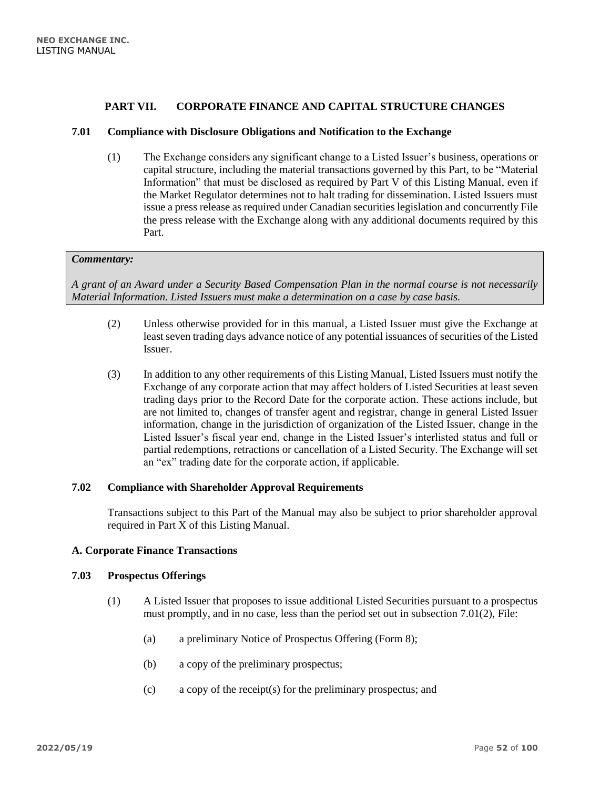## **PART VII. CORPORATE FINANCE AND CAPITAL STRUCTURE CHANGES**

#### **7.01 Compliance with Disclosure Obligations and Notification to the Exchange**

(1) The Exchange considers any significant change to a Listed Issuer's business, operations or capital structure, including the material transactions governed by this Part, to be "Material Information" that must be disclosed as required by Part V of this Listing Manual, even if the Market Regulator determines not to halt trading for dissemination. Listed Issuers must issue a press release as required under Canadian securities legislation and concurrently File the press release with the Exchange along with any additional documents required by this Part.

#### *Commentary:*

*A grant of an Award under a Security Based Compensation Plan in the normal course is not necessarily Material Information. Listed Issuers must make a determination on a case by case basis.*

- (2) Unless otherwise provided for in this manual, a Listed Issuer must give the Exchange at least seven trading days advance notice of any potential issuances of securities of the Listed Issuer.
- (3) In addition to any other requirements of this Listing Manual, Listed Issuers must notify the Exchange of any corporate action that may affect holders of Listed Securities at least seven trading days prior to the Record Date for the corporate action. These actions include, but are not limited to, changes of transfer agent and registrar, change in general Listed Issuer information, change in the jurisdiction of organization of the Listed Issuer, change in the Listed Issuer's fiscal year end, change in the Listed Issuer's interlisted status and full or partial redemptions, retractions or cancellation of a Listed Security. The Exchange will set an "ex" trading date for the corporate action, if applicable.

## **7.02 Compliance with Shareholder Approval Requirements**

Transactions subject to this Part of the Manual may also be subject to prior shareholder approval required in Part X of this Listing Manual.

#### **A. Corporate Finance Transactions**

#### **7.03 Prospectus Offerings**

- (1) A Listed Issuer that proposes to issue additional Listed Securities pursuant to a prospectus must promptly, and in no case, less than the period set out in subsection 7.01(2), File:
	- (a) a preliminary Notice of Prospectus Offering (Form 8);
	- (b) a copy of the preliminary prospectus;
	- (c) a copy of the receipt(s) for the preliminary prospectus; and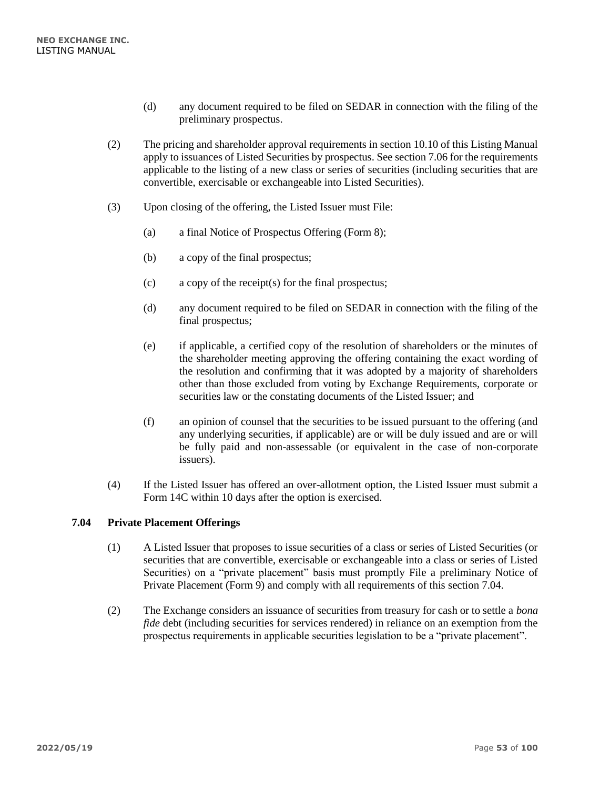- (d) any document required to be filed on SEDAR in connection with the filing of the preliminary prospectus.
- (2) The pricing and shareholder approval requirements in section 10.10 of this Listing Manual apply to issuances of Listed Securities by prospectus. See section 7.06 for the requirements applicable to the listing of a new class or series of securities (including securities that are convertible, exercisable or exchangeable into Listed Securities).
- (3) Upon closing of the offering, the Listed Issuer must File:
	- (a) a final Notice of Prospectus Offering (Form 8);
	- (b) a copy of the final prospectus;
	- (c) a copy of the receipt(s) for the final prospectus;
	- (d) any document required to be filed on SEDAR in connection with the filing of the final prospectus;
	- (e) if applicable, a certified copy of the resolution of shareholders or the minutes of the shareholder meeting approving the offering containing the exact wording of the resolution and confirming that it was adopted by a majority of shareholders other than those excluded from voting by Exchange Requirements, corporate or securities law or the constating documents of the Listed Issuer; and
	- (f) an opinion of counsel that the securities to be issued pursuant to the offering (and any underlying securities, if applicable) are or will be duly issued and are or will be fully paid and non-assessable (or equivalent in the case of non-corporate issuers).
- (4) If the Listed Issuer has offered an over-allotment option, the Listed Issuer must submit a Form 14C within 10 days after the option is exercised.

# **7.04 Private Placement Offerings**

- (1) A Listed Issuer that proposes to issue securities of a class or series of Listed Securities (or securities that are convertible, exercisable or exchangeable into a class or series of Listed Securities) on a "private placement" basis must promptly File a preliminary Notice of Private Placement (Form 9) and comply with all requirements of this section 7.04.
- (2) The Exchange considers an issuance of securities from treasury for cash or to settle a *bona fide* debt (including securities for services rendered) in reliance on an exemption from the prospectus requirements in applicable securities legislation to be a "private placement".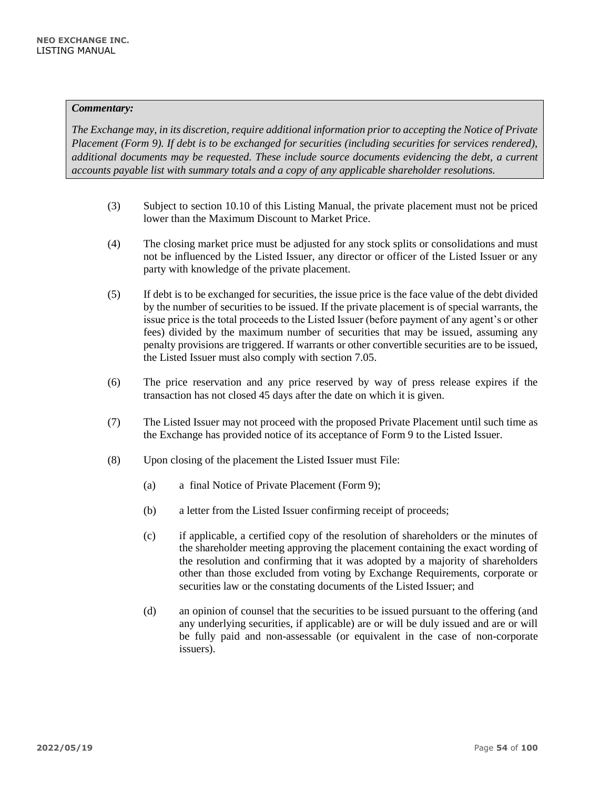*The Exchange may, in its discretion, require additional information prior to accepting the Notice of Private Placement (Form 9). If debt is to be exchanged for securities (including securities for services rendered), additional documents may be requested. These include source documents evidencing the debt, a current accounts payable list with summary totals and a copy of any applicable shareholder resolutions.*

- (3) Subject to section 10.10 of this Listing Manual, the private placement must not be priced lower than the Maximum Discount to Market Price.
- (4) The closing market price must be adjusted for any stock splits or consolidations and must not be influenced by the Listed Issuer, any director or officer of the Listed Issuer or any party with knowledge of the private placement.
- (5) If debt is to be exchanged for securities, the issue price is the face value of the debt divided by the number of securities to be issued. If the private placement is of special warrants, the issue price is the total proceeds to the Listed Issuer (before payment of any agent's or other fees) divided by the maximum number of securities that may be issued, assuming any penalty provisions are triggered. If warrants or other convertible securities are to be issued, the Listed Issuer must also comply with section 7.05.
- (6) The price reservation and any price reserved by way of press release expires if the transaction has not closed 45 days after the date on which it is given.
- (7) The Listed Issuer may not proceed with the proposed Private Placement until such time as the Exchange has provided notice of its acceptance of Form 9 to the Listed Issuer.
- (8) Upon closing of the placement the Listed Issuer must File:
	- (a) a final Notice of Private Placement (Form 9);
	- (b) a letter from the Listed Issuer confirming receipt of proceeds;
	- (c) if applicable, a certified copy of the resolution of shareholders or the minutes of the shareholder meeting approving the placement containing the exact wording of the resolution and confirming that it was adopted by a majority of shareholders other than those excluded from voting by Exchange Requirements, corporate or securities law or the constating documents of the Listed Issuer; and
	- (d) an opinion of counsel that the securities to be issued pursuant to the offering (and any underlying securities, if applicable) are or will be duly issued and are or will be fully paid and non-assessable (or equivalent in the case of non-corporate issuers).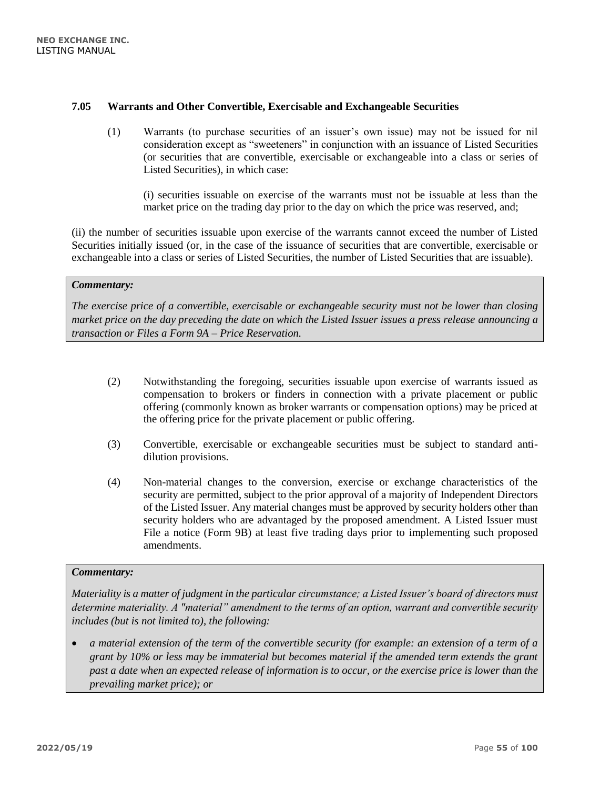## **7.05 Warrants and Other Convertible, Exercisable and Exchangeable Securities**

(1) Warrants (to purchase securities of an issuer's own issue) may not be issued for nil consideration except as "sweeteners" in conjunction with an issuance of Listed Securities (or securities that are convertible, exercisable or exchangeable into a class or series of Listed Securities), in which case:

(i) securities issuable on exercise of the warrants must not be issuable at less than the market price on the trading day prior to the day on which the price was reserved, and;

(ii) the number of securities issuable upon exercise of the warrants cannot exceed the number of Listed Securities initially issued (or, in the case of the issuance of securities that are convertible, exercisable or exchangeable into a class or series of Listed Securities, the number of Listed Securities that are issuable).

## *Commentary:*

*The exercise price of a convertible, exercisable or exchangeable security must not be lower than closing market price on the day preceding the date on which the Listed Issuer issues a press release announcing a transaction or Files a Form 9A – Price Reservation.*

- (2) Notwithstanding the foregoing, securities issuable upon exercise of warrants issued as compensation to brokers or finders in connection with a private placement or public offering (commonly known as broker warrants or compensation options) may be priced at the offering price for the private placement or public offering.
- (3) Convertible, exercisable or exchangeable securities must be subject to standard antidilution provisions.
- (4) Non-material changes to the conversion, exercise or exchange characteristics of the security are permitted, subject to the prior approval of a majority of Independent Directors of the Listed Issuer. Any material changes must be approved by security holders other than security holders who are advantaged by the proposed amendment. A Listed Issuer must File a notice (Form 9B) at least five trading days prior to implementing such proposed amendments.

#### *Commentary:*

*Materiality is a matter of judgment in the particular circumstance; a Listed Issuer's board of directors must determine materiality. A "material" amendment to the terms of an option, warrant and convertible security includes (but is not limited to), the following:* 

• *a material extension of the term of the convertible security (for example: an extension of a term of a grant by 10% or less may be immaterial but becomes material if the amended term extends the grant past a date when an expected release of information is to occur, or the exercise price is lower than the prevailing market price); or*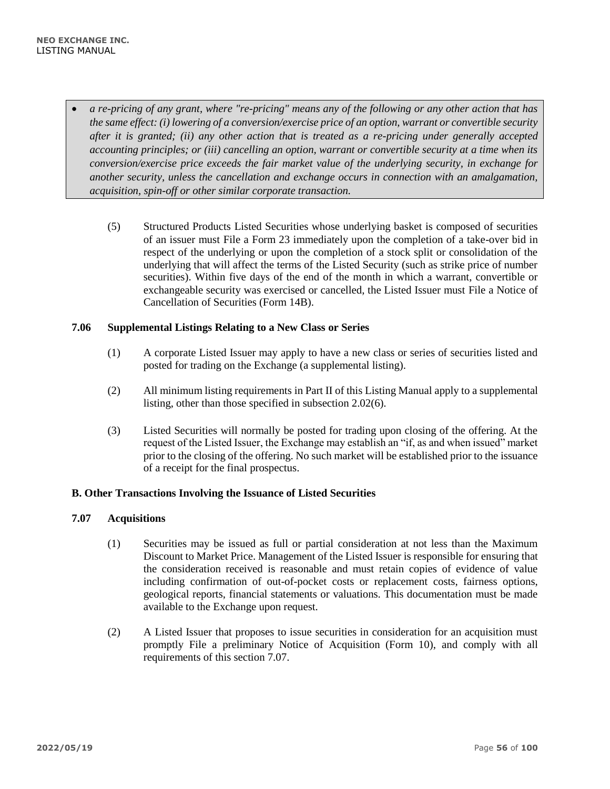- *a re-pricing of any grant, where "re-pricing" means any of the following or any other action that has the same effect: (i) lowering of a conversion/exercise price of an option, warrant or convertible security after it is granted; (ii) any other action that is treated as a re-pricing under generally accepted accounting principles; or (iii) cancelling an option, warrant or convertible security at a time when its conversion/exercise price exceeds the fair market value of the underlying security, in exchange for another security, unless the cancellation and exchange occurs in connection with an amalgamation, acquisition, spin-off or other similar corporate transaction.*
	- (5) Structured Products Listed Securities whose underlying basket is composed of securities of an issuer must File a Form 23 immediately upon the completion of a take-over bid in respect of the underlying or upon the completion of a stock split or consolidation of the underlying that will affect the terms of the Listed Security (such as strike price of number securities). Within five days of the end of the month in which a warrant, convertible or exchangeable security was exercised or cancelled, the Listed Issuer must File a Notice of Cancellation of Securities (Form 14B).

## **7.06 Supplemental Listings Relating to a New Class or Series**

- (1) A corporate Listed Issuer may apply to have a new class or series of securities listed and posted for trading on the Exchange (a supplemental listing).
- (2) All minimum listing requirements in Part II of this Listing Manual apply to a supplemental listing, other than those specified in subsection 2.02(6).
- (3) Listed Securities will normally be posted for trading upon closing of the offering. At the request of the Listed Issuer, the Exchange may establish an "if, as and when issued" market prior to the closing of the offering. No such market will be established prior to the issuance of a receipt for the final prospectus.

### **B. Other Transactions Involving the Issuance of Listed Securities**

#### **7.07 Acquisitions**

- (1) Securities may be issued as full or partial consideration at not less than the Maximum Discount to Market Price. Management of the Listed Issuer is responsible for ensuring that the consideration received is reasonable and must retain copies of evidence of value including confirmation of out-of-pocket costs or replacement costs, fairness options, geological reports, financial statements or valuations. This documentation must be made available to the Exchange upon request.
- (2) A Listed Issuer that proposes to issue securities in consideration for an acquisition must promptly File a preliminary Notice of Acquisition (Form 10), and comply with all requirements of this section 7.07.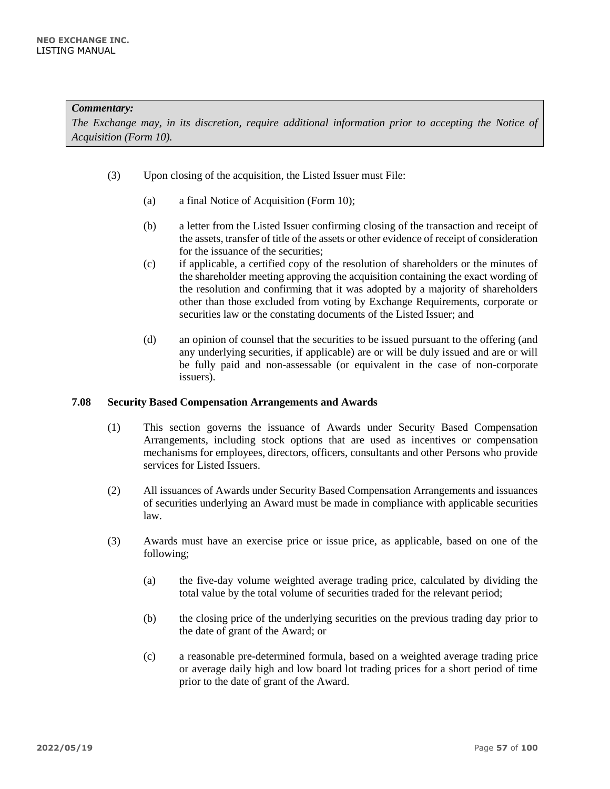*The Exchange may, in its discretion, require additional information prior to accepting the Notice of Acquisition (Form 10).*

- (3) Upon closing of the acquisition, the Listed Issuer must File:
	- (a) a final Notice of Acquisition (Form 10);
	- (b) a letter from the Listed Issuer confirming closing of the transaction and receipt of the assets, transfer of title of the assets or other evidence of receipt of consideration for the issuance of the securities;
	- (c) if applicable, a certified copy of the resolution of shareholders or the minutes of the shareholder meeting approving the acquisition containing the exact wording of the resolution and confirming that it was adopted by a majority of shareholders other than those excluded from voting by Exchange Requirements, corporate or securities law or the constating documents of the Listed Issuer; and
	- (d) an opinion of counsel that the securities to be issued pursuant to the offering (and any underlying securities, if applicable) are or will be duly issued and are or will be fully paid and non-assessable (or equivalent in the case of non-corporate issuers).

#### **7.08 Security Based Compensation Arrangements and Awards**

- (1) This section governs the issuance of Awards under Security Based Compensation Arrangements, including stock options that are used as incentives or compensation mechanisms for employees, directors, officers, consultants and other Persons who provide services for Listed Issuers.
- (2) All issuances of Awards under Security Based Compensation Arrangements and issuances of securities underlying an Award must be made in compliance with applicable securities law.
- (3) Awards must have an exercise price or issue price, as applicable, based on one of the following;
	- (a) the five-day volume weighted average trading price, calculated by dividing the total value by the total volume of securities traded for the relevant period;
	- (b) the closing price of the underlying securities on the previous trading day prior to the date of grant of the Award; or
	- (c) a reasonable pre-determined formula, based on a weighted average trading price or average daily high and low board lot trading prices for a short period of time prior to the date of grant of the Award.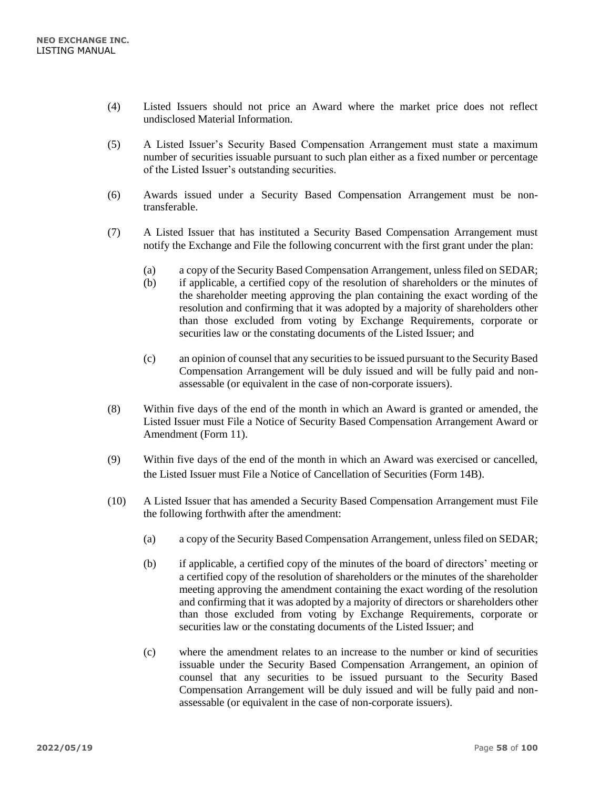- (4) Listed Issuers should not price an Award where the market price does not reflect undisclosed Material Information.
- (5) A Listed Issuer's Security Based Compensation Arrangement must state a maximum number of securities issuable pursuant to such plan either as a fixed number or percentage of the Listed Issuer's outstanding securities.
- (6) Awards issued under a Security Based Compensation Arrangement must be nontransferable.
- (7) A Listed Issuer that has instituted a Security Based Compensation Arrangement must notify the Exchange and File the following concurrent with the first grant under the plan:
	- (a) a copy of the Security Based Compensation Arrangement, unless filed on SEDAR;
	- (b) if applicable, a certified copy of the resolution of shareholders or the minutes of the shareholder meeting approving the plan containing the exact wording of the resolution and confirming that it was adopted by a majority of shareholders other than those excluded from voting by Exchange Requirements, corporate or securities law or the constating documents of the Listed Issuer; and
	- (c) an opinion of counsel that any securities to be issued pursuant to the Security Based Compensation Arrangement will be duly issued and will be fully paid and nonassessable (or equivalent in the case of non-corporate issuers).
- (8) Within five days of the end of the month in which an Award is granted or amended, the Listed Issuer must File a Notice of Security Based Compensation Arrangement Award or Amendment (Form 11).
- (9) Within five days of the end of the month in which an Award was exercised or cancelled, the Listed Issuer must File a Notice of Cancellation of Securities (Form 14B).
- (10) A Listed Issuer that has amended a Security Based Compensation Arrangement must File the following forthwith after the amendment:
	- (a) a copy of the Security Based Compensation Arrangement, unless filed on SEDAR;
	- (b) if applicable, a certified copy of the minutes of the board of directors' meeting or a certified copy of the resolution of shareholders or the minutes of the shareholder meeting approving the amendment containing the exact wording of the resolution and confirming that it was adopted by a majority of directors or shareholders other than those excluded from voting by Exchange Requirements, corporate or securities law or the constating documents of the Listed Issuer; and
	- (c) where the amendment relates to an increase to the number or kind of securities issuable under the Security Based Compensation Arrangement, an opinion of counsel that any securities to be issued pursuant to the Security Based Compensation Arrangement will be duly issued and will be fully paid and nonassessable (or equivalent in the case of non-corporate issuers).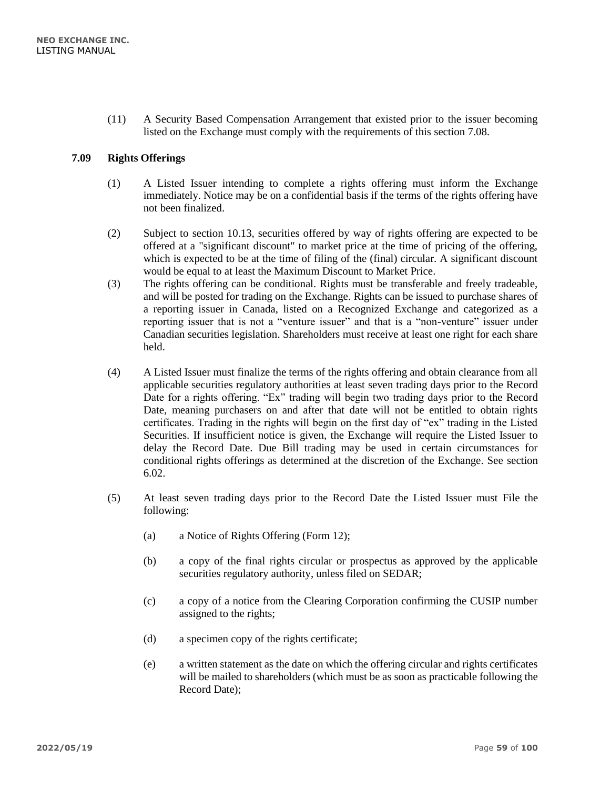(11) A Security Based Compensation Arrangement that existed prior to the issuer becoming listed on the Exchange must comply with the requirements of this section 7.08.

## **7.09 Rights Offerings**

- (1) A Listed Issuer intending to complete a rights offering must inform the Exchange immediately. Notice may be on a confidential basis if the terms of the rights offering have not been finalized.
- (2) Subject to section 10.13, securities offered by way of rights offering are expected to be offered at a "significant discount" to market price at the time of pricing of the offering, which is expected to be at the time of filing of the (final) circular. A significant discount would be equal to at least the Maximum Discount to Market Price.
- (3) The rights offering can be conditional. Rights must be transferable and freely tradeable, and will be posted for trading on the Exchange. Rights can be issued to purchase shares of a reporting issuer in Canada, listed on a Recognized Exchange and categorized as a reporting issuer that is not a "venture issuer" and that is a "non-venture" issuer under Canadian securities legislation. Shareholders must receive at least one right for each share held.
- (4) A Listed Issuer must finalize the terms of the rights offering and obtain clearance from all applicable securities regulatory authorities at least seven trading days prior to the Record Date for a rights offering. "Ex" trading will begin two trading days prior to the Record Date, meaning purchasers on and after that date will not be entitled to obtain rights certificates. Trading in the rights will begin on the first day of "ex" trading in the Listed Securities. If insufficient notice is given, the Exchange will require the Listed Issuer to delay the Record Date. Due Bill trading may be used in certain circumstances for conditional rights offerings as determined at the discretion of the Exchange. See section 6.02.
- (5) At least seven trading days prior to the Record Date the Listed Issuer must File the following:
	- (a) a Notice of Rights Offering (Form 12);
	- (b) a copy of the final rights circular or prospectus as approved by the applicable securities regulatory authority, unless filed on SEDAR;
	- (c) a copy of a notice from the Clearing Corporation confirming the CUSIP number assigned to the rights;
	- (d) a specimen copy of the rights certificate;
	- (e) a written statement as the date on which the offering circular and rights certificates will be mailed to shareholders (which must be as soon as practicable following the Record Date);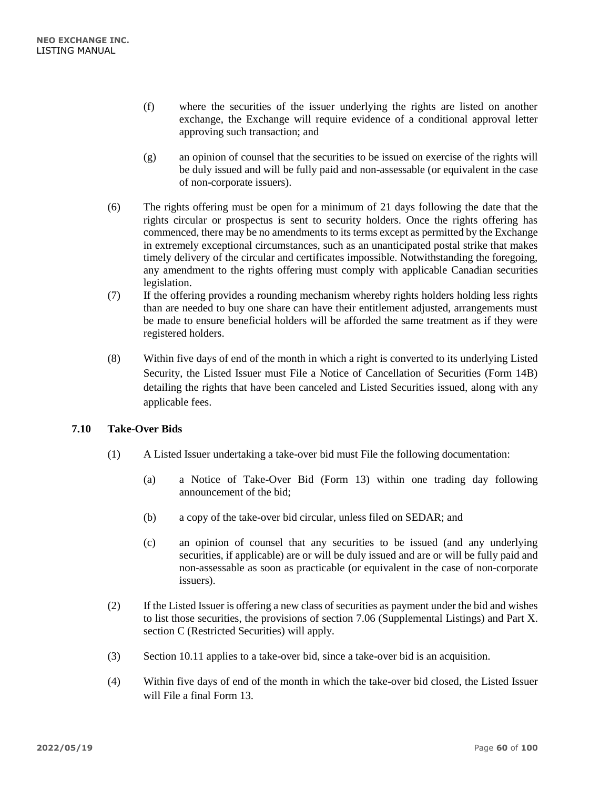- (f) where the securities of the issuer underlying the rights are listed on another exchange, the Exchange will require evidence of a conditional approval letter approving such transaction; and
- (g) an opinion of counsel that the securities to be issued on exercise of the rights will be duly issued and will be fully paid and non-assessable (or equivalent in the case of non-corporate issuers).
- (6) The rights offering must be open for a minimum of 21 days following the date that the rights circular or prospectus is sent to security holders. Once the rights offering has commenced, there may be no amendments to its terms except as permitted by the Exchange in extremely exceptional circumstances, such as an unanticipated postal strike that makes timely delivery of the circular and certificates impossible. Notwithstanding the foregoing, any amendment to the rights offering must comply with applicable Canadian securities legislation.
- (7) If the offering provides a rounding mechanism whereby rights holders holding less rights than are needed to buy one share can have their entitlement adjusted, arrangements must be made to ensure beneficial holders will be afforded the same treatment as if they were registered holders.
- (8) Within five days of end of the month in which a right is converted to its underlying Listed Security, the Listed Issuer must File a Notice of Cancellation of Securities (Form 14B) detailing the rights that have been canceled and Listed Securities issued, along with any applicable fees.

# **7.10 Take-Over Bids**

- (1) A Listed Issuer undertaking a take-over bid must File the following documentation:
	- (a) a Notice of Take-Over Bid (Form 13) within one trading day following announcement of the bid;
	- (b) a copy of the take-over bid circular, unless filed on SEDAR; and
	- (c) an opinion of counsel that any securities to be issued (and any underlying securities, if applicable) are or will be duly issued and are or will be fully paid and non-assessable as soon as practicable (or equivalent in the case of non-corporate issuers).
- (2) If the Listed Issuer is offering a new class of securities as payment under the bid and wishes to list those securities, the provisions of section 7.06 (Supplemental Listings) and Part X. section C (Restricted Securities) will apply.
- (3) Section 10.11 applies to a take-over bid, since a take-over bid is an acquisition.
- (4) Within five days of end of the month in which the take-over bid closed, the Listed Issuer will File a final Form 13.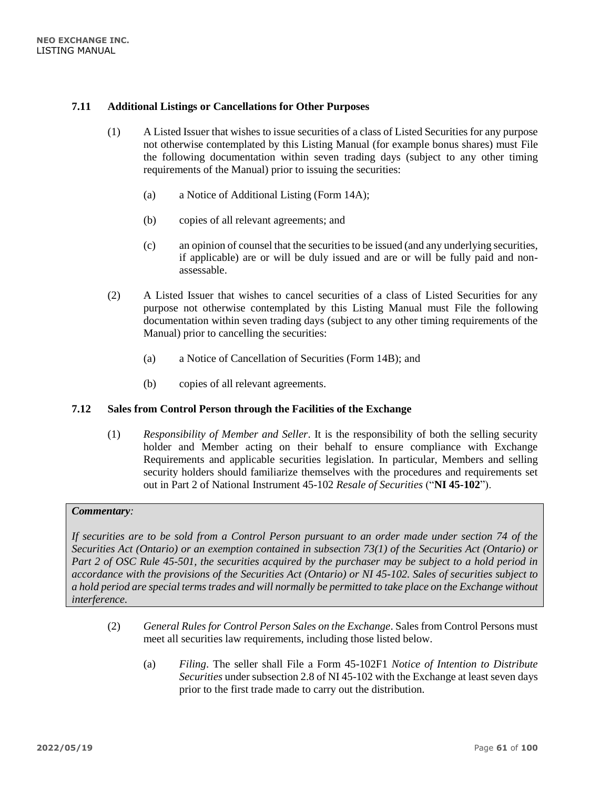## **7.11 Additional Listings or Cancellations for Other Purposes**

- (1) A Listed Issuer that wishes to issue securities of a class of Listed Securities for any purpose not otherwise contemplated by this Listing Manual (for example bonus shares) must File the following documentation within seven trading days (subject to any other timing requirements of the Manual) prior to issuing the securities:
	- (a) a Notice of Additional Listing (Form 14A);
	- (b) copies of all relevant agreements; and
	- (c) an opinion of counsel that the securities to be issued (and any underlying securities, if applicable) are or will be duly issued and are or will be fully paid and nonassessable.
- (2) A Listed Issuer that wishes to cancel securities of a class of Listed Securities for any purpose not otherwise contemplated by this Listing Manual must File the following documentation within seven trading days (subject to any other timing requirements of the Manual) prior to cancelling the securities:
	- (a) a Notice of Cancellation of Securities (Form 14B); and
	- (b) copies of all relevant agreements.

#### **7.12 Sales from Control Person through the Facilities of the Exchange**

(1) *Responsibility of Member and Seller*. It is the responsibility of both the selling security holder and Member acting on their behalf to ensure compliance with Exchange Requirements and applicable securities legislation. In particular, Members and selling security holders should familiarize themselves with the procedures and requirements set out in Part 2 of National Instrument 45-102 *Resale of Securities* ("**NI 45-102**").

## *Commentary:*

*If securities are to be sold from a Control Person pursuant to an order made under section 74 of the Securities Act (Ontario) or an exemption contained in subsection 73(1) of the Securities Act (Ontario) or Part 2 of OSC Rule 45-501, the securities acquired by the purchaser may be subject to a hold period in accordance with the provisions of the Securities Act (Ontario) or NI 45-102. Sales of securities subject to a hold period are special terms trades and will normally be permitted to take place on the Exchange without interference.*

- (2) *General Rules for Control Person Sales on the Exchange*. Sales from Control Persons must meet all securities law requirements, including those listed below.
	- (a) *Filing*. The seller shall File a Form 45-102F1 *Notice of Intention to Distribute Securities* under subsection 2.8 of NI 45-102 with the Exchange at least seven days prior to the first trade made to carry out the distribution.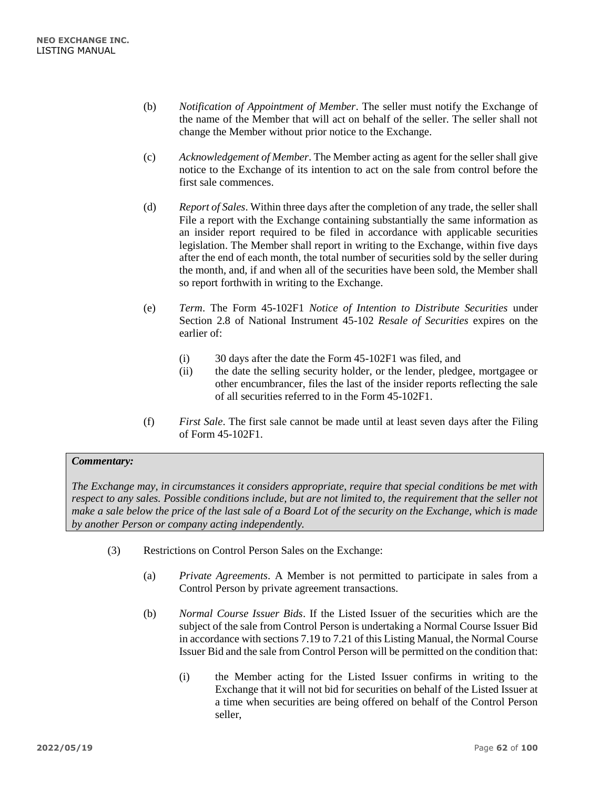- (b) *Notification of Appointment of Member*. The seller must notify the Exchange of the name of the Member that will act on behalf of the seller. The seller shall not change the Member without prior notice to the Exchange.
- (c) *Acknowledgement of Member*. The Member acting as agent for the seller shall give notice to the Exchange of its intention to act on the sale from control before the first sale commences.
- (d) *Report of Sales*. Within three days after the completion of any trade, the seller shall File a report with the Exchange containing substantially the same information as an insider report required to be filed in accordance with applicable securities legislation. The Member shall report in writing to the Exchange, within five days after the end of each month, the total number of securities sold by the seller during the month, and, if and when all of the securities have been sold, the Member shall so report forthwith in writing to the Exchange.
- (e) *Term*. The Form 45-102F1 *Notice of Intention to Distribute Securities* under Section 2.8 of National Instrument 45-102 *Resale of Securities* expires on the earlier of:
	- (i) 30 days after the date the Form 45-102F1 was filed, and
	- (ii) the date the selling security holder, or the lender, pledgee, mortgagee or other encumbrancer, files the last of the insider reports reflecting the sale of all securities referred to in the Form 45-102F1.
- (f) *First Sale*. The first sale cannot be made until at least seven days after the Filing of Form 45-102F1.

*The Exchange may, in circumstances it considers appropriate, require that special conditions be met with respect to any sales. Possible conditions include, but are not limited to, the requirement that the seller not make a sale below the price of the last sale of a Board Lot of the security on the Exchange, which is made by another Person or company acting independently.*

- (3) Restrictions on Control Person Sales on the Exchange:
	- (a) *Private Agreements*. A Member is not permitted to participate in sales from a Control Person by private agreement transactions.
	- (b) *Normal Course Issuer Bids*. If the Listed Issuer of the securities which are the subject of the sale from Control Person is undertaking a Normal Course Issuer Bid in accordance with sections 7.19 to 7.21 of this Listing Manual, the Normal Course Issuer Bid and the sale from Control Person will be permitted on the condition that:
		- (i) the Member acting for the Listed Issuer confirms in writing to the Exchange that it will not bid for securities on behalf of the Listed Issuer at a time when securities are being offered on behalf of the Control Person seller,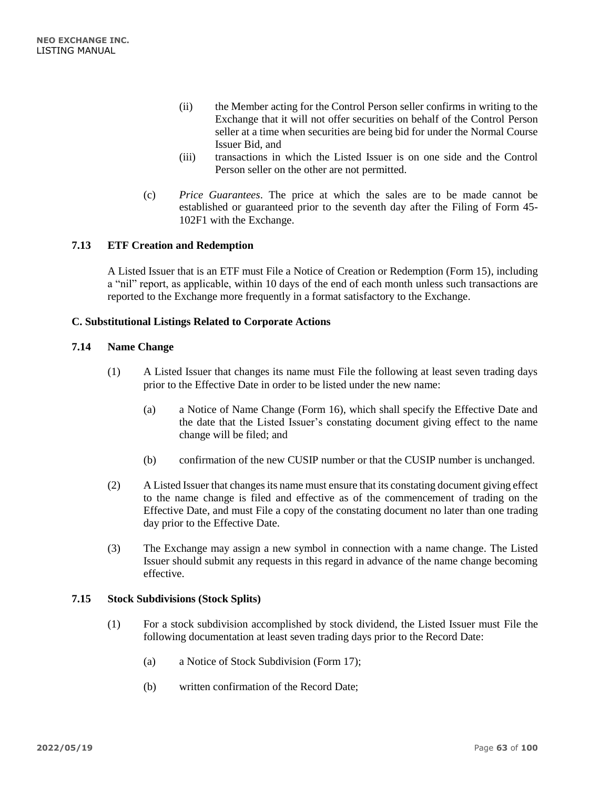- (ii) the Member acting for the Control Person seller confirms in writing to the Exchange that it will not offer securities on behalf of the Control Person seller at a time when securities are being bid for under the Normal Course Issuer Bid, and
- (iii) transactions in which the Listed Issuer is on one side and the Control Person seller on the other are not permitted.
- (c) *Price Guarantees*. The price at which the sales are to be made cannot be established or guaranteed prior to the seventh day after the Filing of Form 45- 102F1 with the Exchange.

## **7.13 ETF Creation and Redemption**

A Listed Issuer that is an ETF must File a Notice of Creation or Redemption (Form 15), including a "nil" report, as applicable, within 10 days of the end of each month unless such transactions are reported to the Exchange more frequently in a format satisfactory to the Exchange.

## **C. Substitutional Listings Related to Corporate Actions**

### **7.14 Name Change**

- (1) A Listed Issuer that changes its name must File the following at least seven trading days prior to the Effective Date in order to be listed under the new name:
	- (a) a Notice of Name Change (Form 16), which shall specify the Effective Date and the date that the Listed Issuer's constating document giving effect to the name change will be filed; and
	- (b) confirmation of the new CUSIP number or that the CUSIP number is unchanged.
- (2) A Listed Issuer that changes its name must ensure that its constating document giving effect to the name change is filed and effective as of the commencement of trading on the Effective Date, and must File a copy of the constating document no later than one trading day prior to the Effective Date.
- (3) The Exchange may assign a new symbol in connection with a name change. The Listed Issuer should submit any requests in this regard in advance of the name change becoming effective.

#### **7.15 Stock Subdivisions (Stock Splits)**

- (1) For a stock subdivision accomplished by stock dividend, the Listed Issuer must File the following documentation at least seven trading days prior to the Record Date:
	- (a) a Notice of Stock Subdivision (Form 17);
	- (b) written confirmation of the Record Date;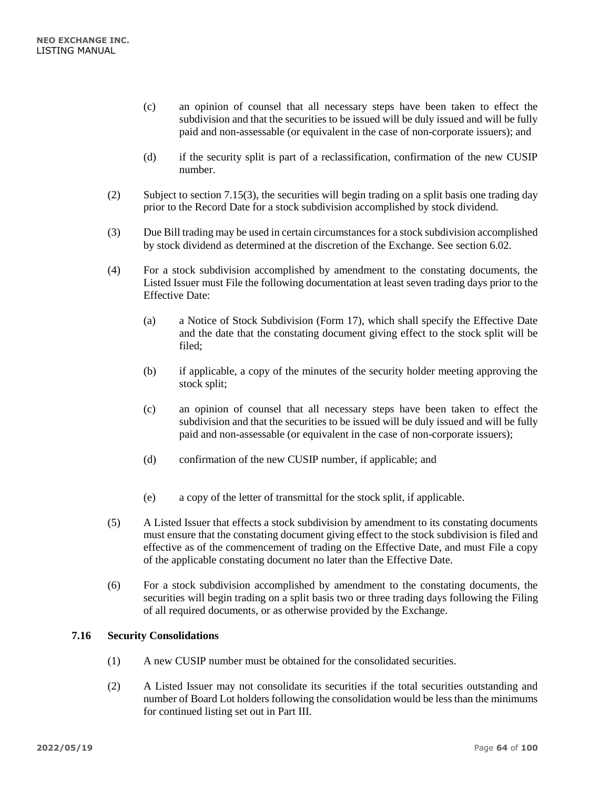- (c) an opinion of counsel that all necessary steps have been taken to effect the subdivision and that the securities to be issued will be duly issued and will be fully paid and non-assessable (or equivalent in the case of non-corporate issuers); and
- (d) if the security split is part of a reclassification, confirmation of the new CUSIP number.
- (2) Subject to section 7.15(3), the securities will begin trading on a split basis one trading day prior to the Record Date for a stock subdivision accomplished by stock dividend.
- (3) Due Bill trading may be used in certain circumstances for a stock subdivision accomplished by stock dividend as determined at the discretion of the Exchange. See section [6.02.](#page-49-0)
- (4) For a stock subdivision accomplished by amendment to the constating documents, the Listed Issuer must File the following documentation at least seven trading days prior to the Effective Date:
	- (a) a Notice of Stock Subdivision (Form 17), which shall specify the Effective Date and the date that the constating document giving effect to the stock split will be filed;
	- (b) if applicable, a copy of the minutes of the security holder meeting approving the stock split;
	- (c) an opinion of counsel that all necessary steps have been taken to effect the subdivision and that the securities to be issued will be duly issued and will be fully paid and non-assessable (or equivalent in the case of non-corporate issuers);
	- (d) confirmation of the new CUSIP number, if applicable; and
	- (e) a copy of the letter of transmittal for the stock split, if applicable.
- (5) A Listed Issuer that effects a stock subdivision by amendment to its constating documents must ensure that the constating document giving effect to the stock subdivision is filed and effective as of the commencement of trading on the Effective Date, and must File a copy of the applicable constating document no later than the Effective Date.
- (6) For a stock subdivision accomplished by amendment to the constating documents, the securities will begin trading on a split basis two or three trading days following the Filing of all required documents, or as otherwise provided by the Exchange.

# **7.16 Security Consolidations**

- (1) A new CUSIP number must be obtained for the consolidated securities.
- (2) A Listed Issuer may not consolidate its securities if the total securities outstanding and number of Board Lot holders following the consolidation would be less than the minimums for continued listing set out in Part III.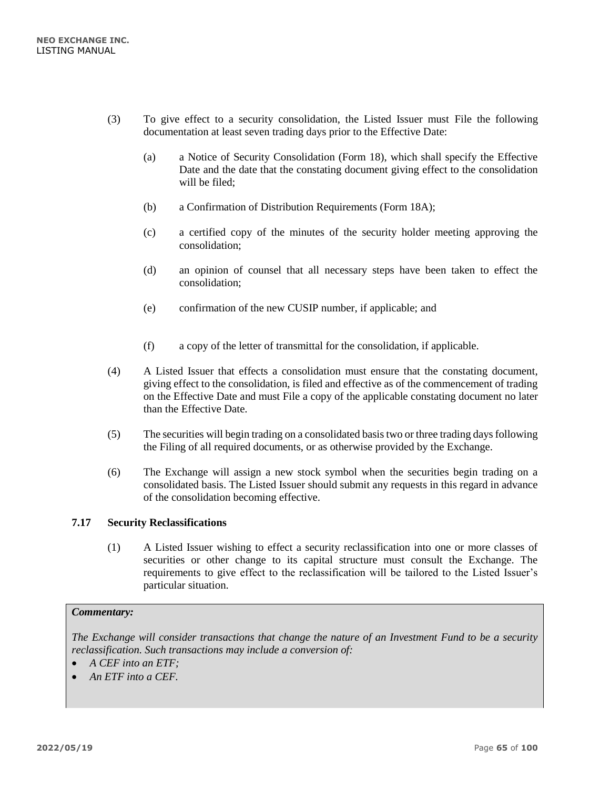- (3) To give effect to a security consolidation, the Listed Issuer must File the following documentation at least seven trading days prior to the Effective Date:
	- (a) a Notice of Security Consolidation (Form 18), which shall specify the Effective Date and the date that the constating document giving effect to the consolidation will be filed;
	- (b) a Confirmation of Distribution Requirements (Form 18A);
	- (c) a certified copy of the minutes of the security holder meeting approving the consolidation;
	- (d) an opinion of counsel that all necessary steps have been taken to effect the consolidation;
	- (e) confirmation of the new CUSIP number, if applicable; and
	- (f) a copy of the letter of transmittal for the consolidation, if applicable.
- (4) A Listed Issuer that effects a consolidation must ensure that the constating document, giving effect to the consolidation, is filed and effective as of the commencement of trading on the Effective Date and must File a copy of the applicable constating document no later than the Effective Date.
- (5) The securities will begin trading on a consolidated basis two or three trading days following the Filing of all required documents, or as otherwise provided by the Exchange.
- (6) The Exchange will assign a new stock symbol when the securities begin trading on a consolidated basis. The Listed Issuer should submit any requests in this regard in advance of the consolidation becoming effective.

# **7.17 Security Reclassifications**

(1) A Listed Issuer wishing to effect a security reclassification into one or more classes of securities or other change to its capital structure must consult the Exchange. The requirements to give effect to the reclassification will be tailored to the Listed Issuer's particular situation.

#### *Commentary:*

*The Exchange will consider transactions that change the nature of an Investment Fund to be a security reclassification. Such transactions may include a conversion of:*

- *A CEF into an ETF;*
- *An ETF into a CEF.*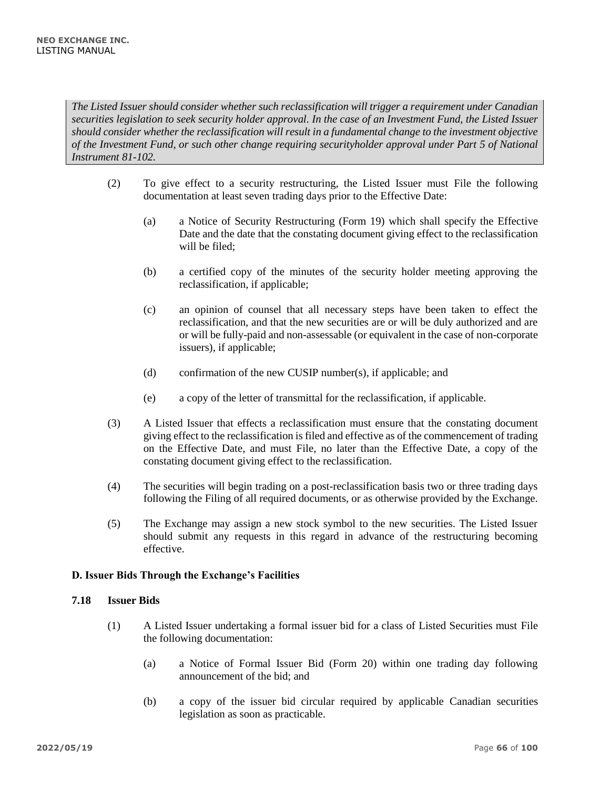*The Listed Issuer should consider whether such reclassification will trigger a requirement under Canadian securities legislation to seek security holder approval. In the case of an Investment Fund, the Listed Issuer should consider whether the reclassification will result in a fundamental change to the investment objective of the Investment Fund, or such other change requiring securityholder approval under Part 5 of National Instrument 81-102.*

- (2) To give effect to a security restructuring, the Listed Issuer must File the following documentation at least seven trading days prior to the Effective Date:
	- (a) a Notice of Security Restructuring (Form 19) which shall specify the Effective Date and the date that the constating document giving effect to the reclassification will be filed;
	- (b) a certified copy of the minutes of the security holder meeting approving the reclassification, if applicable;
	- (c) an opinion of counsel that all necessary steps have been taken to effect the reclassification, and that the new securities are or will be duly authorized and are or will be fully-paid and non-assessable (or equivalent in the case of non-corporate issuers), if applicable;
	- (d) confirmation of the new CUSIP number(s), if applicable; and
	- (e) a copy of the letter of transmittal for the reclassification, if applicable.
- (3) A Listed Issuer that effects a reclassification must ensure that the constating document giving effect to the reclassification is filed and effective as of the commencement of trading on the Effective Date, and must File, no later than the Effective Date, a copy of the constating document giving effect to the reclassification.
- (4) The securities will begin trading on a post-reclassification basis two or three trading days following the Filing of all required documents, or as otherwise provided by the Exchange.
- (5) The Exchange may assign a new stock symbol to the new securities. The Listed Issuer should submit any requests in this regard in advance of the restructuring becoming effective.

# **D. Issuer Bids Through the Exchange's Facilities**

# **7.18 Issuer Bids**

- (1) A Listed Issuer undertaking a formal issuer bid for a class of Listed Securities must File the following documentation:
	- (a) a Notice of Formal Issuer Bid (Form 20) within one trading day following announcement of the bid; and
	- (b) a copy of the issuer bid circular required by applicable Canadian securities legislation as soon as practicable.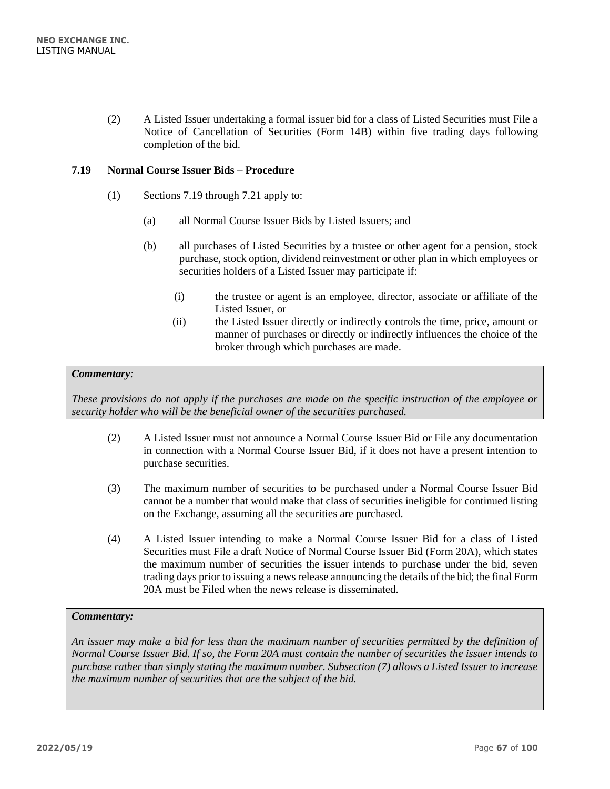(2) A Listed Issuer undertaking a formal issuer bid for a class of Listed Securities must File a Notice of Cancellation of Securities (Form 14B) within five trading days following completion of the bid.

## **7.19 Normal Course Issuer Bids – Procedure**

- (1) Sections 7.19 through 7.21 apply to:
	- (a) all Normal Course Issuer Bids by Listed Issuers; and
	- (b) all purchases of Listed Securities by a trustee or other agent for a pension, stock purchase, stock option, dividend reinvestment or other plan in which employees or securities holders of a Listed Issuer may participate if:
		- (i) the trustee or agent is an employee, director, associate or affiliate of the Listed Issuer, or
		- (ii) the Listed Issuer directly or indirectly controls the time, price, amount or manner of purchases or directly or indirectly influences the choice of the broker through which purchases are made.

#### *Commentary:*

*These provisions do not apply if the purchases are made on the specific instruction of the employee or security holder who will be the beneficial owner of the securities purchased.*

- (2) A Listed Issuer must not announce a Normal Course Issuer Bid or File any documentation in connection with a Normal Course Issuer Bid, if it does not have a present intention to purchase securities.
- (3) The maximum number of securities to be purchased under a Normal Course Issuer Bid cannot be a number that would make that class of securities ineligible for continued listing on the Exchange, assuming all the securities are purchased.
- (4) A Listed Issuer intending to make a Normal Course Issuer Bid for a class of Listed Securities must File a draft Notice of Normal Course Issuer Bid (Form 20A), which states the maximum number of securities the issuer intends to purchase under the bid, seven trading days prior to issuing a news release announcing the details of the bid; the final Form 20A must be Filed when the news release is disseminated.

#### *Commentary:*

*An issuer may make a bid for less than the maximum number of securities permitted by the definition of Normal Course Issuer Bid. If so, the Form 20A must contain the number of securities the issuer intends to purchase rather than simply stating the maximum number. Subsection (7) allows a Listed Issuer to increase the maximum number of securities that are the subject of the bid.*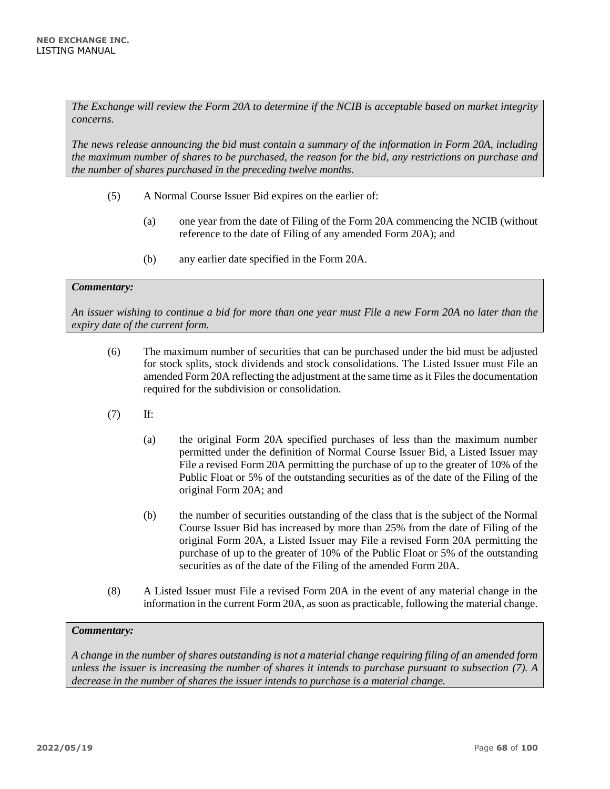*The Exchange will review the Form 20A to determine if the NCIB is acceptable based on market integrity concerns.* 

*The news release announcing the bid must contain a summary of the information in Form 20A, including the maximum number of shares to be purchased, the reason for the bid, any restrictions on purchase and the number of shares purchased in the preceding twelve months.*

- (5) A Normal Course Issuer Bid expires on the earlier of:
	- (a) one year from the date of Filing of the Form 20A commencing the NCIB (without reference to the date of Filing of any amended Form 20A); and
	- (b) any earlier date specified in the Form 20A.

#### *Commentary:*

*An issuer wishing to continue a bid for more than one year must File a new Form 20A no later than the expiry date of the current form.*

- (6) The maximum number of securities that can be purchased under the bid must be adjusted for stock splits, stock dividends and stock consolidations. The Listed Issuer must File an amended Form 20A reflecting the adjustment at the same time as it Files the documentation required for the subdivision or consolidation.
- (7) If:
	- (a) the original Form 20A specified purchases of less than the maximum number permitted under the definition of Normal Course Issuer Bid, a Listed Issuer may File a revised Form 20A permitting the purchase of up to the greater of 10% of the Public Float or 5% of the outstanding securities as of the date of the Filing of the original Form 20A; and
	- (b) the number of securities outstanding of the class that is the subject of the Normal Course Issuer Bid has increased by more than 25% from the date of Filing of the original Form 20A, a Listed Issuer may File a revised Form 20A permitting the purchase of up to the greater of 10% of the Public Float or 5% of the outstanding securities as of the date of the Filing of the amended Form 20A.
- (8) A Listed Issuer must File a revised Form 20A in the event of any material change in the information in the current Form 20A, as soon as practicable, following the material change.

### *Commentary:*

*A change in the number of shares outstanding is not a material change requiring filing of an amended form unless the issuer is increasing the number of shares it intends to purchase pursuant to subsection (7). A decrease in the number of shares the issuer intends to purchase is a material change.*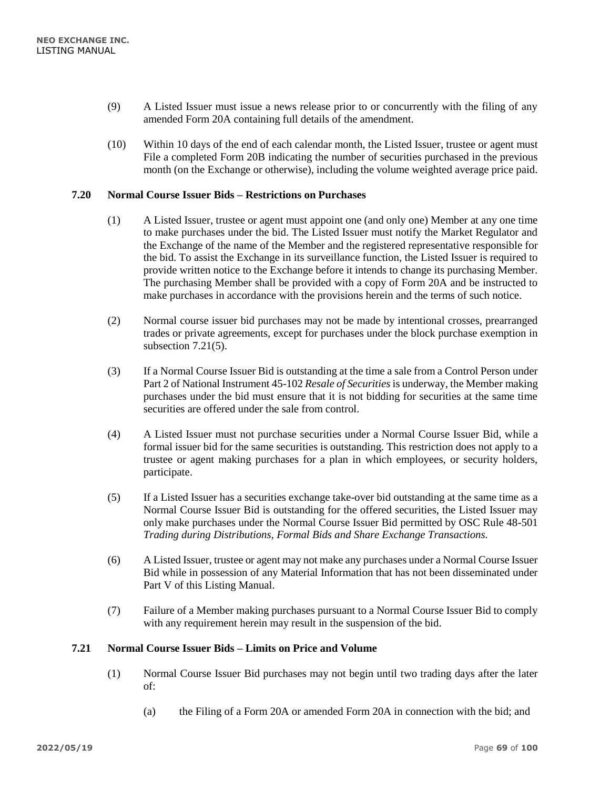- (9) A Listed Issuer must issue a news release prior to or concurrently with the filing of any amended Form 20A containing full details of the amendment.
- (10) Within 10 days of the end of each calendar month, the Listed Issuer, trustee or agent must File a completed Form 20B indicating the number of securities purchased in the previous month (on the Exchange or otherwise), including the volume weighted average price paid.

## **7.20 Normal Course Issuer Bids – Restrictions on Purchases**

- (1) A Listed Issuer, trustee or agent must appoint one (and only one) Member at any one time to make purchases under the bid. The Listed Issuer must notify the Market Regulator and the Exchange of the name of the Member and the registered representative responsible for the bid. To assist the Exchange in its surveillance function, the Listed Issuer is required to provide written notice to the Exchange before it intends to change its purchasing Member. The purchasing Member shall be provided with a copy of Form 20A and be instructed to make purchases in accordance with the provisions herein and the terms of such notice.
- (2) Normal course issuer bid purchases may not be made by intentional crosses, prearranged trades or private agreements, except for purchases under the block purchase exemption in subsection 7.21(5).
- (3) If a Normal Course Issuer Bid is outstanding at the time a sale from a Control Person under Part 2 of National Instrument 45-102 *Resale of Securities* is underway, the Member making purchases under the bid must ensure that it is not bidding for securities at the same time securities are offered under the sale from control.
- (4) A Listed Issuer must not purchase securities under a Normal Course Issuer Bid, while a formal issuer bid for the same securities is outstanding. This restriction does not apply to a trustee or agent making purchases for a plan in which employees, or security holders, participate.
- (5) If a Listed Issuer has a securities exchange take-over bid outstanding at the same time as a Normal Course Issuer Bid is outstanding for the offered securities, the Listed Issuer may only make purchases under the Normal Course Issuer Bid permitted by OSC Rule 48-501 *Trading during Distributions, Formal Bids and Share Exchange Transactions.*
- (6) A Listed Issuer, trustee or agent may not make any purchases under a Normal Course Issuer Bid while in possession of any Material Information that has not been disseminated under Part V of this Listing Manual.
- (7) Failure of a Member making purchases pursuant to a Normal Course Issuer Bid to comply with any requirement herein may result in the suspension of the bid.

## **7.21 Normal Course Issuer Bids – Limits on Price and Volume**

- (1) Normal Course Issuer Bid purchases may not begin until two trading days after the later of:
	- (a) the Filing of a Form 20A or amended Form 20A in connection with the bid; and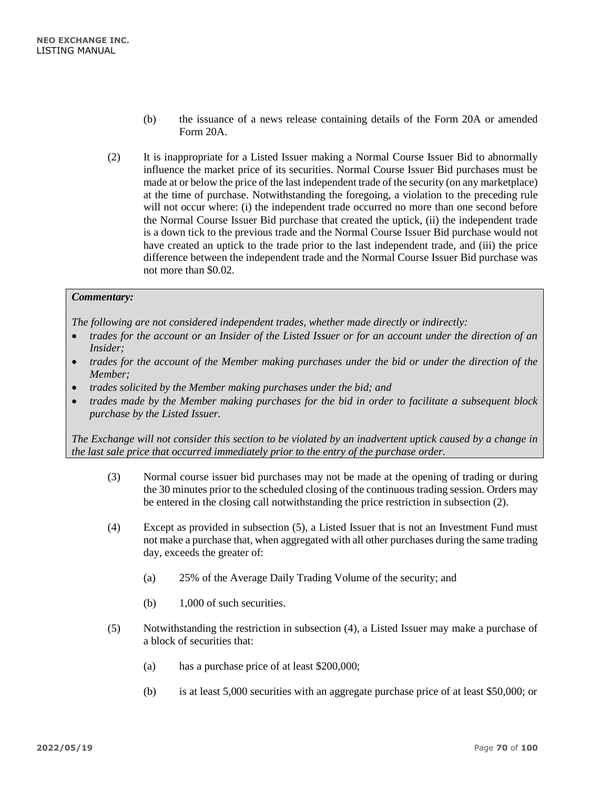- (b) the issuance of a news release containing details of the Form 20A or amended Form 20A.
- (2) It is inappropriate for a Listed Issuer making a Normal Course Issuer Bid to abnormally influence the market price of its securities. Normal Course Issuer Bid purchases must be made at or below the price of the last independent trade of the security (on any marketplace) at the time of purchase. Notwithstanding the foregoing, a violation to the preceding rule will not occur where: (i) the independent trade occurred no more than one second before the Normal Course Issuer Bid purchase that created the uptick, (ii) the independent trade is a down tick to the previous trade and the Normal Course Issuer Bid purchase would not have created an uptick to the trade prior to the last independent trade, and (iii) the price difference between the independent trade and the Normal Course Issuer Bid purchase was not more than \$0.02.

*The following are not considered independent trades, whether made directly or indirectly:*

- *trades for the account or an Insider of the Listed Issuer or for an account under the direction of an Insider;*
- *trades for the account of the Member making purchases under the bid or under the direction of the Member;*
- *trades solicited by the Member making purchases under the bid; and*
- *trades made by the Member making purchases for the bid in order to facilitate a subsequent block purchase by the Listed Issuer.*

*The Exchange will not consider this section to be violated by an inadvertent uptick caused by a change in the last sale price that occurred immediately prior to the entry of the purchase order.*

- (3) Normal course issuer bid purchases may not be made at the opening of trading or during the 30 minutes prior to the scheduled closing of the continuous trading session. Orders may be entered in the closing call notwithstanding the price restriction in subsection (2).
- (4) Except as provided in subsection (5), a Listed Issuer that is not an Investment Fund must not make a purchase that, when aggregated with all other purchases during the same trading day, exceeds the greater of:
	- (a) 25% of the Average Daily Trading Volume of the security; and
	- (b) 1,000 of such securities.
- (5) Notwithstanding the restriction in subsection (4), a Listed Issuer may make a purchase of a block of securities that:
	- (a) has a purchase price of at least \$200,000;
	- (b) is at least 5,000 securities with an aggregate purchase price of at least \$50,000; or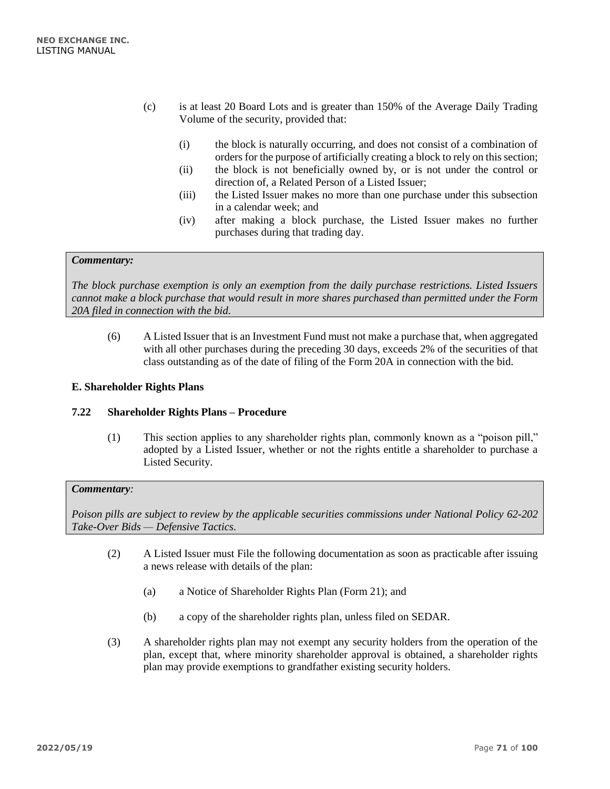- (c) is at least 20 Board Lots and is greater than 150% of the Average Daily Trading Volume of the security, provided that:
	- (i) the block is naturally occurring, and does not consist of a combination of orders for the purpose of artificially creating a block to rely on this section;
	- (ii) the block is not beneficially owned by, or is not under the control or direction of, a Related Person of a Listed Issuer;
	- (iii) the Listed Issuer makes no more than one purchase under this subsection in a calendar week; and
	- (iv) after making a block purchase, the Listed Issuer makes no further purchases during that trading day.

*The block purchase exemption is only an exemption from the daily purchase restrictions. Listed Issuers cannot make a block purchase that would result in more shares purchased than permitted under the Form 20A filed in connection with the bid.*

(6) A Listed Issuer that is an Investment Fund must not make a purchase that, when aggregated with all other purchases during the preceding 30 days, exceeds 2% of the securities of that class outstanding as of the date of filing of the Form 20A in connection with the bid.

#### **E. Shareholder Rights Plans**

#### **7.22 Shareholder Rights Plans – Procedure**

(1) This section applies to any shareholder rights plan, commonly known as a "poison pill," adopted by a Listed Issuer, whether or not the rights entitle a shareholder to purchase a Listed Security.

#### *Commentary:*

*Poison pills are subject to review by the applicable securities commissions under National Policy 62-202 Take-Over Bids — Defensive Tactics.*

- (2) A Listed Issuer must File the following documentation as soon as practicable after issuing a news release with details of the plan:
	- (a) a Notice of Shareholder Rights Plan (Form 21); and
	- (b) a copy of the shareholder rights plan, unless filed on SEDAR.
- (3) A shareholder rights plan may not exempt any security holders from the operation of the plan, except that, where minority shareholder approval is obtained, a shareholder rights plan may provide exemptions to grandfather existing security holders.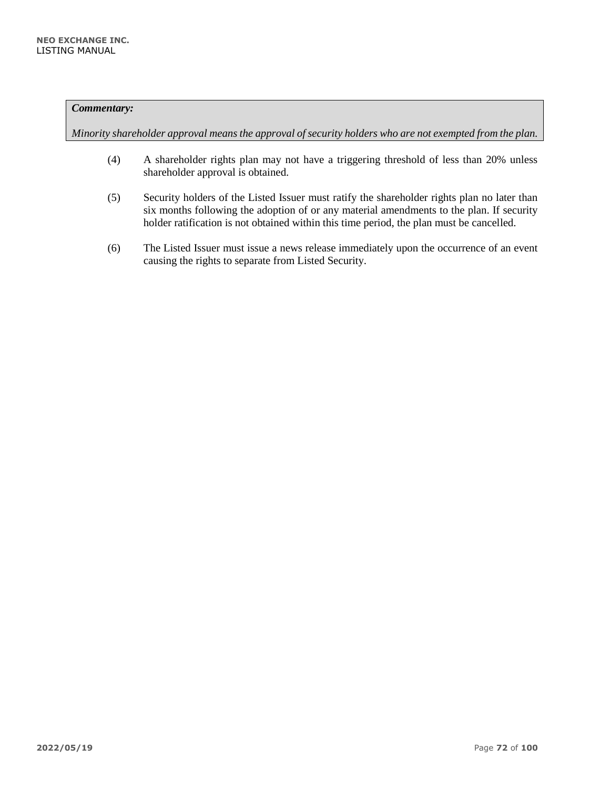*Minority shareholder approval means the approval of security holders who are not exempted from the plan.*

- (4) A shareholder rights plan may not have a triggering threshold of less than 20% unless shareholder approval is obtained.
- (5) Security holders of the Listed Issuer must ratify the shareholder rights plan no later than six months following the adoption of or any material amendments to the plan. If security holder ratification is not obtained within this time period, the plan must be cancelled.
- (6) The Listed Issuer must issue a news release immediately upon the occurrence of an event causing the rights to separate from Listed Security.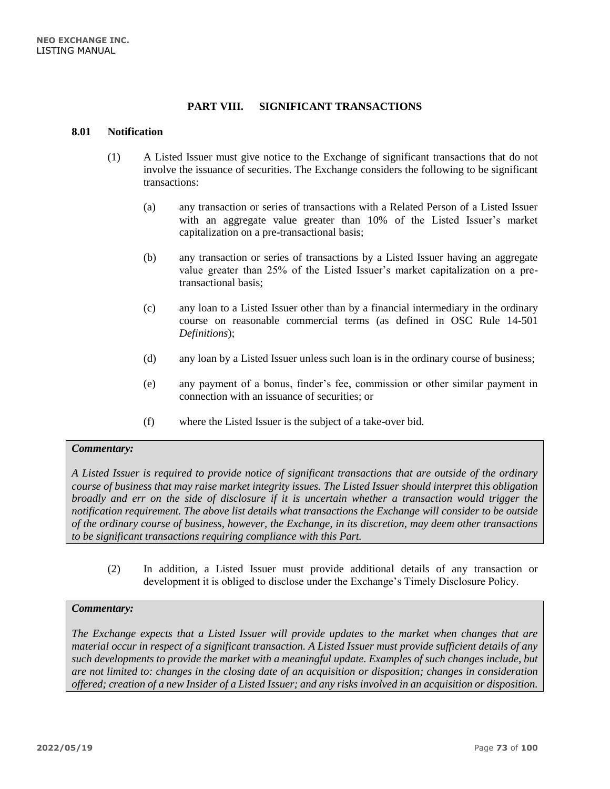# **PART VIII. SIGNIFICANT TRANSACTIONS**

#### **8.01 Notification**

- (1) A Listed Issuer must give notice to the Exchange of significant transactions that do not involve the issuance of securities. The Exchange considers the following to be significant transactions:
	- (a) any transaction or series of transactions with a Related Person of a Listed Issuer with an aggregate value greater than 10% of the Listed Issuer's market capitalization on a pre-transactional basis;
	- (b) any transaction or series of transactions by a Listed Issuer having an aggregate value greater than 25% of the Listed Issuer's market capitalization on a pretransactional basis;
	- (c) any loan to a Listed Issuer other than by a financial intermediary in the ordinary course on reasonable commercial terms (as defined in OSC Rule 14-501 *Definitions*);
	- (d) any loan by a Listed Issuer unless such loan is in the ordinary course of business;
	- (e) any payment of a bonus, finder's fee, commission or other similar payment in connection with an issuance of securities; or
	- (f) where the Listed Issuer is the subject of a take-over bid.

## *Commentary:*

*A Listed Issuer is required to provide notice of significant transactions that are outside of the ordinary course of business that may raise market integrity issues. The Listed Issuer should interpret this obligation broadly and err on the side of disclosure if it is uncertain whether a transaction would trigger the notification requirement. The above list details what transactions the Exchange will consider to be outside of the ordinary course of business, however, the Exchange, in its discretion, may deem other transactions to be significant transactions requiring compliance with this Part.* 

(2) In addition, a Listed Issuer must provide additional details of any transaction or development it is obliged to disclose under the Exchange's Timely Disclosure Policy.

#### *Commentary:*

*The Exchange expects that a Listed Issuer will provide updates to the market when changes that are material occur in respect of a significant transaction. A Listed Issuer must provide sufficient details of any such developments to provide the market with a meaningful update. Examples of such changes include, but are not limited to: changes in the closing date of an acquisition or disposition; changes in consideration offered; creation of a new Insider of a Listed Issuer; and any risks involved in an acquisition or disposition.*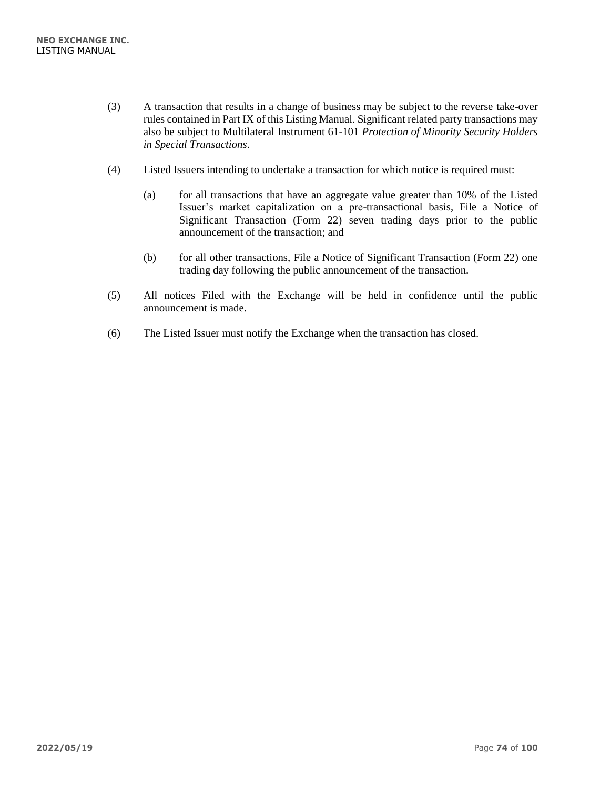- (3) A transaction that results in a change of business may be subject to the reverse take-over rules contained in Part IX of this Listing Manual. Significant related party transactions may also be subject to Multilateral Instrument 61-101 *Protection of Minority Security Holders in Special Transactions*.
- (4) Listed Issuers intending to undertake a transaction for which notice is required must:
	- (a) for all transactions that have an aggregate value greater than 10% of the Listed Issuer's market capitalization on a pre-transactional basis, File a Notice of Significant Transaction (Form 22) seven trading days prior to the public announcement of the transaction; and
	- (b) for all other transactions, File a Notice of Significant Transaction (Form 22) one trading day following the public announcement of the transaction.
- (5) All notices Filed with the Exchange will be held in confidence until the public announcement is made.
- (6) The Listed Issuer must notify the Exchange when the transaction has closed.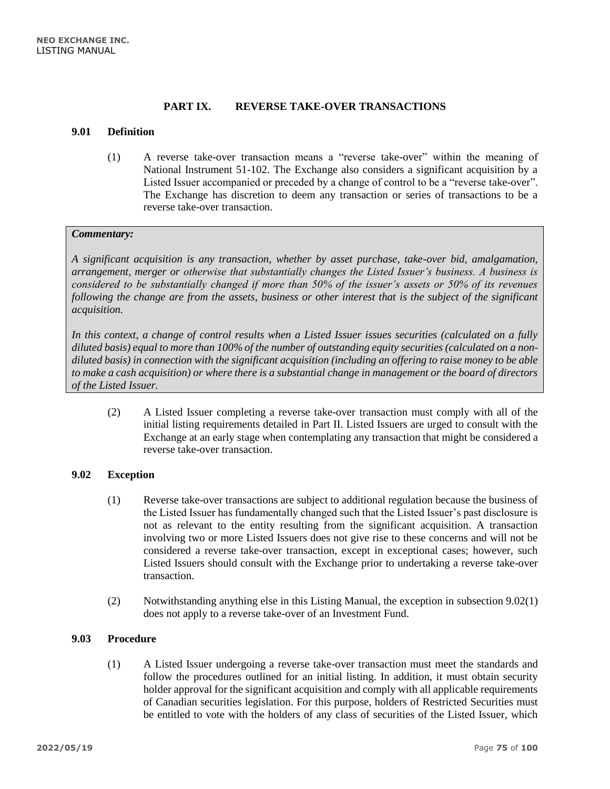# **PART IX. REVERSE TAKE-OVER TRANSACTIONS**

## **9.01 Definition**

(1) A reverse take-over transaction means a "reverse take-over" within the meaning of National Instrument 51-102. The Exchange also considers a significant acquisition by a Listed Issuer accompanied or preceded by a change of control to be a "reverse take-over". The Exchange has discretion to deem any transaction or series of transactions to be a reverse take-over transaction.

## *Commentary:*

*A significant acquisition is any transaction, whether by asset purchase, take-over bid, amalgamation, arrangement, merger or otherwise that substantially changes the Listed Issuer's business. A business is considered to be substantially changed if more than 50% of the issuer's assets or 50% of its revenues following the change are from the assets, business or other interest that is the subject of the significant acquisition.*

*In this context, a change of control results when a Listed Issuer issues securities (calculated on a fully*  diluted basis) equal to more than 100% of the number of outstanding equity securities (calculated on a non*diluted basis) in connection with the significant acquisition (including an offering to raise money to be able to make a cash acquisition) or where there is a substantial change in management or the board of directors of the Listed Issuer.*

(2) A Listed Issuer completing a reverse take-over transaction must comply with all of the initial listing requirements detailed in Part II. Listed Issuers are urged to consult with the Exchange at an early stage when contemplating any transaction that might be considered a reverse take-over transaction.

## **9.02 Exception**

- (1) Reverse take-over transactions are subject to additional regulation because the business of the Listed Issuer has fundamentally changed such that the Listed Issuer's past disclosure is not as relevant to the entity resulting from the significant acquisition. A transaction involving two or more Listed Issuers does not give rise to these concerns and will not be considered a reverse take-over transaction, except in exceptional cases; however, such Listed Issuers should consult with the Exchange prior to undertaking a reverse take-over transaction.
- (2) Notwithstanding anything else in this Listing Manual, the exception in subsection 9.02(1) does not apply to a reverse take-over of an Investment Fund.

## **9.03 Procedure**

(1) A Listed Issuer undergoing a reverse take-over transaction must meet the standards and follow the procedures outlined for an initial listing. In addition, it must obtain security holder approval for the significant acquisition and comply with all applicable requirements of Canadian securities legislation. For this purpose, holders of Restricted Securities must be entitled to vote with the holders of any class of securities of the Listed Issuer, which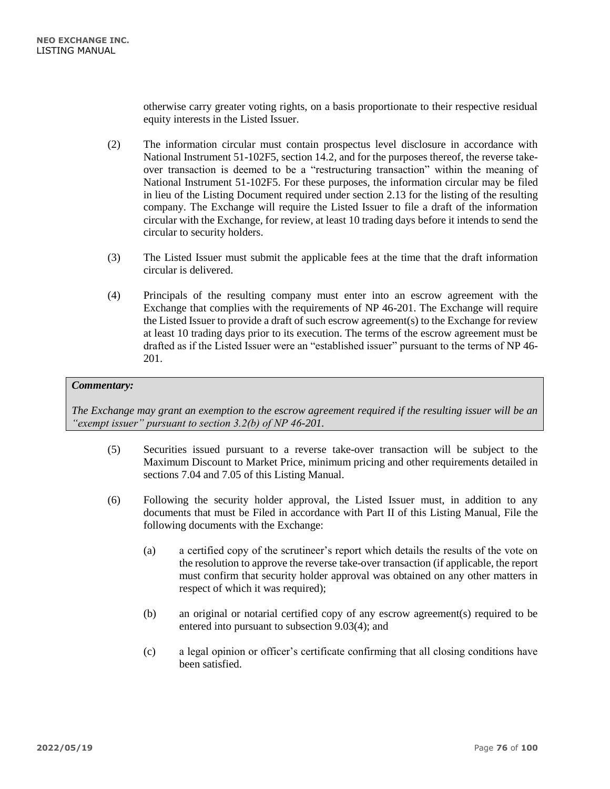otherwise carry greater voting rights, on a basis proportionate to their respective residual equity interests in the Listed Issuer.

- (2) The information circular must contain prospectus level disclosure in accordance with National Instrument 51-102F5, section 14.2, and for the purposes thereof, the reverse takeover transaction is deemed to be a "restructuring transaction" within the meaning of National Instrument 51-102F5. For these purposes, the information circular may be filed in lieu of the Listing Document required under section 2.13 for the listing of the resulting company. The Exchange will require the Listed Issuer to file a draft of the information circular with the Exchange, for review, at least 10 trading days before it intends to send the circular to security holders.
- (3) The Listed Issuer must submit the applicable fees at the time that the draft information circular is delivered.
- (4) Principals of the resulting company must enter into an escrow agreement with the Exchange that complies with the requirements of NP 46-201. The Exchange will require the Listed Issuer to provide a draft of such escrow agreement(s) to the Exchange for review at least 10 trading days prior to its execution. The terms of the escrow agreement must be drafted as if the Listed Issuer were an "established issuer" pursuant to the terms of NP 46- 201.

## *Commentary:*

*The Exchange may grant an exemption to the escrow agreement required if the resulting issuer will be an "exempt issuer" pursuant to section 3.2(b) of NP 46-201.*

- (5) Securities issued pursuant to a reverse take-over transaction will be subject to the Maximum Discount to Market Price, minimum pricing and other requirements detailed in sections 7.04 and 7.05 of this Listing Manual.
- (6) Following the security holder approval, the Listed Issuer must, in addition to any documents that must be Filed in accordance with Part II of this Listing Manual, File the following documents with the Exchange:
	- (a) a certified copy of the scrutineer's report which details the results of the vote on the resolution to approve the reverse take-over transaction (if applicable, the report must confirm that security holder approval was obtained on any other matters in respect of which it was required);
	- (b) an original or notarial certified copy of any escrow agreement(s) required to be entered into pursuant to subsection 9.03(4); and
	- (c) a legal opinion or officer's certificate confirming that all closing conditions have been satisfied.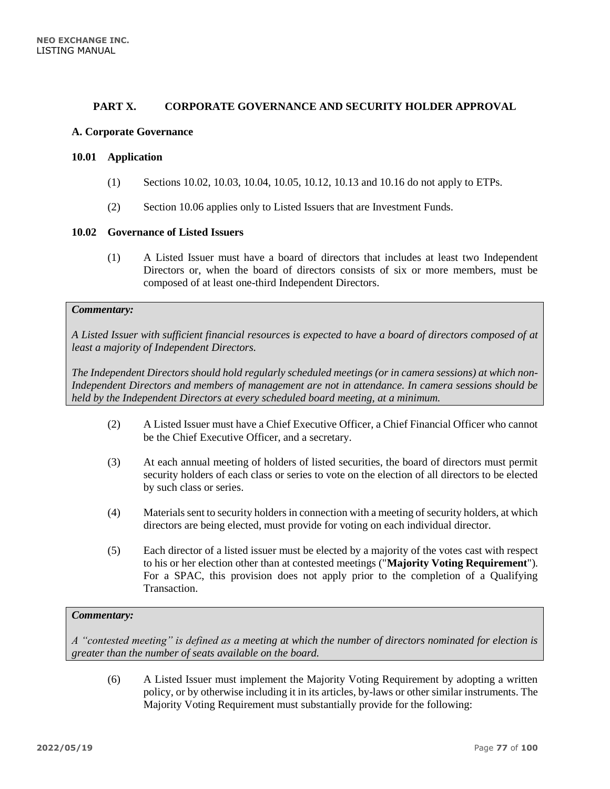## **PART X. CORPORATE GOVERNANCE AND SECURITY HOLDER APPROVAL**

### **A. Corporate Governance**

#### **10.01 Application**

- (1) Sections 10.02, 10.03, 10.04, 10.05, 10.12, 10.13 and 10.16 do not apply to ETPs.
- (2) Section 10.06 applies only to Listed Issuers that are Investment Funds.

## **10.02 Governance of Listed Issuers**

(1) A Listed Issuer must have a board of directors that includes at least two Independent Directors or, when the board of directors consists of six or more members, must be composed of at least one-third Independent Directors.

# *Commentary:*

*A Listed Issuer with sufficient financial resources is expected to have a board of directors composed of at least a majority of Independent Directors.* 

*The Independent Directors should hold regularly scheduled meetings (or in camera sessions) at which non-Independent Directors and members of management are not in attendance. In camera sessions should be held by the Independent Directors at every scheduled board meeting, at a minimum.*

- (2) A Listed Issuer must have a Chief Executive Officer, a Chief Financial Officer who cannot be the Chief Executive Officer, and a secretary.
- (3) At each annual meeting of holders of listed securities, the board of directors must permit security holders of each class or series to vote on the election of all directors to be elected by such class or series.
- (4) Materials sent to security holders in connection with a meeting of security holders, at which directors are being elected, must provide for voting on each individual director.
- (5) Each director of a listed issuer must be elected by a majority of the votes cast with respect to his or her election other than at contested meetings ("**Majority Voting Requirement**"). For a SPAC, this provision does not apply prior to the completion of a Qualifying Transaction.

## *Commentary:*

*A "contested meeting" is defined as a meeting at which the number of directors nominated for election is greater than the number of seats available on the board.*

(6) A Listed Issuer must implement the Majority Voting Requirement by adopting a written policy, or by otherwise including it in its articles, by-laws or other similar instruments. The Majority Voting Requirement must substantially provide for the following: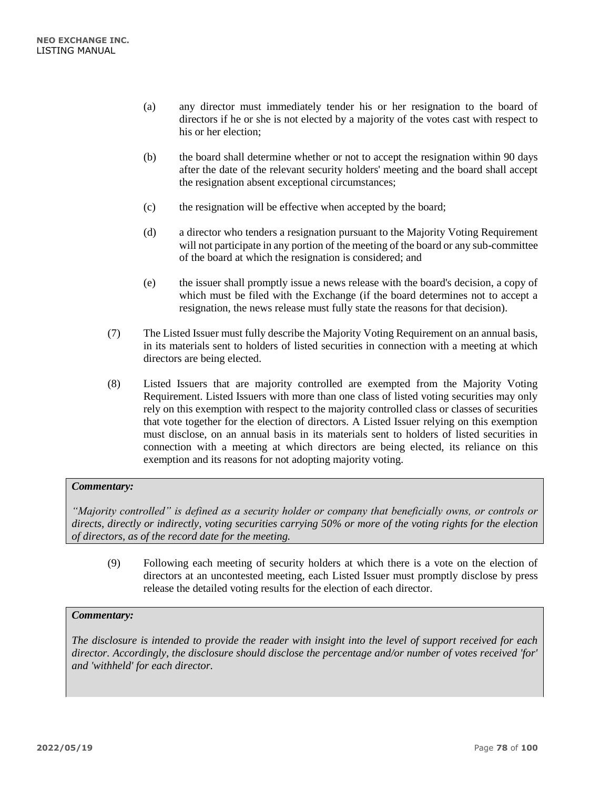- (a) any director must immediately tender his or her resignation to the board of directors if he or she is not elected by a majority of the votes cast with respect to his or her election;
- (b) the board shall determine whether or not to accept the resignation within 90 days after the date of the relevant security holders' meeting and the board shall accept the resignation absent exceptional circumstances;
- (c) the resignation will be effective when accepted by the board;
- (d) a director who tenders a resignation pursuant to the Majority Voting Requirement will not participate in any portion of the meeting of the board or any sub-committee of the board at which the resignation is considered; and
- (e) the issuer shall promptly issue a news release with the board's decision, a copy of which must be filed with the Exchange (if the board determines not to accept a resignation, the news release must fully state the reasons for that decision).
- (7) The Listed Issuer must fully describe the Majority Voting Requirement on an annual basis, in its materials sent to holders of listed securities in connection with a meeting at which directors are being elected.
- (8) Listed Issuers that are majority controlled are exempted from the Majority Voting Requirement. Listed Issuers with more than one class of listed voting securities may only rely on this exemption with respect to the majority controlled class or classes of securities that vote together for the election of directors. A Listed Issuer relying on this exemption must disclose, on an annual basis in its materials sent to holders of listed securities in connection with a meeting at which directors are being elected, its reliance on this exemption and its reasons for not adopting majority voting.

*"Majority controlled" is defined as a security holder or company that beneficially owns, or controls or directs, directly or indirectly, voting securities carrying 50% or more of the voting rights for the election of directors, as of the record date for the meeting.*

(9) Following each meeting of security holders at which there is a vote on the election of directors at an uncontested meeting, each Listed Issuer must promptly disclose by press release the detailed voting results for the election of each director.

## *Commentary:*

*The disclosure is intended to provide the reader with insight into the level of support received for each director. Accordingly, the disclosure should disclose the percentage and/or number of votes received 'for' and 'withheld' for each director.*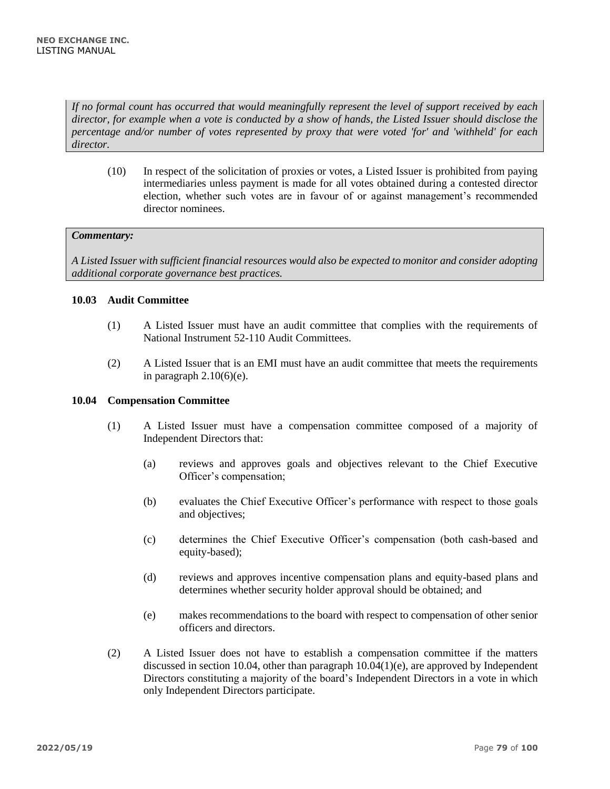*If no formal count has occurred that would meaningfully represent the level of support received by each director, for example when a vote is conducted by a show of hands, the Listed Issuer should disclose the percentage and/or number of votes represented by proxy that were voted 'for' and 'withheld' for each director.*

(10) In respect of the solicitation of proxies or votes, a Listed Issuer is prohibited from paying intermediaries unless payment is made for all votes obtained during a contested director election, whether such votes are in favour of or against management's recommended director nominees.

## *Commentary:*

*A Listed Issuer with sufficient financial resources would also be expected to monitor and consider adopting additional corporate governance best practices.*

## **10.03 Audit Committee**

- (1) A Listed Issuer must have an audit committee that complies with the requirements of National Instrument 52-110 Audit Committees.
- (2) A Listed Issuer that is an EMI must have an audit committee that meets the requirements in paragraph  $2.10(6)(e)$ .

## **10.04 Compensation Committee**

- (1) A Listed Issuer must have a compensation committee composed of a majority of Independent Directors that:
	- (a) reviews and approves goals and objectives relevant to the Chief Executive Officer's compensation;
	- (b) evaluates the Chief Executive Officer's performance with respect to those goals and objectives;
	- (c) determines the Chief Executive Officer's compensation (both cash-based and equity-based);
	- (d) reviews and approves incentive compensation plans and equity-based plans and determines whether security holder approval should be obtained; and
	- (e) makes recommendations to the board with respect to compensation of other senior officers and directors.
- (2) A Listed Issuer does not have to establish a compensation committee if the matters discussed in section 10.04, other than paragraph 10.04(1)(e), are approved by Independent Directors constituting a majority of the board's Independent Directors in a vote in which only Independent Directors participate.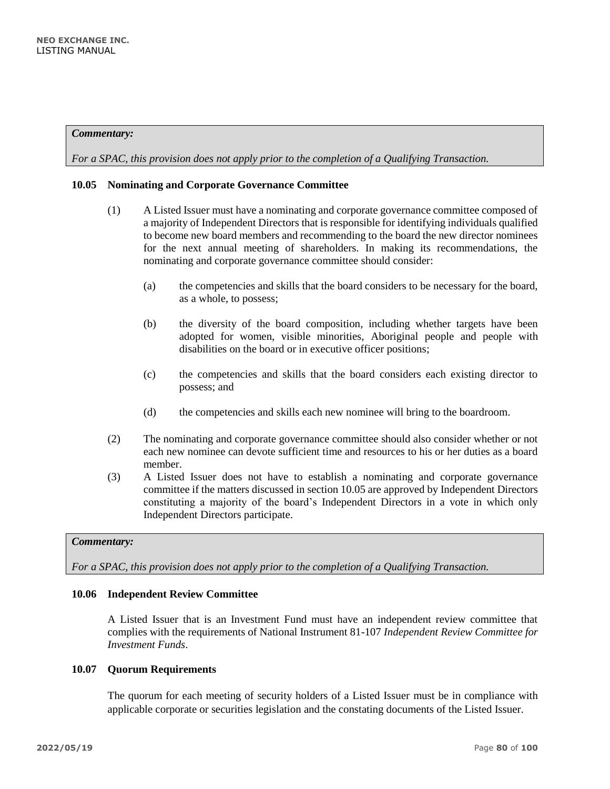*For a SPAC, this provision does not apply prior to the completion of a Qualifying Transaction.*

## **10.05 Nominating and Corporate Governance Committee**

- (1) A Listed Issuer must have a nominating and corporate governance committee composed of a majority of Independent Directors that is responsible for identifying individuals qualified to become new board members and recommending to the board the new director nominees for the next annual meeting of shareholders. In making its recommendations, the nominating and corporate governance committee should consider:
	- (a) the competencies and skills that the board considers to be necessary for the board, as a whole, to possess;
	- (b) the diversity of the board composition, including whether targets have been adopted for women, visible minorities, Aboriginal people and people with disabilities on the board or in executive officer positions;
	- (c) the competencies and skills that the board considers each existing director to possess; and
	- (d) the competencies and skills each new nominee will bring to the boardroom.
- (2) The nominating and corporate governance committee should also consider whether or not each new nominee can devote sufficient time and resources to his or her duties as a board member.
- (3) A Listed Issuer does not have to establish a nominating and corporate governance committee if the matters discussed in section 10.05 are approved by Independent Directors constituting a majority of the board's Independent Directors in a vote in which only Independent Directors participate.

## *Commentary:*

*For a SPAC, this provision does not apply prior to the completion of a Qualifying Transaction.*

## **10.06 Independent Review Committee**

A Listed Issuer that is an Investment Fund must have an independent review committee that complies with the requirements of National Instrument 81-107 *Independent Review Committee for Investment Funds*.

## **10.07 Quorum Requirements**

The quorum for each meeting of security holders of a Listed Issuer must be in compliance with applicable corporate or securities legislation and the constating documents of the Listed Issuer.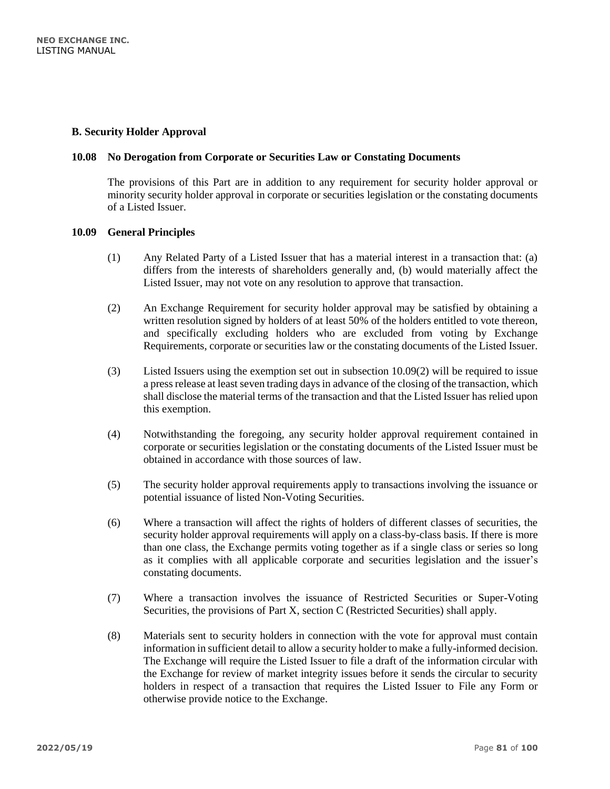## **B. Security Holder Approval**

## **10.08 No Derogation from Corporate or Securities Law or Constating Documents**

The provisions of this Part are in addition to any requirement for security holder approval or minority security holder approval in corporate or securities legislation or the constating documents of a Listed Issuer.

## **10.09 General Principles**

- (1) Any Related Party of a Listed Issuer that has a material interest in a transaction that: (a) differs from the interests of shareholders generally and, (b) would materially affect the Listed Issuer, may not vote on any resolution to approve that transaction.
- (2) An Exchange Requirement for security holder approval may be satisfied by obtaining a written resolution signed by holders of at least 50% of the holders entitled to vote thereon, and specifically excluding holders who are excluded from voting by Exchange Requirements, corporate or securities law or the constating documents of the Listed Issuer.
- (3) Listed Issuers using the exemption set out in subsection 10.09(2) will be required to issue a press release at least seven trading days in advance of the closing of the transaction, which shall disclose the material terms of the transaction and that the Listed Issuer has relied upon this exemption.
- (4) Notwithstanding the foregoing, any security holder approval requirement contained in corporate or securities legislation or the constating documents of the Listed Issuer must be obtained in accordance with those sources of law.
- (5) The security holder approval requirements apply to transactions involving the issuance or potential issuance of listed Non-Voting Securities.
- (6) Where a transaction will affect the rights of holders of different classes of securities, the security holder approval requirements will apply on a class-by-class basis. If there is more than one class, the Exchange permits voting together as if a single class or series so long as it complies with all applicable corporate and securities legislation and the issuer's constating documents.
- (7) Where a transaction involves the issuance of Restricted Securities or Super-Voting Securities, the provisions of Part X, section C (Restricted Securities) shall apply.
- (8) Materials sent to security holders in connection with the vote for approval must contain information in sufficient detail to allow a security holder to make a fully-informed decision. The Exchange will require the Listed Issuer to file a draft of the information circular with the Exchange for review of market integrity issues before it sends the circular to security holders in respect of a transaction that requires the Listed Issuer to File any Form or otherwise provide notice to the Exchange.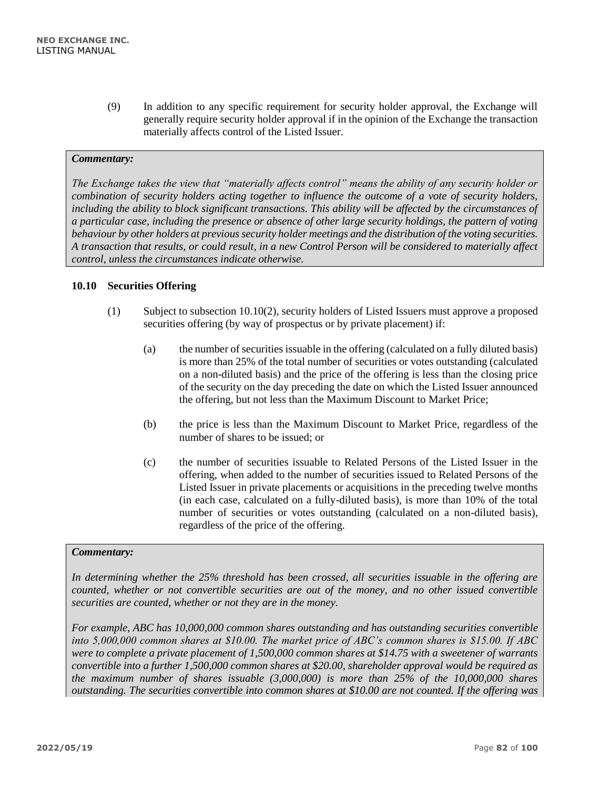(9) In addition to any specific requirement for security holder approval, the Exchange will generally require security holder approval if in the opinion of the Exchange the transaction materially affects control of the Listed Issuer.

## *Commentary:*

*The Exchange takes the view that "materially affects control" means the ability of any security holder or combination of security holders acting together to influence the outcome of a vote of security holders, including the ability to block significant transactions. This ability will be affected by the circumstances of a particular case, including the presence or absence of other large security holdings, the pattern of voting behaviour by other holders at previous security holder meetings and the distribution of the voting securities. A transaction that results, or could result, in a new Control Person will be considered to materially affect control, unless the circumstances indicate otherwise.*

## **10.10 Securities Offering**

- (1) Subject to subsection 10.10(2), security holders of Listed Issuers must approve a proposed securities offering (by way of prospectus or by private placement) if:
	- (a) the number of securities issuable in the offering (calculated on a fully diluted basis) is more than 25% of the total number of securities or votes outstanding (calculated on a non-diluted basis) and the price of the offering is less than the closing price of the security on the day preceding the date on which the Listed Issuer announced the offering, but not less than the Maximum Discount to Market Price;
	- (b) the price is less than the Maximum Discount to Market Price, regardless of the number of shares to be issued; or
	- (c) the number of securities issuable to Related Persons of the Listed Issuer in the offering, when added to the number of securities issued to Related Persons of the Listed Issuer in private placements or acquisitions in the preceding twelve months (in each case, calculated on a fully-diluted basis), is more than 10% of the total number of securities or votes outstanding (calculated on a non-diluted basis), regardless of the price of the offering.

## *Commentary:*

*In determining whether the 25% threshold has been crossed, all securities issuable in the offering are counted, whether or not convertible securities are out of the money, and no other issued convertible securities are counted, whether or not they are in the money.*

*For example, ABC has 10,000,000 common shares outstanding and has outstanding securities convertible into 5,000,000 common shares at \$10.00. The market price of ABC's common shares is \$15.00. If ABC were to complete a private placement of 1,500,000 common shares at \$14.75 with a sweetener of warrants convertible into a further 1,500,000 common shares at \$20.00, shareholder approval would be required as the maximum number of shares issuable (3,000,000) is more than 25% of the 10,000,000 shares outstanding. The securities convertible into common shares at \$10.00 are not counted. If the offering was*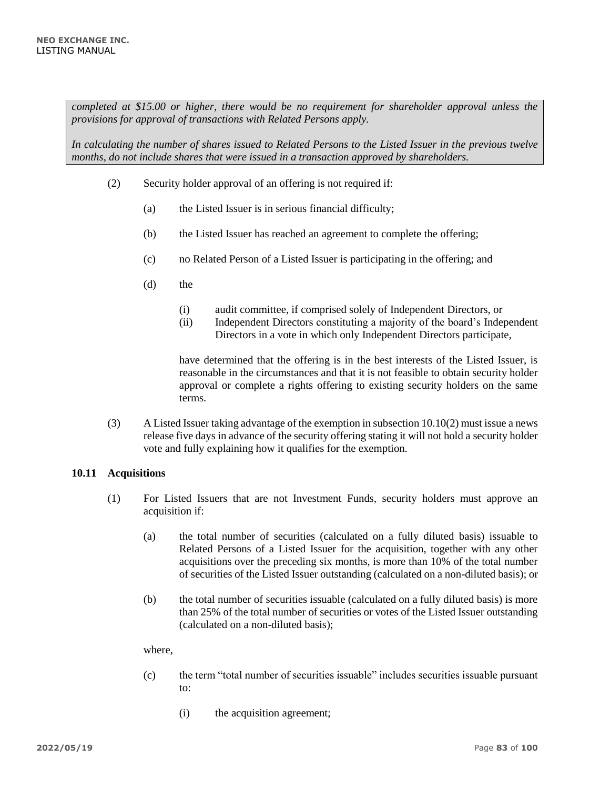*completed at \$15.00 or higher, there would be no requirement for shareholder approval unless the provisions for approval of transactions with Related Persons apply.*

*In calculating the number of shares issued to Related Persons to the Listed Issuer in the previous twelve months, do not include shares that were issued in a transaction approved by shareholders.*

- (2) Security holder approval of an offering is not required if:
	- (a) the Listed Issuer is in serious financial difficulty;
	- (b) the Listed Issuer has reached an agreement to complete the offering;
	- (c) no Related Person of a Listed Issuer is participating in the offering; and
	- (d) the
		- (i) audit committee, if comprised solely of Independent Directors, or
		- (ii) Independent Directors constituting a majority of the board's Independent Directors in a vote in which only Independent Directors participate,

have determined that the offering is in the best interests of the Listed Issuer, is reasonable in the circumstances and that it is not feasible to obtain security holder approval or complete a rights offering to existing security holders on the same terms.

(3) A Listed Issuer taking advantage of the exemption in subsection 10.10(2) must issue a news release five days in advance of the security offering stating it will not hold a security holder vote and fully explaining how it qualifies for the exemption.

## **10.11 Acquisitions**

- (1) For Listed Issuers that are not Investment Funds, security holders must approve an acquisition if:
	- (a) the total number of securities (calculated on a fully diluted basis) issuable to Related Persons of a Listed Issuer for the acquisition, together with any other acquisitions over the preceding six months, is more than 10% of the total number of securities of the Listed Issuer outstanding (calculated on a non-diluted basis); or
	- (b) the total number of securities issuable (calculated on a fully diluted basis) is more than 25% of the total number of securities or votes of the Listed Issuer outstanding (calculated on a non-diluted basis);

where,

- (c) the term "total number of securities issuable" includes securities issuable pursuant to:
	- (i) the acquisition agreement;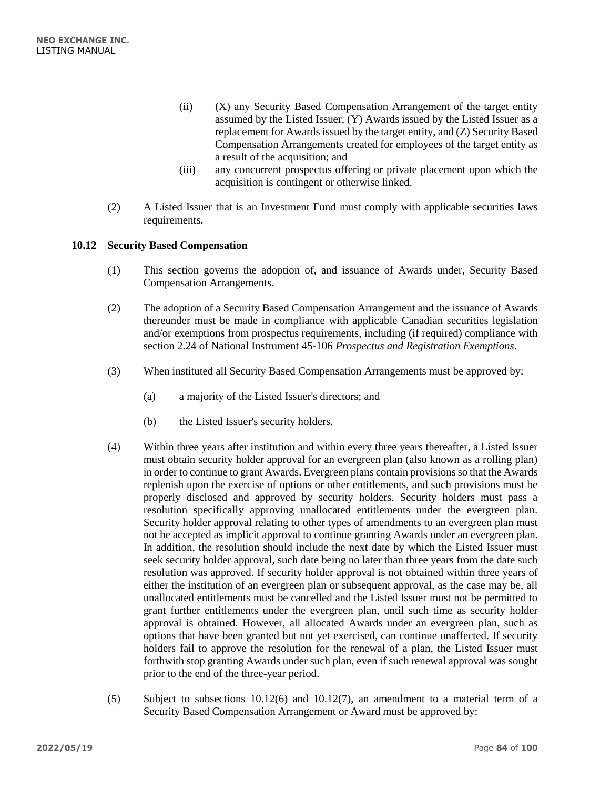- (ii) (X) any Security Based Compensation Arrangement of the target entity assumed by the Listed Issuer, (Y) Awards issued by the Listed Issuer as a replacement for Awards issued by the target entity, and (Z) Security Based Compensation Arrangements created for employees of the target entity as a result of the acquisition; and
- (iii) any concurrent prospectus offering or private placement upon which the acquisition is contingent or otherwise linked.
- (2) A Listed Issuer that is an Investment Fund must comply with applicable securities laws requirements.

## **10.12 Security Based Compensation**

- (1) This section governs the adoption of, and issuance of Awards under, Security Based Compensation Arrangements.
- (2) The adoption of a Security Based Compensation Arrangement and the issuance of Awards thereunder must be made in compliance with applicable Canadian securities legislation and/or exemptions from prospectus requirements, including (if required) compliance with section 2.24 of National Instrument 45-106 *Prospectus and Registration Exemptions*.
- (3) When instituted all Security Based Compensation Arrangements must be approved by:
	- (a) a majority of the Listed Issuer's directors; and
	- (b) the Listed Issuer's security holders.
- (4) Within three years after institution and within every three years thereafter, a Listed Issuer must obtain security holder approval for an evergreen plan (also known as a rolling plan) in order to continue to grant Awards. Evergreen plans contain provisions so that the Awards replenish upon the exercise of options or other entitlements, and such provisions must be properly disclosed and approved by security holders. Security holders must pass a resolution specifically approving unallocated entitlements under the evergreen plan. Security holder approval relating to other types of amendments to an evergreen plan must not be accepted as implicit approval to continue granting Awards under an evergreen plan. In addition, the resolution should include the next date by which the Listed Issuer must seek security holder approval, such date being no later than three years from the date such resolution was approved. If security holder approval is not obtained within three years of either the institution of an evergreen plan or subsequent approval, as the case may be, all unallocated entitlements must be cancelled and the Listed Issuer must not be permitted to grant further entitlements under the evergreen plan, until such time as security holder approval is obtained. However, all allocated Awards under an evergreen plan, such as options that have been granted but not yet exercised, can continue unaffected. If security holders fail to approve the resolution for the renewal of a plan, the Listed Issuer must forthwith stop granting Awards under such plan, even if such renewal approval was sought prior to the end of the three-year period.
- (5) Subject to subsections 10.12(6) and 10.12(7), an amendment to a material term of a Security Based Compensation Arrangement or Award must be approved by: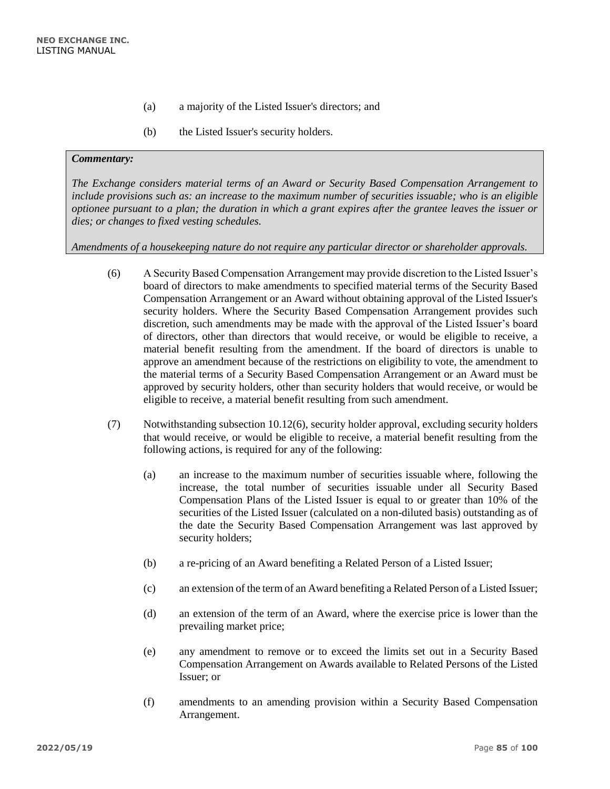- (a) a majority of the Listed Issuer's directors; and
- (b) the Listed Issuer's security holders.

*The Exchange considers material terms of an Award or Security Based Compensation Arrangement to include provisions such as: an increase to the maximum number of securities issuable; who is an eligible optionee pursuant to a plan; the duration in which a grant expires after the grantee leaves the issuer or dies; or changes to fixed vesting schedules.* 

*Amendments of a housekeeping nature do not require any particular director or shareholder approvals.*

- (6) A Security Based Compensation Arrangement may provide discretion to the Listed Issuer's board of directors to make amendments to specified material terms of the Security Based Compensation Arrangement or an Award without obtaining approval of the Listed Issuer's security holders. Where the Security Based Compensation Arrangement provides such discretion, such amendments may be made with the approval of the Listed Issuer's board of directors, other than directors that would receive, or would be eligible to receive, a material benefit resulting from the amendment. If the board of directors is unable to approve an amendment because of the restrictions on eligibility to vote, the amendment to the material terms of a Security Based Compensation Arrangement or an Award must be approved by security holders, other than security holders that would receive, or would be eligible to receive, a material benefit resulting from such amendment.
- (7) Notwithstanding subsection 10.12(6), security holder approval, excluding security holders that would receive, or would be eligible to receive, a material benefit resulting from the following actions, is required for any of the following:
	- (a) an increase to the maximum number of securities issuable where, following the increase, the total number of securities issuable under all Security Based Compensation Plans of the Listed Issuer is equal to or greater than 10% of the securities of the Listed Issuer (calculated on a non-diluted basis) outstanding as of the date the Security Based Compensation Arrangement was last approved by security holders;
	- (b) a re-pricing of an Award benefiting a Related Person of a Listed Issuer;
	- (c) an extension of the term of an Award benefiting a Related Person of a Listed Issuer;
	- (d) an extension of the term of an Award, where the exercise price is lower than the prevailing market price;
	- (e) any amendment to remove or to exceed the limits set out in a Security Based Compensation Arrangement on Awards available to Related Persons of the Listed Issuer; or
	- (f) amendments to an amending provision within a Security Based Compensation Arrangement.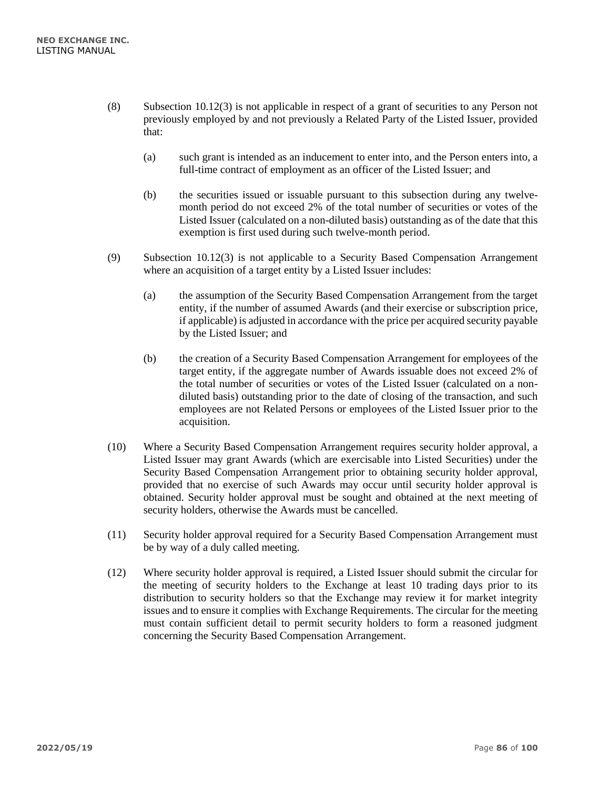- (8) Subsection 10.12(3) is not applicable in respect of a grant of securities to any Person not previously employed by and not previously a Related Party of the Listed Issuer, provided that:
	- (a) such grant is intended as an inducement to enter into, and the Person enters into, a full-time contract of employment as an officer of the Listed Issuer; and
	- (b) the securities issued or issuable pursuant to this subsection during any twelvemonth period do not exceed 2% of the total number of securities or votes of the Listed Issuer (calculated on a non-diluted basis) outstanding as of the date that this exemption is first used during such twelve-month period.
- (9) Subsection 10.12(3) is not applicable to a Security Based Compensation Arrangement where an acquisition of a target entity by a Listed Issuer includes:
	- (a) the assumption of the Security Based Compensation Arrangement from the target entity, if the number of assumed Awards (and their exercise or subscription price, if applicable) is adjusted in accordance with the price per acquired security payable by the Listed Issuer; and
	- (b) the creation of a Security Based Compensation Arrangement for employees of the target entity, if the aggregate number of Awards issuable does not exceed 2% of the total number of securities or votes of the Listed Issuer (calculated on a nondiluted basis) outstanding prior to the date of closing of the transaction, and such employees are not Related Persons or employees of the Listed Issuer prior to the acquisition.
- (10) Where a Security Based Compensation Arrangement requires security holder approval, a Listed Issuer may grant Awards (which are exercisable into Listed Securities) under the Security Based Compensation Arrangement prior to obtaining security holder approval, provided that no exercise of such Awards may occur until security holder approval is obtained. Security holder approval must be sought and obtained at the next meeting of security holders, otherwise the Awards must be cancelled.
- (11) Security holder approval required for a Security Based Compensation Arrangement must be by way of a duly called meeting.
- (12) Where security holder approval is required, a Listed Issuer should submit the circular for the meeting of security holders to the Exchange at least 10 trading days prior to its distribution to security holders so that the Exchange may review it for market integrity issues and to ensure it complies with Exchange Requirements. The circular for the meeting must contain sufficient detail to permit security holders to form a reasoned judgment concerning the Security Based Compensation Arrangement.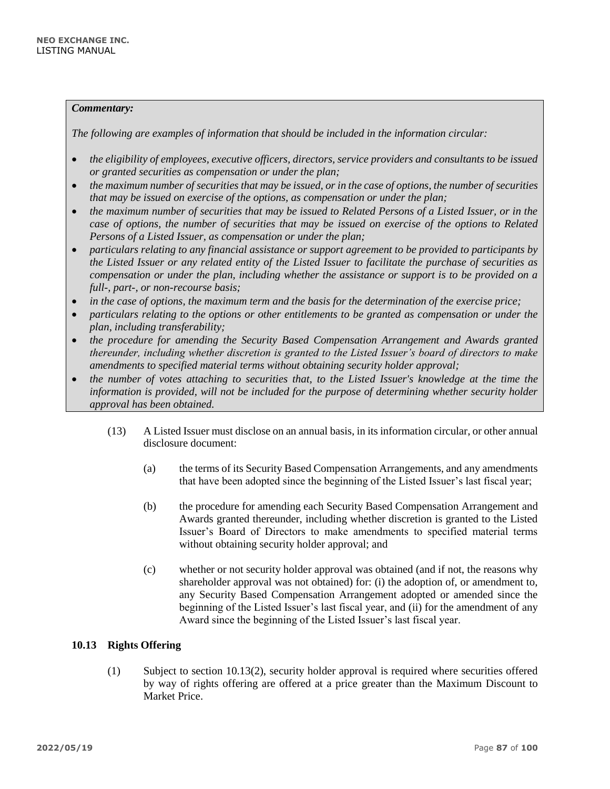*The following are examples of information that should be included in the information circular:*

- *the eligibility of employees, executive officers, directors, service providers and consultants to be issued or granted securities as compensation or under the plan;*
- *the maximum number of securities that may be issued, or in the case of options, the number of securities that may be issued on exercise of the options, as compensation or under the plan;*
- *the maximum number of securities that may be issued to Related Persons of a Listed Issuer, or in the case of options, the number of securities that may be issued on exercise of the options to Related Persons of a Listed Issuer, as compensation or under the plan;*
- *particulars relating to any financial assistance or support agreement to be provided to participants by the Listed Issuer or any related entity of the Listed Issuer to facilitate the purchase of securities as compensation or under the plan, including whether the assistance or support is to be provided on a full-, part-, or non-recourse basis;*
- *in the case of options, the maximum term and the basis for the determination of the exercise price;*
- *particulars relating to the options or other entitlements to be granted as compensation or under the plan, including transferability;*
- *the procedure for amending the Security Based Compensation Arrangement and Awards granted thereunder, including whether discretion is granted to the Listed Issuer's board of directors to make amendments to specified material terms without obtaining security holder approval;*
- *the number of votes attaching to securities that, to the Listed Issuer's knowledge at the time the information is provided, will not be included for the purpose of determining whether security holder approval has been obtained.*
	- (13) A Listed Issuer must disclose on an annual basis, in its information circular, or other annual disclosure document:
		- (a) the terms of its Security Based Compensation Arrangements, and any amendments that have been adopted since the beginning of the Listed Issuer's last fiscal year;
		- (b) the procedure for amending each Security Based Compensation Arrangement and Awards granted thereunder, including whether discretion is granted to the Listed Issuer's Board of Directors to make amendments to specified material terms without obtaining security holder approval; and
		- (c) whether or not security holder approval was obtained (and if not, the reasons why shareholder approval was not obtained) for: (i) the adoption of, or amendment to, any Security Based Compensation Arrangement adopted or amended since the beginning of the Listed Issuer's last fiscal year, and (ii) for the amendment of any Award since the beginning of the Listed Issuer's last fiscal year.

## **10.13 Rights Offering**

(1) Subject to section 10.13(2), security holder approval is required where securities offered by way of rights offering are offered at a price greater than the Maximum Discount to Market Price.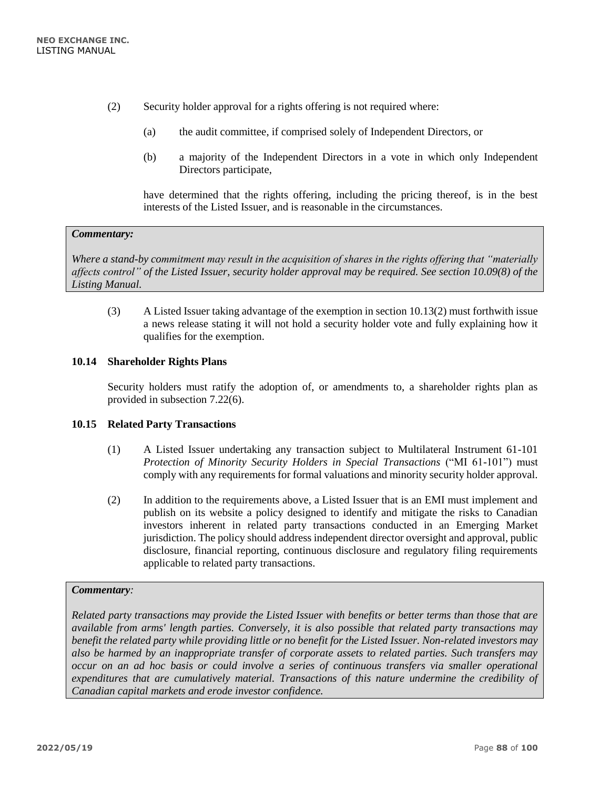- (2) Security holder approval for a rights offering is not required where:
	- (a) the audit committee, if comprised solely of Independent Directors, or
	- (b) a majority of the Independent Directors in a vote in which only Independent Directors participate,

have determined that the rights offering, including the pricing thereof, is in the best interests of the Listed Issuer, and is reasonable in the circumstances.

#### *Commentary:*

*Where a stand-by commitment may result in the acquisition of shares in the rights offering that "materially affects control" of the Listed Issuer, security holder approval may be required. See section 10.09(8) of the Listing Manual.*

(3) A Listed Issuer taking advantage of the exemption in section 10.13(2) must forthwith issue a news release stating it will not hold a security holder vote and fully explaining how it qualifies for the exemption.

## **10.14 Shareholder Rights Plans**

Security holders must ratify the adoption of, or amendments to, a shareholder rights plan as provided in subsection 7.22(6).

## **10.15 Related Party Transactions**

- (1) A Listed Issuer undertaking any transaction subject to Multilateral Instrument 61-101 *Protection of Minority Security Holders in Special Transactions* ("MI 61-101") must comply with any requirements for formal valuations and minority security holder approval.
- (2) In addition to the requirements above, a Listed Issuer that is an EMI must implement and publish on its website a policy designed to identify and mitigate the risks to Canadian investors inherent in related party transactions conducted in an Emerging Market jurisdiction. The policy should address independent director oversight and approval, public disclosure, financial reporting, continuous disclosure and regulatory filing requirements applicable to related party transactions.

### *Commentary:*

*Related party transactions may provide the Listed Issuer with benefits or better terms than those that are available from arms' length parties. Conversely, it is also possible that related party transactions may benefit the related party while providing little or no benefit for the Listed Issuer. Non-related investors may also be harmed by an inappropriate transfer of corporate assets to related parties. Such transfers may occur on an ad hoc basis or could involve a series of continuous transfers via smaller operational expenditures that are cumulatively material. Transactions of this nature undermine the credibility of Canadian capital markets and erode investor confidence.*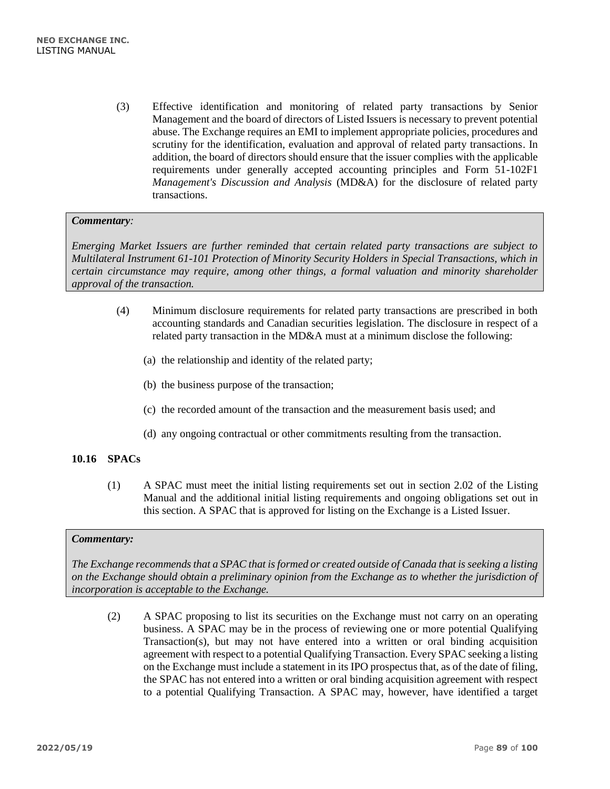(3) Effective identification and monitoring of related party transactions by Senior Management and the board of directors of Listed Issuers is necessary to prevent potential abuse. The Exchange requires an EMI to implement appropriate policies, procedures and scrutiny for the identification, evaluation and approval of related party transactions. In addition, the board of directors should ensure that the issuer complies with the applicable requirements under generally accepted accounting principles and Form 51-102F1 *Management's Discussion and Analysis* (MD&A) for the disclosure of related party transactions.

## *Commentary:*

*Emerging Market Issuers are further reminded that certain related party transactions are subject to Multilateral Instrument 61-101 Protection of Minority Security Holders in Special Transactions, which in certain circumstance may require, among other things, a formal valuation and minority shareholder approval of the transaction.* 

- (4) Minimum disclosure requirements for related party transactions are prescribed in both accounting standards and Canadian securities legislation. The disclosure in respect of a related party transaction in the MD&A must at a minimum disclose the following:
	- (a) the relationship and identity of the related party;
	- (b) the business purpose of the transaction;
	- (c) the recorded amount of the transaction and the measurement basis used; and
	- (d) any ongoing contractual or other commitments resulting from the transaction.

# **10.16 SPACs**

(1) A SPAC must meet the initial listing requirements set out in section 2.02 of the Listing Manual and the additional initial listing requirements and ongoing obligations set out in this section. A SPAC that is approved for listing on the Exchange is a Listed Issuer.

## *Commentary:*

*The Exchange recommends that a SPAC that is formed or created outside of Canada that is seeking a listing on the Exchange should obtain a preliminary opinion from the Exchange as to whether the jurisdiction of incorporation is acceptable to the Exchange.*

(2) A SPAC proposing to list its securities on the Exchange must not carry on an operating business. A SPAC may be in the process of reviewing one or more potential Qualifying Transaction(s), but may not have entered into a written or oral binding acquisition agreement with respect to a potential Qualifying Transaction. Every SPAC seeking a listing on the Exchange must include a statement in its IPO prospectus that, as of the date of filing, the SPAC has not entered into a written or oral binding acquisition agreement with respect to a potential Qualifying Transaction. A SPAC may, however, have identified a target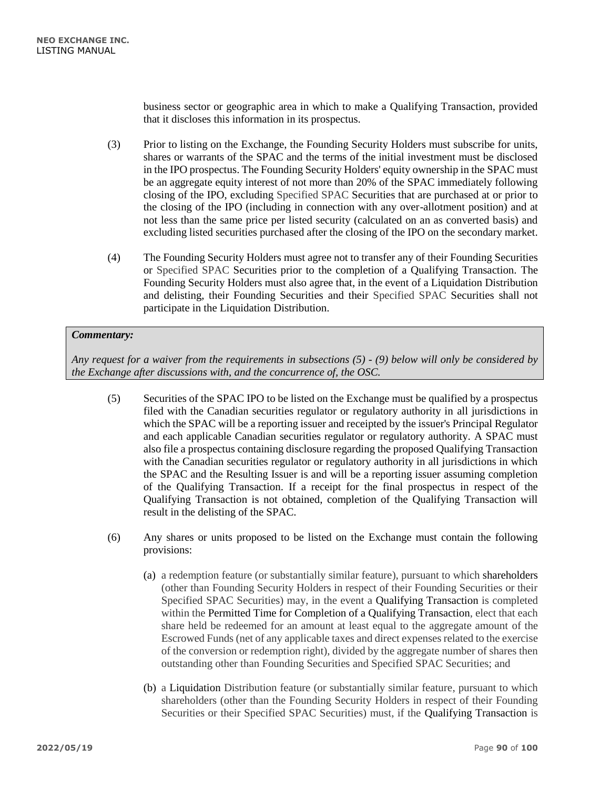business sector or geographic area in which to make a Qualifying Transaction, provided that it discloses this information in its prospectus.

- (3) Prior to listing on the Exchange, the Founding Security Holders must subscribe for units, shares or warrants of the SPAC and the terms of the initial investment must be disclosed in the IPO prospectus. The Founding Security Holders' equity ownership in the SPAC must be an aggregate equity interest of not more than 20% of the SPAC immediately following closing of the IPO, excluding Specified SPAC Securities that are purchased at or prior to the closing of the IPO (including in connection with any over-allotment position) and at not less than the same price per listed security (calculated on an as converted basis) and excluding listed securities purchased after the closing of the IPO on the secondary market.
- (4) The Founding Security Holders must agree not to transfer any of their Founding Securities or Specified SPAC Securities prior to the completion of a Qualifying Transaction. The Founding Security Holders must also agree that, in the event of a Liquidation Distribution and delisting, their Founding Securities and their Specified SPAC Securities shall not participate in the Liquidation Distribution.

## *Commentary:*

*Any request for a waiver from the requirements in subsections (5) - (9) below will only be considered by the Exchange after discussions with, and the concurrence of, the OSC.*

- (5) Securities of the SPAC IPO to be listed on the Exchange must be qualified by a prospectus filed with the Canadian securities regulator or regulatory authority in all jurisdictions in which the SPAC will be a reporting issuer and receipted by the issuer's Principal Regulator and each applicable Canadian securities regulator or regulatory authority. A SPAC must also file a prospectus containing disclosure regarding the proposed Qualifying Transaction with the Canadian securities regulator or regulatory authority in all jurisdictions in which the SPAC and the Resulting Issuer is and will be a reporting issuer assuming completion of the Qualifying Transaction. If a receipt for the final prospectus in respect of the Qualifying Transaction is not obtained, completion of the Qualifying Transaction will result in the delisting of the SPAC.
- (6) Any shares or units proposed to be listed on the Exchange must contain the following provisions:
	- (a) a redemption feature (or substantially similar feature), pursuant to which shareholders (other than Founding Security Holders in respect of their Founding Securities or their Specified SPAC Securities) may, in the event a Qualifying Transaction is completed within the Permitted Time for Completion of a Qualifying Transaction, elect that each share held be redeemed for an amount at least equal to the aggregate amount of the Escrowed Funds (net of any applicable taxes and direct expenses related to the exercise of the conversion or redemption right), divided by the aggregate number of shares then outstanding other than Founding Securities and Specified SPAC Securities; and
	- (b) a Liquidation Distribution feature (or substantially similar feature, pursuant to which shareholders (other than the Founding Security Holders in respect of their Founding Securities or their Specified SPAC Securities) must, if the Qualifying Transaction is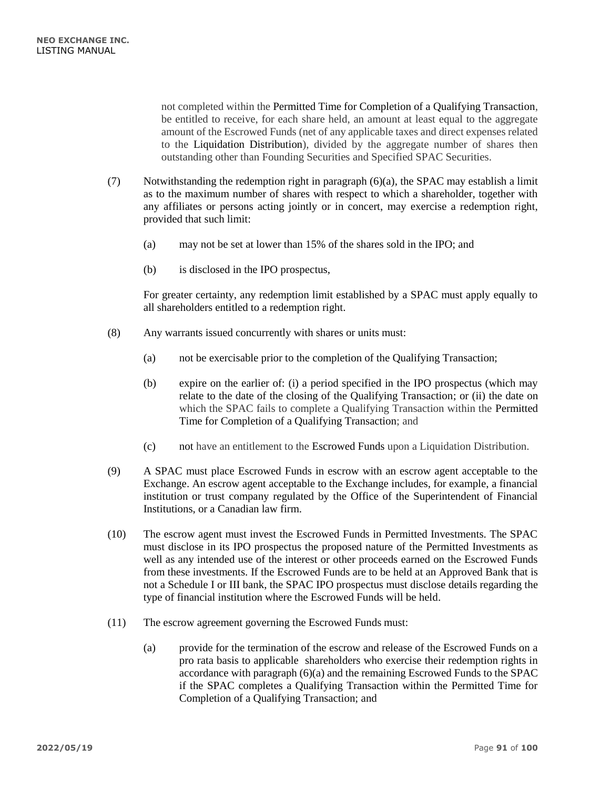not completed within the Permitted Time for Completion of a Qualifying Transaction, be entitled to receive, for each share held, an amount at least equal to the aggregate amount of the Escrowed Funds (net of any applicable taxes and direct expenses related to the Liquidation Distribution), divided by the aggregate number of shares then outstanding other than Founding Securities and Specified SPAC Securities.

- (7) Notwithstanding the redemption right in paragraph (6)(a), the SPAC may establish a limit as to the maximum number of shares with respect to which a shareholder, together with any affiliates or persons acting jointly or in concert, may exercise a redemption right, provided that such limit:
	- (a) may not be set at lower than 15% of the shares sold in the IPO; and
	- (b) is disclosed in the IPO prospectus,

For greater certainty, any redemption limit established by a SPAC must apply equally to all shareholders entitled to a redemption right.

- (8) Any warrants issued concurrently with shares or units must:
	- (a) not be exercisable prior to the completion of the Qualifying Transaction;
	- (b) expire on the earlier of: (i) a period specified in the IPO prospectus (which may relate to the date of the closing of the Qualifying Transaction; or (ii) the date on which the SPAC fails to complete a Qualifying Transaction within the Permitted Time for Completion of a Qualifying Transaction; and
	- (c) not have an entitlement to the Escrowed Funds upon a Liquidation Distribution.
- (9) A SPAC must place Escrowed Funds in escrow with an escrow agent acceptable to the Exchange. An escrow agent acceptable to the Exchange includes, for example, a financial institution or trust company regulated by the Office of the Superintendent of Financial Institutions, or a Canadian law firm.
- (10) The escrow agent must invest the Escrowed Funds in Permitted Investments. The SPAC must disclose in its IPO prospectus the proposed nature of the Permitted Investments as well as any intended use of the interest or other proceeds earned on the Escrowed Funds from these investments. If the Escrowed Funds are to be held at an Approved Bank that is not a Schedule I or III bank, the SPAC IPO prospectus must disclose details regarding the type of financial institution where the Escrowed Funds will be held.
- (11) The escrow agreement governing the Escrowed Funds must:
	- (a) provide for the termination of the escrow and release of the Escrowed Funds on a pro rata basis to applicable shareholders who exercise their redemption rights in accordance with paragraph (6)(a) and the remaining Escrowed Funds to the SPAC if the SPAC completes a Qualifying Transaction within the Permitted Time for Completion of a Qualifying Transaction; and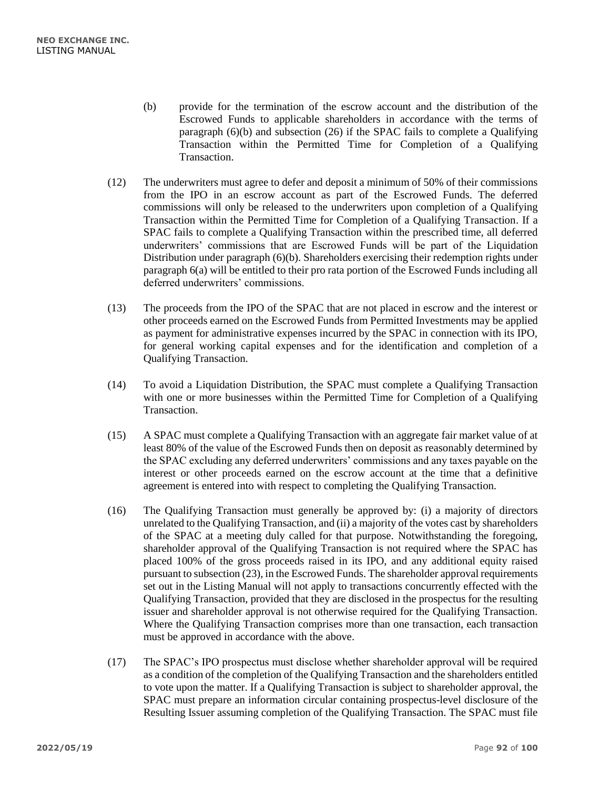- (b) provide for the termination of the escrow account and the distribution of the Escrowed Funds to applicable shareholders in accordance with the terms of paragraph (6)(b) and subsection (26) if the SPAC fails to complete a Qualifying Transaction within the Permitted Time for Completion of a Qualifying Transaction.
- (12) The underwriters must agree to defer and deposit a minimum of 50% of their commissions from the IPO in an escrow account as part of the Escrowed Funds. The deferred commissions will only be released to the underwriters upon completion of a Qualifying Transaction within the Permitted Time for Completion of a Qualifying Transaction. If a SPAC fails to complete a Qualifying Transaction within the prescribed time, all deferred underwriters' commissions that are Escrowed Funds will be part of the Liquidation Distribution under paragraph (6)(b). Shareholders exercising their redemption rights under paragraph 6(a) will be entitled to their pro rata portion of the Escrowed Funds including all deferred underwriters' commissions.
- (13) The proceeds from the IPO of the SPAC that are not placed in escrow and the interest or other proceeds earned on the Escrowed Funds from Permitted Investments may be applied as payment for administrative expenses incurred by the SPAC in connection with its IPO, for general working capital expenses and for the identification and completion of a Qualifying Transaction.
- (14) To avoid a Liquidation Distribution, the SPAC must complete a Qualifying Transaction with one or more businesses within the Permitted Time for Completion of a Qualifying Transaction.
- (15) A SPAC must complete a Qualifying Transaction with an aggregate fair market value of at least 80% of the value of the Escrowed Funds then on deposit as reasonably determined by the SPAC excluding any deferred underwriters' commissions and any taxes payable on the interest or other proceeds earned on the escrow account at the time that a definitive agreement is entered into with respect to completing the Qualifying Transaction.
- (16) The Qualifying Transaction must generally be approved by: (i) a majority of directors unrelated to the Qualifying Transaction, and (ii) a majority of the votes cast by shareholders of the SPAC at a meeting duly called for that purpose. Notwithstanding the foregoing, shareholder approval of the Qualifying Transaction is not required where the SPAC has placed 100% of the gross proceeds raised in its IPO, and any additional equity raised pursuant to subsection (23), in the Escrowed Funds. The shareholder approval requirements set out in the Listing Manual will not apply to transactions concurrently effected with the Qualifying Transaction, provided that they are disclosed in the prospectus for the resulting issuer and shareholder approval is not otherwise required for the Qualifying Transaction. Where the Qualifying Transaction comprises more than one transaction, each transaction must be approved in accordance with the above.
- (17) The SPAC's IPO prospectus must disclose whether shareholder approval will be required as a condition of the completion of the Qualifying Transaction and the shareholders entitled to vote upon the matter. If a Qualifying Transaction is subject to shareholder approval, the SPAC must prepare an information circular containing prospectus-level disclosure of the Resulting Issuer assuming completion of the Qualifying Transaction. The SPAC must file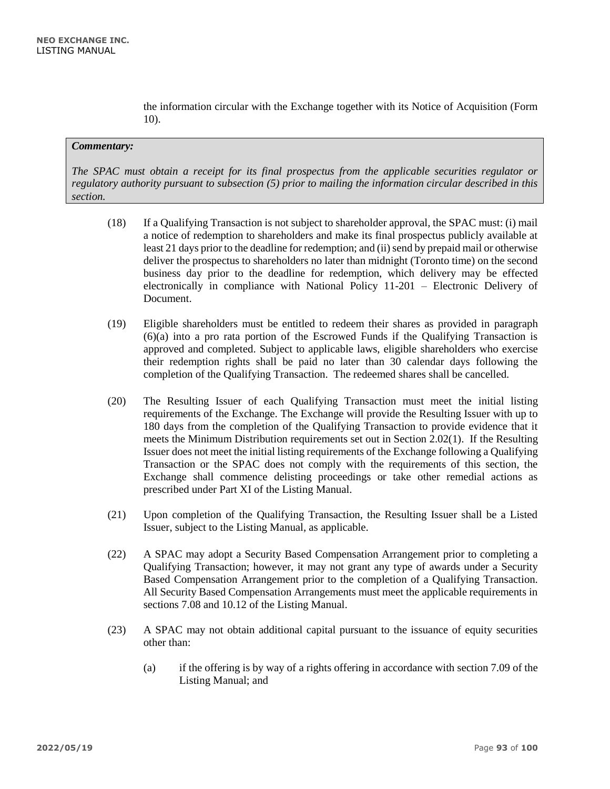the information circular with the Exchange together with its Notice of Acquisition (Form 10).

#### *Commentary:*

*The SPAC must obtain a receipt for its final prospectus from the applicable securities regulator or regulatory authority pursuant to subsection (5) prior to mailing the information circular described in this section.* 

- (18) If a Qualifying Transaction is not subject to shareholder approval, the SPAC must: (i) mail a notice of redemption to shareholders and make its final prospectus publicly available at least 21 days prior to the deadline for redemption; and (ii) send by prepaid mail or otherwise deliver the prospectus to shareholders no later than midnight (Toronto time) on the second business day prior to the deadline for redemption, which delivery may be effected electronically in compliance with National Policy 11-201 – Electronic Delivery of Document.
- (19) Eligible shareholders must be entitled to redeem their shares as provided in paragraph (6)(a) into a pro rata portion of the Escrowed Funds if the Qualifying Transaction is approved and completed. Subject to applicable laws, eligible shareholders who exercise their redemption rights shall be paid no later than 30 calendar days following the completion of the Qualifying Transaction. The redeemed shares shall be cancelled.
- (20) The Resulting Issuer of each Qualifying Transaction must meet the initial listing requirements of the Exchange. The Exchange will provide the Resulting Issuer with up to 180 days from the completion of the Qualifying Transaction to provide evidence that it meets the Minimum Distribution requirements set out in Section 2.02(1). If the Resulting Issuer does not meet the initial listing requirements of the Exchange following a Qualifying Transaction or the SPAC does not comply with the requirements of this section, the Exchange shall commence delisting proceedings or take other remedial actions as prescribed under Part XI of the Listing Manual.
- (21) Upon completion of the Qualifying Transaction, the Resulting Issuer shall be a Listed Issuer, subject to the Listing Manual, as applicable.
- (22) A SPAC may adopt a Security Based Compensation Arrangement prior to completing a Qualifying Transaction; however, it may not grant any type of awards under a Security Based Compensation Arrangement prior to the completion of a Qualifying Transaction. All Security Based Compensation Arrangements must meet the applicable requirements in sections 7.08 and 10.12 of the Listing Manual.
- (23) A SPAC may not obtain additional capital pursuant to the issuance of equity securities other than:
	- (a) if the offering is by way of a rights offering in accordance with section 7.09 of the Listing Manual; and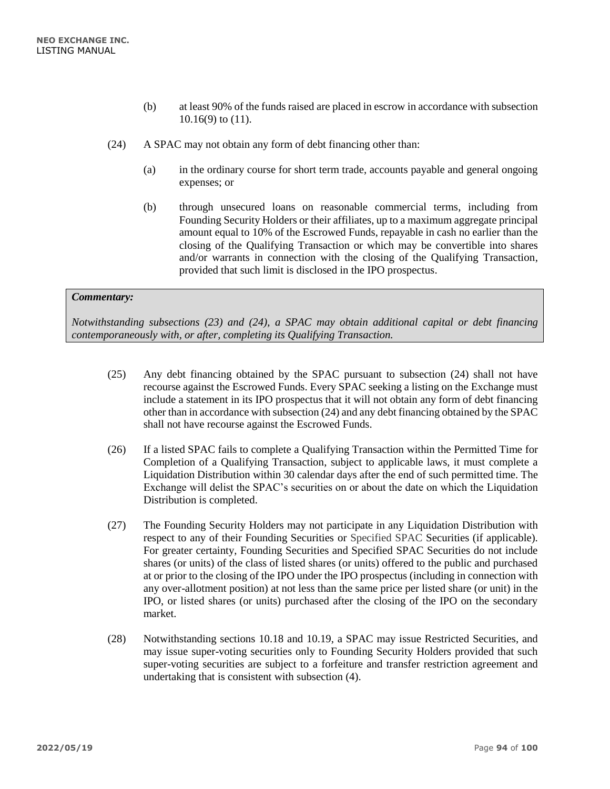- (b) at least 90% of the funds raised are placed in escrow in accordance with subsection 10.16(9) to (11).
- (24) A SPAC may not obtain any form of debt financing other than:
	- (a) in the ordinary course for short term trade, accounts payable and general ongoing expenses; or
	- (b) through unsecured loans on reasonable commercial terms, including from Founding Security Holders or their affiliates, up to a maximum aggregate principal amount equal to 10% of the Escrowed Funds, repayable in cash no earlier than the closing of the Qualifying Transaction or which may be convertible into shares and/or warrants in connection with the closing of the Qualifying Transaction, provided that such limit is disclosed in the IPO prospectus.

*Notwithstanding subsections (23) and (24), a SPAC may obtain additional capital or debt financing contemporaneously with, or after, completing its Qualifying Transaction.*

- (25) Any debt financing obtained by the SPAC pursuant to subsection (24) shall not have recourse against the Escrowed Funds. Every SPAC seeking a listing on the Exchange must include a statement in its IPO prospectus that it will not obtain any form of debt financing other than in accordance with subsection (24) and any debt financing obtained by the SPAC shall not have recourse against the Escrowed Funds.
- (26) If a listed SPAC fails to complete a Qualifying Transaction within the Permitted Time for Completion of a Qualifying Transaction, subject to applicable laws, it must complete a Liquidation Distribution within 30 calendar days after the end of such permitted time. The Exchange will delist the SPAC's securities on or about the date on which the Liquidation Distribution is completed.
- (27) The Founding Security Holders may not participate in any Liquidation Distribution with respect to any of their Founding Securities or Specified SPAC Securities (if applicable). For greater certainty, Founding Securities and Specified SPAC Securities do not include shares (or units) of the class of listed shares (or units) offered to the public and purchased at or prior to the closing of the IPO under the IPO prospectus (including in connection with any over-allotment position) at not less than the same price per listed share (or unit) in the IPO, or listed shares (or units) purchased after the closing of the IPO on the secondary market.
- (28) Notwithstanding sections 10.18 and 10.19, a SPAC may issue Restricted Securities, and may issue super-voting securities only to Founding Security Holders provided that such super-voting securities are subject to a forfeiture and transfer restriction agreement and undertaking that is consistent with subsection (4).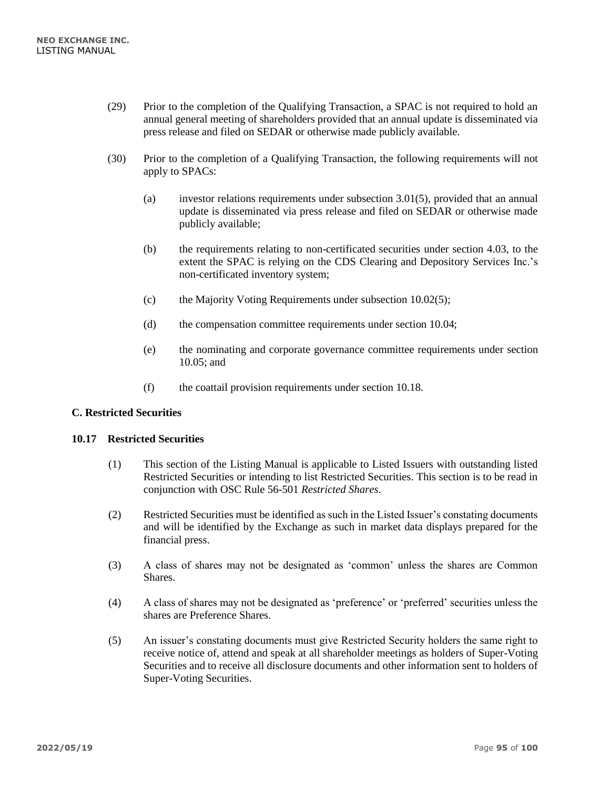- (29) Prior to the completion of the Qualifying Transaction, a SPAC is not required to hold an annual general meeting of shareholders provided that an annual update is disseminated via press release and filed on SEDAR or otherwise made publicly available.
- (30) Prior to the completion of a Qualifying Transaction, the following requirements will not apply to SPACs:
	- (a) investor relations requirements under subsection 3.01(5), provided that an annual update is disseminated via press release and filed on SEDAR or otherwise made publicly available;
	- (b) the requirements relating to non-certificated securities under section 4.03, to the extent the SPAC is relying on the CDS Clearing and Depository Services Inc.'s non-certificated inventory system;
	- (c) the Majority Voting Requirements under subsection 10.02(5);
	- (d) the compensation committee requirements under section 10.04;
	- (e) the nominating and corporate governance committee requirements under section 10.05; and
	- (f) the coattail provision requirements under section 10.18.

## **C. Restricted Securities**

## **10.17 Restricted Securities**

- (1) This section of the Listing Manual is applicable to Listed Issuers with outstanding listed Restricted Securities or intending to list Restricted Securities. This section is to be read in conjunction with OSC Rule 56-501 *Restricted Shares*.
- (2) Restricted Securities must be identified as such in the Listed Issuer's constating documents and will be identified by the Exchange as such in market data displays prepared for the financial press.
- (3) A class of shares may not be designated as 'common' unless the shares are Common Shares.
- (4) A class of shares may not be designated as 'preference' or 'preferred' securities unless the shares are Preference Shares.
- (5) An issuer's constating documents must give Restricted Security holders the same right to receive notice of, attend and speak at all shareholder meetings as holders of Super-Voting Securities and to receive all disclosure documents and other information sent to holders of Super-Voting Securities.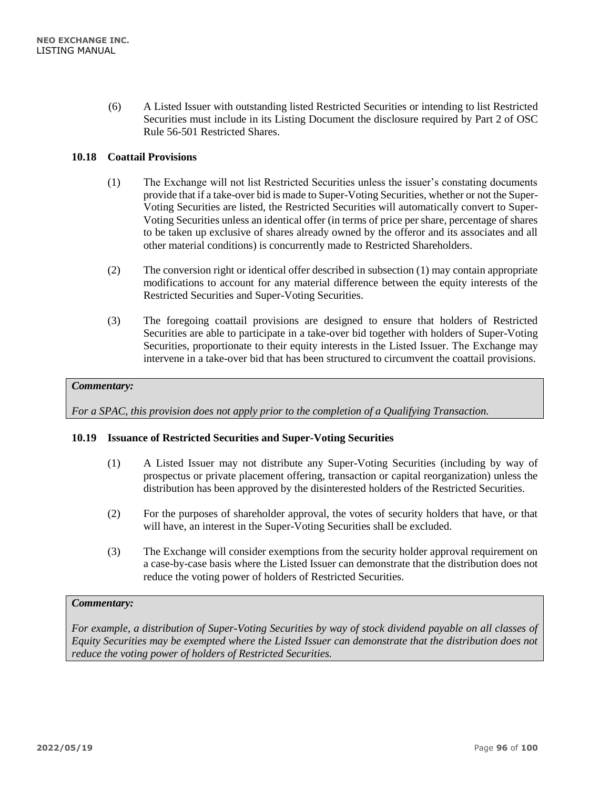(6) A Listed Issuer with outstanding listed Restricted Securities or intending to list Restricted Securities must include in its Listing Document the disclosure required by Part 2 of OSC Rule 56-501 Restricted Shares.

# **10.18 Coattail Provisions**

- (1) The Exchange will not list Restricted Securities unless the issuer's constating documents provide that if a take-over bid is made to Super-Voting Securities, whether or not the Super-Voting Securities are listed, the Restricted Securities will automatically convert to Super-Voting Securities unless an identical offer (in terms of price per share, percentage of shares to be taken up exclusive of shares already owned by the offeror and its associates and all other material conditions) is concurrently made to Restricted Shareholders.
- (2) The conversion right or identical offer described in subsection (1) may contain appropriate modifications to account for any material difference between the equity interests of the Restricted Securities and Super-Voting Securities.
- (3) The foregoing coattail provisions are designed to ensure that holders of Restricted Securities are able to participate in a take-over bid together with holders of Super-Voting Securities, proportionate to their equity interests in the Listed Issuer. The Exchange may intervene in a take-over bid that has been structured to circumvent the coattail provisions.

## *Commentary:*

*For a SPAC, this provision does not apply prior to the completion of a Qualifying Transaction.*

## **10.19 Issuance of Restricted Securities and Super-Voting Securities**

- (1) A Listed Issuer may not distribute any Super-Voting Securities (including by way of prospectus or private placement offering, transaction or capital reorganization) unless the distribution has been approved by the disinterested holders of the Restricted Securities.
- (2) For the purposes of shareholder approval, the votes of security holders that have, or that will have, an interest in the Super-Voting Securities shall be excluded.
- (3) The Exchange will consider exemptions from the security holder approval requirement on a case-by-case basis where the Listed Issuer can demonstrate that the distribution does not reduce the voting power of holders of Restricted Securities.

## *Commentary:*

*For example, a distribution of Super-Voting Securities by way of stock dividend payable on all classes of Equity Securities may be exempted where the Listed Issuer can demonstrate that the distribution does not reduce the voting power of holders of Restricted Securities.*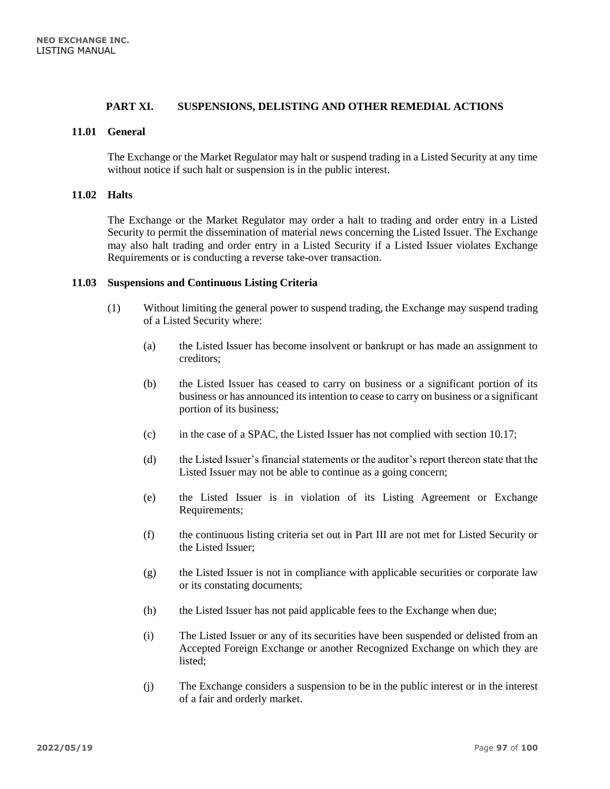## **PART XI. SUSPENSIONS, DELISTING AND OTHER REMEDIAL ACTIONS**

## **11.01 General**

The Exchange or the Market Regulator may halt or suspend trading in a Listed Security at any time without notice if such halt or suspension is in the public interest.

## **11.02 Halts**

The Exchange or the Market Regulator may order a halt to trading and order entry in a Listed Security to permit the dissemination of material news concerning the Listed Issuer. The Exchange may also halt trading and order entry in a Listed Security if a Listed Issuer violates Exchange Requirements or is conducting a reverse take-over transaction.

#### **11.03 Suspensions and Continuous Listing Criteria**

- (1) Without limiting the general power to suspend trading, the Exchange may suspend trading of a Listed Security where:
	- (a) the Listed Issuer has become insolvent or bankrupt or has made an assignment to creditors;
	- (b) the Listed Issuer has ceased to carry on business or a significant portion of its business or has announced its intention to cease to carry on business or a significant portion of its business;
	- (c) in the case of a SPAC, the Listed Issuer has not complied with section 10.17;
	- (d) the Listed Issuer's financial statements or the auditor's report thereon state that the Listed Issuer may not be able to continue as a going concern;
	- (e) the Listed Issuer is in violation of its Listing Agreement or Exchange Requirements;
	- (f) the continuous listing criteria set out in Part III are not met for Listed Security or the Listed Issuer;
	- (g) the Listed Issuer is not in compliance with applicable securities or corporate law or its constating documents;
	- (h) the Listed Issuer has not paid applicable fees to the Exchange when due;
	- (i) The Listed Issuer or any of its securities have been suspended or delisted from an Accepted Foreign Exchange or another Recognized Exchange on which they are listed;
	- (j) The Exchange considers a suspension to be in the public interest or in the interest of a fair and orderly market.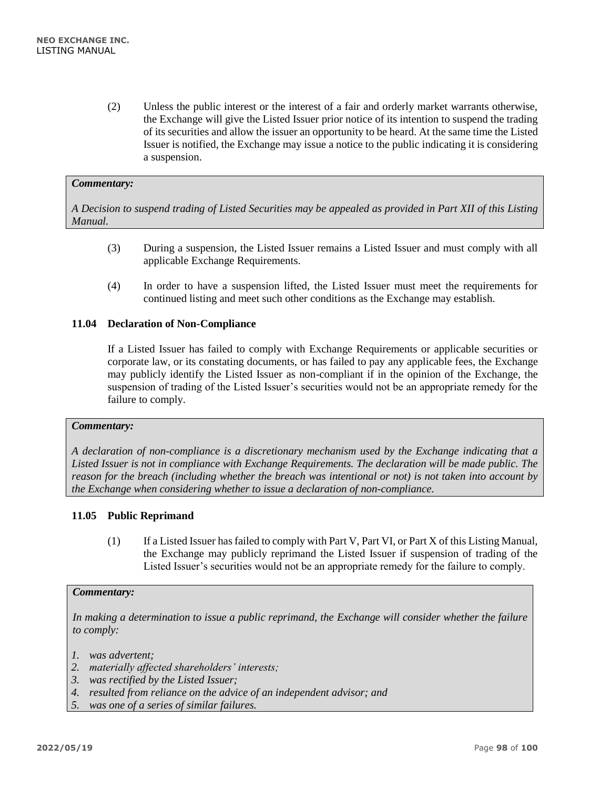(2) Unless the public interest or the interest of a fair and orderly market warrants otherwise, the Exchange will give the Listed Issuer prior notice of its intention to suspend the trading of its securities and allow the issuer an opportunity to be heard. At the same time the Listed Issuer is notified, the Exchange may issue a notice to the public indicating it is considering a suspension.

### *Commentary:*

*A Decision to suspend trading of Listed Securities may be appealed as provided in Part XII of this Listing Manual.*

- (3) During a suspension, the Listed Issuer remains a Listed Issuer and must comply with all applicable Exchange Requirements.
- (4) In order to have a suspension lifted, the Listed Issuer must meet the requirements for continued listing and meet such other conditions as the Exchange may establish.

## **11.04 Declaration of Non-Compliance**

If a Listed Issuer has failed to comply with Exchange Requirements or applicable securities or corporate law, or its constating documents, or has failed to pay any applicable fees, the Exchange may publicly identify the Listed Issuer as non-compliant if in the opinion of the Exchange, the suspension of trading of the Listed Issuer's securities would not be an appropriate remedy for the failure to comply.

#### *Commentary:*

*A declaration of non-compliance is a discretionary mechanism used by the Exchange indicating that a Listed Issuer is not in compliance with Exchange Requirements. The declaration will be made public. The reason for the breach (including whether the breach was intentional or not) is not taken into account by the Exchange when considering whether to issue a declaration of non-compliance.*

#### **11.05 Public Reprimand**

(1) If a Listed Issuer has failed to comply with Part V, Part VI, or Part X of this Listing Manual, the Exchange may publicly reprimand the Listed Issuer if suspension of trading of the Listed Issuer's securities would not be an appropriate remedy for the failure to comply.

#### *Commentary:*

*In making a determination to issue a public reprimand, the Exchange will consider whether the failure to comply:*

*1. was advertent;*

- *2. materially affected shareholders' interests;*
- *3. was rectified by the Listed Issuer;*
- *4. resulted from reliance on the advice of an independent advisor; and*
- *5. was one of a series of similar failures.*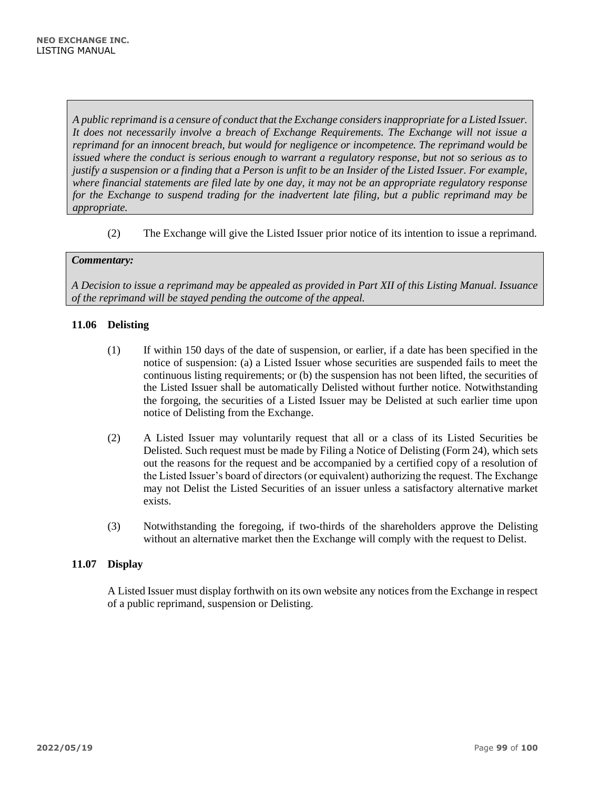*A public reprimand is a censure of conduct that the Exchange considers inappropriate for a Listed Issuer. It does not necessarily involve a breach of Exchange Requirements. The Exchange will not issue a reprimand for an innocent breach, but would for negligence or incompetence. The reprimand would be issued where the conduct is serious enough to warrant a regulatory response, but not so serious as to justify a suspension or a finding that a Person is unfit to be an Insider of the Listed Issuer. For example, where financial statements are filed late by one day, it may not be an appropriate regulatory response for the Exchange to suspend trading for the inadvertent late filing, but a public reprimand may be appropriate.*

(2) The Exchange will give the Listed Issuer prior notice of its intention to issue a reprimand.

## *Commentary:*

*A Decision to issue a reprimand may be appealed as provided in Part XII of this Listing Manual. Issuance of the reprimand will be stayed pending the outcome of the appeal.*

## **11.06 Delisting**

- (1) If within 150 days of the date of suspension, or earlier, if a date has been specified in the notice of suspension: (a) a Listed Issuer whose securities are suspended fails to meet the continuous listing requirements; or (b) the suspension has not been lifted, the securities of the Listed Issuer shall be automatically Delisted without further notice. Notwithstanding the forgoing, the securities of a Listed Issuer may be Delisted at such earlier time upon notice of Delisting from the Exchange.
- (2) A Listed Issuer may voluntarily request that all or a class of its Listed Securities be Delisted. Such request must be made by Filing a Notice of Delisting (Form 24), which sets out the reasons for the request and be accompanied by a certified copy of a resolution of the Listed Issuer's board of directors (or equivalent) authorizing the request. The Exchange may not Delist the Listed Securities of an issuer unless a satisfactory alternative market exists.
- (3) Notwithstanding the foregoing, if two-thirds of the shareholders approve the Delisting without an alternative market then the Exchange will comply with the request to Delist.

# **11.07 Display**

A Listed Issuer must display forthwith on its own website any notices from the Exchange in respect of a public reprimand, suspension or Delisting.